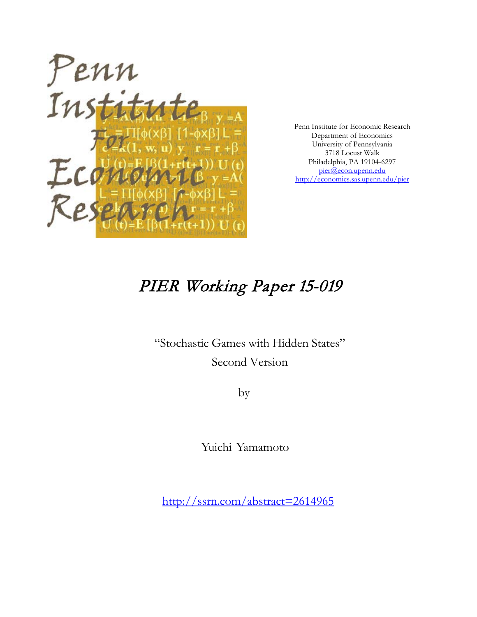

Penn Institute for Economic Research Department of Economics University of Pennsylvania 3718 Locust Walk Philadelphia, PA 19104-6297 [pier@econ.upenn.edu](mailto:pier@econ.upenn.edu) <http://economics.sas.upenn.edu/pier>

# PIER Working Paper 15-019

"Stochastic Games with Hidden States" Second Version

by

Yuichi Yamamoto

[http://ssrn.com/abstract=2](http://ssrn.com/abstract_id=)614965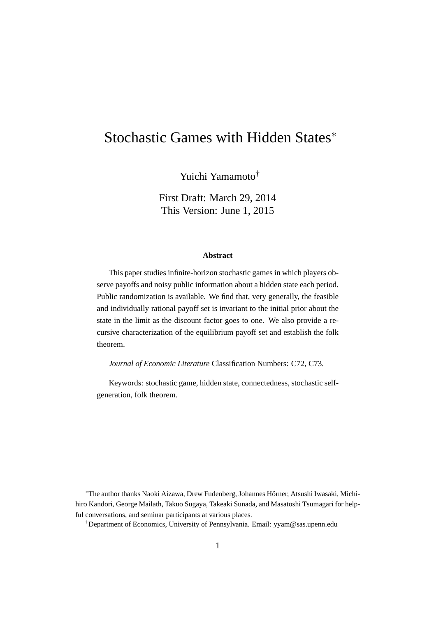# Stochastic Games with Hidden States*<sup>∗</sup>*

Yuichi Yamamoto†

First Draft: March 29, 2014 This Version: June 1, 2015

#### **Abstract**

This paper studies infinite-horizon stochastic games in which players observe payoffs and noisy public information about a hidden state each period. Public randomization is available. We find that, very generally, the feasible and individually rational payoff set is invariant to the initial prior about the state in the limit as the discount factor goes to one. We also provide a recursive characterization of the equilibrium payoff set and establish the folk theorem.

*Journal of Economic Literature* Classification Numbers: C72, C73.

Keywords: stochastic game, hidden state, connectedness, stochastic selfgeneration, folk theorem.

<sup>\*</sup>The author thanks Naoki Aizawa, Drew Fudenberg, Johannes Hörner, Atsushi Iwasaki, Michihiro Kandori, George Mailath, Takuo Sugaya, Takeaki Sunada, and Masatoshi Tsumagari for helpful conversations, and seminar participants at various places.

†Department of Economics, University of Pennsylvania. Email: yyam@sas.upenn.edu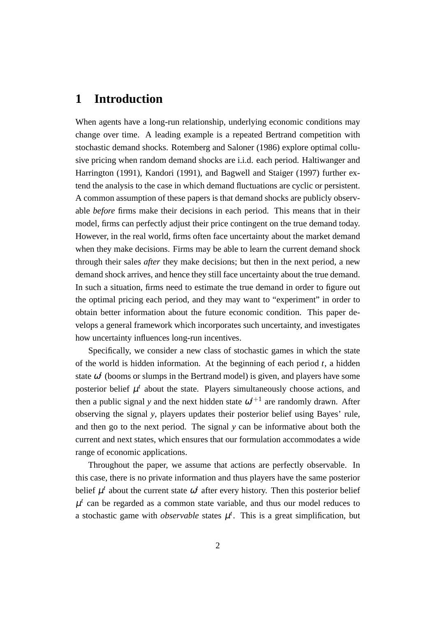## **1 Introduction**

When agents have a long-run relationship, underlying economic conditions may change over time. A leading example is a repeated Bertrand competition with stochastic demand shocks. Rotemberg and Saloner (1986) explore optimal collusive pricing when random demand shocks are i.i.d. each period. Haltiwanger and Harrington (1991), Kandori (1991), and Bagwell and Staiger (1997) further extend the analysis to the case in which demand fluctuations are cyclic or persistent. A common assumption of these papers is that demand shocks are publicly observable *before* firms make their decisions in each period. This means that in their model, firms can perfectly adjust their price contingent on the true demand today. However, in the real world, firms often face uncertainty about the market demand when they make decisions. Firms may be able to learn the current demand shock through their sales *after* they make decisions; but then in the next period, a new demand shock arrives, and hence they still face uncertainty about the true demand. In such a situation, firms need to estimate the true demand in order to figure out the optimal pricing each period, and they may want to "experiment" in order to obtain better information about the future economic condition. This paper develops a general framework which incorporates such uncertainty, and investigates how uncertainty influences long-run incentives.

Specifically, we consider a new class of stochastic games in which the state of the world is hidden information. At the beginning of each period *t*, a hidden state  $\omega^t$  (booms or slumps in the Bertrand model) is given, and players have some posterior belief  $\mu^t$  about the state. Players simultaneously choose actions, and then a public signal *y* and the next hidden state  $\omega^{t+1}$  are randomly drawn. After observing the signal *y*, players updates their posterior belief using Bayes' rule, and then go to the next period. The signal *y* can be informative about both the current and next states, which ensures that our formulation accommodates a wide range of economic applications.

Throughout the paper, we assume that actions are perfectly observable. In this case, there is no private information and thus players have the same posterior belief  $\mu^t$  about the current state  $\omega^t$  after every history. Then this posterior belief  $\mu^t$  can be regarded as a common state variable, and thus our model reduces to a stochastic game with *observable* states  $\mu^t$ . This is a great simplification, but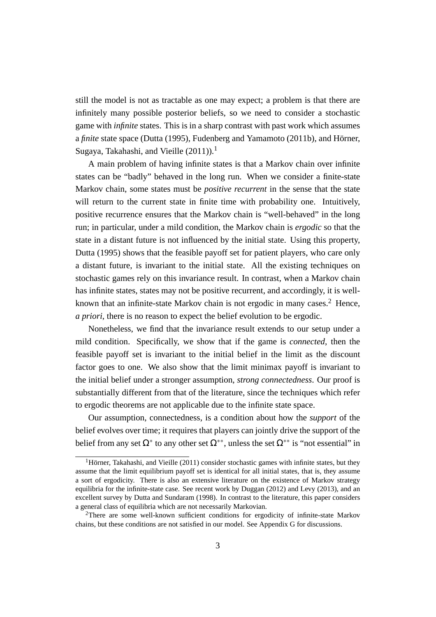still the model is not as tractable as one may expect; a problem is that there are infinitely many possible posterior beliefs, so we need to consider a stochastic game with *infinite* states. This is in a sharp contrast with past work which assumes a *finite* state space (Dutta (1995), Fudenberg and Yamamoto (2011b), and Hörner, Sugaya, Takahashi, and Vieille  $(2011)$ <sup>1</sup>

A main problem of having infinite states is that a Markov chain over infinite states can be "badly" behaved in the long run. When we consider a finite-state Markov chain, some states must be *positive recurrent* in the sense that the state will return to the current state in finite time with probability one. Intuitively, positive recurrence ensures that the Markov chain is "well-behaved" in the long run; in particular, under a mild condition, the Markov chain is *ergodic* so that the state in a distant future is not influenced by the initial state. Using this property, Dutta (1995) shows that the feasible payoff set for patient players, who care only a distant future, is invariant to the initial state. All the existing techniques on stochastic games rely on this invariance result. In contrast, when a Markov chain has infinite states, states may not be positive recurrent, and accordingly, it is wellknown that an infinite-state Markov chain is not ergodic in many cases.<sup>2</sup> Hence, *a priori*, there is no reason to expect the belief evolution to be ergodic.

Nonetheless, we find that the invariance result extends to our setup under a mild condition. Specifically, we show that if the game is *connected*, then the feasible payoff set is invariant to the initial belief in the limit as the discount factor goes to one. We also show that the limit minimax payoff is invariant to the initial belief under a stronger assumption, *strong connectedness*. Our proof is substantially different from that of the literature, since the techniques which refer to ergodic theorems are not applicable due to the infinite state space.

Our assumption, connectedness, is a condition about how the *support* of the belief evolves over time; it requires that players can jointly drive the support of the belief from any set  $\Omega^*$  to any other set  $\Omega^{**}$ , unless the set  $\Omega^{**}$  is "not essential" in

<sup>&</sup>lt;sup>1</sup>Hörner, Takahashi, and Vieille (2011) consider stochastic games with infinite states, but they assume that the limit equilibrium payoff set is identical for all initial states, that is, they assume a sort of ergodicity. There is also an extensive literature on the existence of Markov strategy equilibria for the infinite-state case. See recent work by Duggan (2012) and Levy (2013), and an excellent survey by Dutta and Sundaram (1998). In contrast to the literature, this paper considers a general class of equilibria which are not necessarily Markovian.

<sup>2</sup>There are some well-known sufficient conditions for ergodicity of infinite-state Markov chains, but these conditions are not satisfied in our model. See Appendix G for discussions.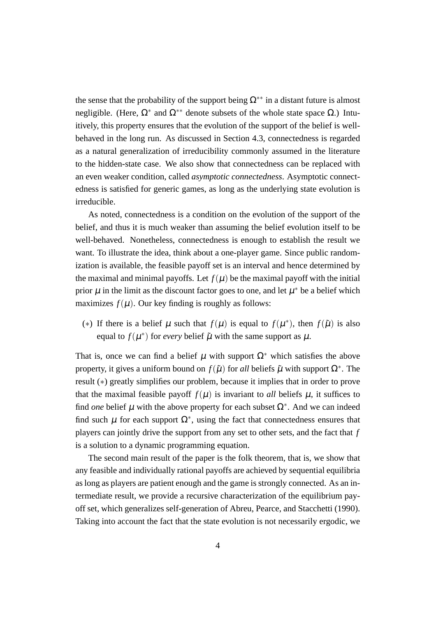the sense that the probability of the support being  $\Omega^{**}$  in a distant future is almost negligible. (Here, Ω*<sup>∗</sup>* and Ω*∗∗* denote subsets of the whole state space Ω.) Intuitively, this property ensures that the evolution of the support of the belief is wellbehaved in the long run. As discussed in Section 4.3, connectedness is regarded as a natural generalization of irreducibility commonly assumed in the literature to the hidden-state case. We also show that connectedness can be replaced with an even weaker condition, called *asymptotic connectedness*. Asymptotic connectedness is satisfied for generic games, as long as the underlying state evolution is irreducible.

As noted, connectedness is a condition on the evolution of the support of the belief, and thus it is much weaker than assuming the belief evolution itself to be well-behaved. Nonetheless, connectedness is enough to establish the result we want. To illustrate the idea, think about a one-player game. Since public randomization is available, the feasible payoff set is an interval and hence determined by the maximal and minimal payoffs. Let  $f(\mu)$  be the maximal payoff with the initial prior  $\mu$  in the limit as the discount factor goes to one, and let  $\mu^*$  be a belief which maximizes  $f(\mu)$ . Our key finding is roughly as follows:

(\*) If there is a belief  $\mu$  such that  $f(\mu)$  is equal to  $f(\mu^*)$ , then  $f(\tilde{\mu})$  is also equal to  $f(\mu^*)$  for *every* belief  $\tilde{\mu}$  with the same support as  $\mu$ .

That is, once we can find a belief  $\mu$  with support  $\Omega^*$  which satisfies the above property, it gives a uniform bound on  $f(\tilde{\mu})$  for *all* beliefs  $\tilde{\mu}$  with support  $\Omega^*$ . The result (*∗*) greatly simplifies our problem, because it implies that in order to prove that the maximal feasible payoff  $f(\mu)$  is invariant to *all* beliefs  $\mu$ , it suffices to find *one* belief  $\mu$  with the above property for each subset  $\Omega^*$ . And we can indeed find such  $\mu$  for each support  $\Omega^*$ , using the fact that connectedness ensures that players can jointly drive the support from any set to other sets, and the fact that *f* is a solution to a dynamic programming equation.

The second main result of the paper is the folk theorem, that is, we show that any feasible and individually rational payoffs are achieved by sequential equilibria as long as players are patient enough and the game is strongly connected. As an intermediate result, we provide a recursive characterization of the equilibrium payoff set, which generalizes self-generation of Abreu, Pearce, and Stacchetti (1990). Taking into account the fact that the state evolution is not necessarily ergodic, we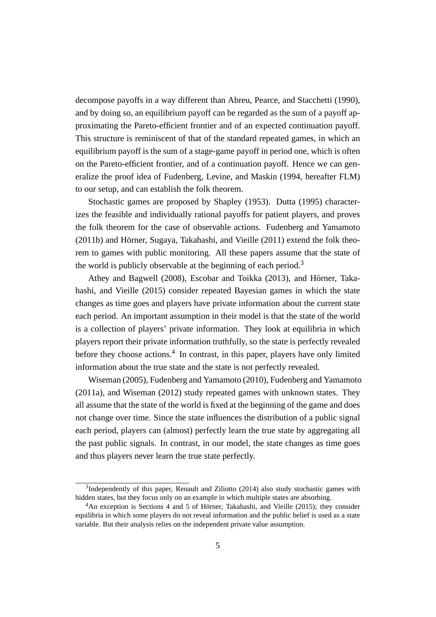decompose payoffs in a way different than Abreu, Pearce, and Stacchetti (1990), and by doing so, an equilibrium payoff can be regarded as the sum of a payoff approximating the Pareto-efficient frontier and of an expected continuation payoff. This structure is reminiscent of that of the standard repeated games, in which an equilibrium payoff is the sum of a stage-game payoff in period one, which is often on the Pareto-efficient frontier, and of a continuation payoff. Hence we can generalize the proof idea of Fudenberg, Levine, and Maskin (1994, hereafter FLM) to our setup, and can establish the folk theorem.

Stochastic games are proposed by Shapley (1953). Dutta (1995) characterizes the feasible and individually rational payoffs for patient players, and proves the folk theorem for the case of observable actions. Fudenberg and Yamamoto  $(2011b)$  and Hörner, Sugaya, Takahashi, and Vieille  $(2011)$  extend the folk theorem to games with public monitoring. All these papers assume that the state of the world is publicly observable at the beginning of each period.<sup>3</sup>

Athey and Bagwell (2008), Escobar and Toikka (2013), and Hörner, Takahashi, and Vieille (2015) consider repeated Bayesian games in which the state changes as time goes and players have private information about the current state each period. An important assumption in their model is that the state of the world is a collection of players' private information. They look at equilibria in which players report their private information truthfully, so the state is perfectly revealed before they choose actions.<sup>4</sup> In contrast, in this paper, players have only limited information about the true state and the state is not perfectly revealed.

Wiseman (2005), Fudenberg and Yamamoto (2010), Fudenberg and Yamamoto (2011a), and Wiseman (2012) study repeated games with unknown states. They all assume that the state of the world is fixed at the beginning of the game and does not change over time. Since the state influences the distribution of a public signal each period, players can (almost) perfectly learn the true state by aggregating all the past public signals. In contrast, in our model, the state changes as time goes and thus players never learn the true state perfectly.

<sup>&</sup>lt;sup>3</sup>Independently of this paper, Renault and Ziliotto (2014) also study stochastic games with hidden states, but they focus only on an example in which multiple states are absorbing.

 $4$ An exception is Sections 4 and 5 of Hörner, Takahashi, and Vieille (2015); they consider equilibria in which some players do not reveal information and the public belief is used as a state variable. But their analysis relies on the independent private value assumption.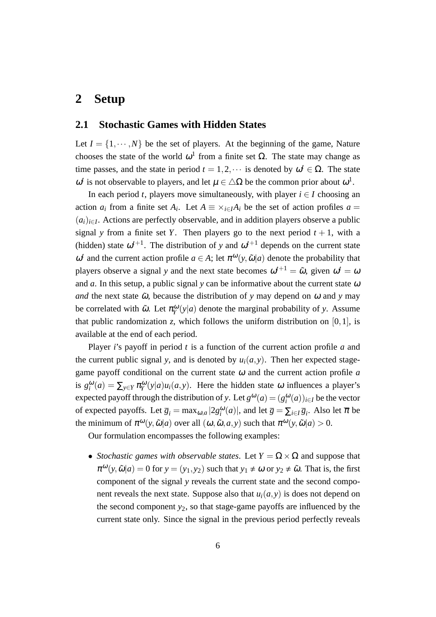# **2 Setup**

### **2.1 Stochastic Games with Hidden States**

Let  $I = \{1, \dots, N\}$  be the set of players. At the beginning of the game, Nature chooses the state of the world  $\omega^1$  from a finite set  $\Omega$ . The state may change as time passes, and the state in period  $t = 1, 2, \cdots$  is denoted by  $\omega^t \in \Omega$ . The state  $ω<sup>t</sup>$  is not observable to players, and let  $μ ∈ ΔΩ$  be the common prior about  $ω<sup>1</sup>$ .

In each period *t*, players move simultaneously, with player  $i \in I$  choosing an action  $a_i$  from a finite set  $A_i$ . Let  $A \equiv \times_{i \in I} A_i$  be the set of action profiles  $a =$ (*ai*)*i∈<sup>I</sup>* . Actions are perfectly observable, and in addition players observe a public signal *y* from a finite set *Y*. Then players go to the next period  $t + 1$ , with a (hidden) state  $\omega^{t+1}$ . The distribution of *y* and  $\omega^{t+1}$  depends on the current state  $ω<sup>t</sup>$  and the current action profile *a* ∈ *A*; let  $π<sup>ω</sup>(y, \tilde{ω}|a)$  denote the probability that players observe a signal *y* and the next state becomes  $\omega^{t+1} = \tilde{\omega}$ , given  $\omega^t = \omega$ and *a*. In this setup, a public signal *y* can be informative about the current state  $\omega$ *and* the next state  $\tilde{\omega}$ , because the distribution of *y* may depend on  $\omega$  and *y* may be correlated with  $\tilde{\omega}$ . Let  $\pi_Y^{\omega}(y|a)$  denote the marginal probability of *y*. Assume that public randomization *z*, which follows the uniform distribution on [0*,*1], is available at the end of each period.

Player *i*'s payoff in period *t* is a function of the current action profile *a* and the current public signal *y*, and is denoted by  $u_i(a, y)$ . Then her expected stagegame payoff conditional on the current state <sup>ω</sup> and the current action profile *a* is  $g_i^{\omega}(a) = \sum_{y \in Y} \pi_Y^{\omega}(y|a) u_i(a, y)$ . Here the hidden state  $\omega$  influences a player's expected payoff through the distribution of *y*. Let  $g^{\omega}(a) = (g_i^{\omega}(a))_{i \in I}$  be the vector of expected payoffs. Let  $\overline{g}_i = \max_{\omega, a} |2g_i^{\omega}(a)|$ , and let  $\overline{g} = \sum_{i \in I} \overline{g}_i$ . Also let  $\overline{\pi}$  be the minimum of  $\pi^{\omega}(y, \tilde{\omega}|a)$  over all  $(\omega, \tilde{\omega}, a, y)$  such that  $\pi^{\omega}(y, \tilde{\omega}|a) > 0$ .

Our formulation encompasses the following examples:

• *Stochastic games with observable states.* Let  $Y = \Omega \times \Omega$  and suppose that  $\pi^{\omega}(y, \tilde{\omega}|a) = 0$  for  $y = (y_1, y_2)$  such that  $y_1 \neq \omega$  or  $y_2 \neq \tilde{\omega}$ . That is, the first component of the signal *y* reveals the current state and the second component reveals the next state. Suppose also that  $u_i(a, y)$  is does not depend on the second component *y*2, so that stage-game payoffs are influenced by the current state only. Since the signal in the previous period perfectly reveals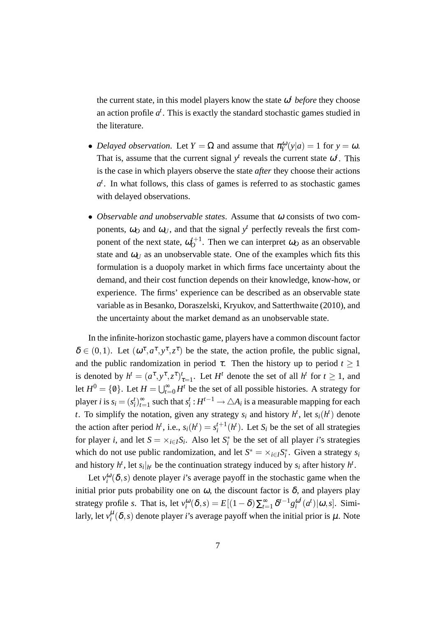the current state, in this model players know the state  $\omega^t$  *before* they choose an action profile  $a^t$ . This is exactly the standard stochastic games studied in the literature.

- *Delayed observation.* Let  $Y = \Omega$  and assume that  $\pi_Y^{\omega}(y|a) = 1$  for  $y = \omega$ . That is, assume that the current signal  $y<sup>t</sup>$  reveals the current state  $\omega<sup>t</sup>$ . This is the case in which players observe the state *after* they choose their actions  $a<sup>t</sup>$ . In what follows, this class of games is referred to as stochastic games with delayed observations.
- *• Observable and unobservable states*. Assume that <sup>ω</sup> consists of two components,  $\omega_O$  and  $\omega_U$ , and that the signal  $y<sup>t</sup>$  perfectly reveals the first component of the next state,  $\omega_0^{t+1}$  $O<sup>t+1</sup>$ . Then we can interpret  $\omega_O$  as an observable state and  $\omega_U$  as an unobservable state. One of the examples which fits this formulation is a duopoly market in which firms face uncertainty about the demand, and their cost function depends on their knowledge, know-how, or experience. The firms' experience can be described as an observable state variable as in Besanko, Doraszelski, Kryukov, and Satterthwaite (2010), and the uncertainty about the market demand as an unobservable state.

In the infinite-horizon stochastic game, players have a common discount factor  $\delta \in (0,1)$ . Let  $(\omega^{\tau}, a^{\tau}, y^{\tau}, z^{\tau})$  be the state, the action profile, the public signal, and the public randomization in period  $\tau$ . Then the history up to period  $t \geq 1$ is denoted by  $h^t = (a^{\tau}, y^{\tau}, z^{\tau})_{\tau=1}^t$ . Let  $H^t$  denote the set of all  $h^t$  for  $t \ge 1$ , and let  $H^0 = \{0\}$ . Let  $H = \bigcup_{t=0}^{\infty} H^t$  be the set of all possible histories. A strategy for player *i* is  $s_i = (s_i^t)_{t=1}^\infty$  such that  $s_i^t : H^{t-1} \to \triangle A_i$  is a measurable mapping for each *t*. To simplify the notation, given any strategy  $s_i$  and history  $h^t$ , let  $s_i(h^t)$  denote the action after period  $h^t$ , i.e.,  $s_i(h^t) = s_i^{t+1}$  $i_t^{t+1}(h^t)$ . Let  $S_i$  be the set of all strategies for player *i*, and let  $S = \times_{i \in I} S_i$ . Also let  $S_i^*$  be the set of all player *i*'s strategies which do not use public randomization, and let  $S^* = \times_{i \in I} S_i^*$ . Given a strategy  $s_i$ and history  $h^t$ , let  $s_i|_{h^t}$  be the continuation strategy induced by  $s_i$  after history  $h^t$ .

Let  $v_i^{\omega}(\delta, s)$  denote player *i*'s average payoff in the stochastic game when the initial prior puts probability one on  $\omega$ , the discount factor is  $\delta$ , and players play strategy profile *s*. That is, let  $v_i^{\omega}(\delta, s) = E[(1 - \delta)\sum_{t=1}^{\infty} \delta^{t-1}g_i^{\omega^t}]$  $\int_{i}^{\omega^{t}}(a^{t})|\omega,s]$ . Similarly, let  $v_i^{\mu}(\delta, s)$  denote player *i*'s average payoff when the initial prior is  $\mu$ . Note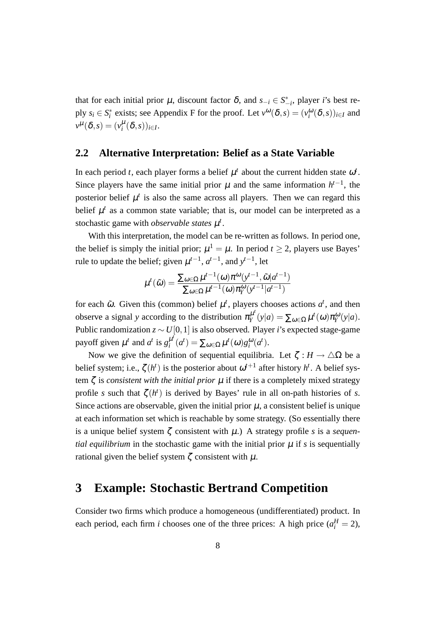that for each initial prior  $\mu$ , discount factor  $\delta$ , and  $s_{-i} \in S_{-i}^*$ , player *i*'s best reply  $s_i \in S_i^*$  exists; see Appendix F for the proof. Let  $v^{\omega}(\delta, s) = (v_i^{\omega}(\delta, s))_{i \in I}$  and  $v^{\mu}(\delta, s) = (v_i^{\mu}(\delta, s))_{i \in I}.$ 

#### **2.2 Alternative Interpretation: Belief as a State Variable**

In each period *t*, each player forms a belief  $\mu^t$  about the current hidden state  $\omega^t$ . Since players have the same initial prior  $\mu$  and the same information  $h^{t-1}$ , the posterior belief  $\mu^t$  is also the same across all players. Then we can regard this belief  $\mu^t$  as a common state variable; that is, our model can be interpreted as a stochastic game with *observable states*  $\mu^t$ .

With this interpretation, the model can be re-written as follows. In period one, the belief is simply the initial prior;  $\mu^1 = \mu$ . In period  $t \geq 2$ , players use Bayes' rule to update the belief; given  $\mu^{t-1}$ ,  $a^{t-1}$ , and  $y^{t-1}$ , let

$$
\mu^{t}(\tilde{\omega}) = \frac{\sum_{\omega \in \Omega} \mu^{t-1}(\omega) \pi^{\omega}(y^{t-1}, \tilde{\omega}|a^{t-1})}{\sum_{\omega \in \Omega} \mu^{t-1}(\omega) \pi^{\omega}(y^{t-1}|a^{t-1})}
$$

for each  $\tilde{\omega}$ . Given this (common) belief  $\mu^t$ , players chooses actions  $a^t$ , and then observe a signal *y* according to the distribution  $\pi_{Y}^{\mu}$ <sup>*tv*</sup>  $\sum_{\alpha}^{\mu} (y|a) = \sum_{\omega \in \Omega} \mu^{t}(\omega) \pi_Y^{\omega}(y|a).$ Public randomization *z ∼U*[0*,*1] is also observed. Player *i*'s expected stage-game payoff given  $\mu^t$  and  $a^t$  is  $g_i^{\mu^t}$  $\mu^{\mu}(a^t) = \sum_{\omega \in \Omega} \mu^t(\omega) g_i^{\omega}(a^t).$ 

Now we give the definition of sequential equilibria. Let  $\zeta : H \to \triangle \Omega$  be a belief system; i.e.,  $\zeta(h^t)$  is the posterior about  $\omega^{t+1}$  after history  $h^t$ . A belief system  $\zeta$  is *consistent with the initial prior*  $\mu$  if there is a completely mixed strategy profile *s* such that  $\zeta(h^t)$  is derived by Bayes' rule in all on-path histories of *s*. Since actions are observable, given the initial prior  $\mu$ , a consistent belief is unique at each information set which is reachable by some strategy. (So essentially there is a unique belief system ζ consistent with µ.) A strategy profile *s* is a *sequential equilibrium* in the stochastic game with the initial prior  $\mu$  if *s* is sequentially rational given the belief system  $\zeta$  consistent with  $\mu$ .

### **3 Example: Stochastic Bertrand Competition**

Consider two firms which produce a homogeneous (undifferentiated) product. In each period, each firm *i* chooses one of the three prices: A high price  $(a_i^H = 2)$ ,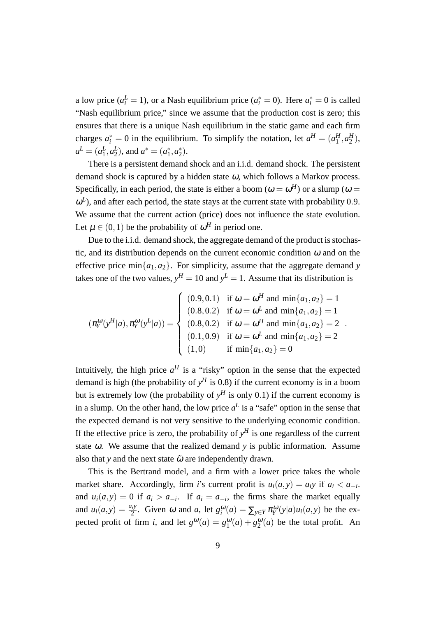a low price ( $a_i^L = 1$ ), or a Nash equilibrium price ( $a_i^* = 0$ ). Here  $a_i^* = 0$  is called "Nash equilibrium price," since we assume that the production cost is zero; this ensures that there is a unique Nash equilibrium in the static game and each firm charges  $a_i^* = 0$  in the equilibrium. To simplify the notation, let  $a^H = (a_1^H, a_2^H)$ ,  $a^L = (a_1^L, a_2^L)$ , and  $a^* = (a_1^*, a_2^*)$ .

There is a persistent demand shock and an i.i.d. demand shock. The persistent demand shock is captured by a hidden state  $\omega$ , which follows a Markov process. Specifically, in each period, the state is either a boom ( $\omega = \omega^H$ ) or a slump ( $\omega =$  $\omega^L$ ), and after each period, the state stays at the current state with probability 0.9. We assume that the current action (price) does not influence the state evolution. Let  $\mu \in (0,1)$  be the probability of  $\omega^H$  in period one.

Due to the i.i.d. demand shock, the aggregate demand of the product is stochastic, and its distribution depends on the current economic condition  $\omega$  and on the effective price min $\{a_1, a_2\}$ . For simplicity, assume that the aggregate demand *y* takes one of the two values,  $y^H = 10$  and  $y^L = 1$ . Assume that its distribution is

$$
(\pi_Y^{\omega}(y^H|a), \pi_Y^{\omega}(y^L|a)) = \begin{cases} (0.9, 0.1) & \text{if } \omega = \omega^H \text{ and } \min\{a_1, a_2\} = 1\\ (0.8, 0.2) & \text{if } \omega = \omega^L \text{ and } \min\{a_1, a_2\} = 1\\ (0.8, 0.2) & \text{if } \omega = \omega^H \text{ and } \min\{a_1, a_2\} = 2\\ (0.1, 0.9) & \text{if } \omega = \omega^L \text{ and } \min\{a_1, a_2\} = 2\\ (1, 0) & \text{if } \min\{a_1, a_2\} = 0 \end{cases}.
$$

Intuitively, the high price  $a^H$  is a "risky" option in the sense that the expected demand is high (the probability of  $y<sup>H</sup>$  is 0.8) if the current economy is in a boom but is extremely low (the probability of  $y<sup>H</sup>$  is only 0.1) if the current economy is in a slump. On the other hand, the low price  $a^L$  is a "safe" option in the sense that the expected demand is not very sensitive to the underlying economic condition. If the effective price is zero, the probability of  $y<sup>H</sup>$  is one regardless of the current state <sup>ω</sup>. We assume that the realized demand *y* is public information. Assume also that *y* and the next state  $\tilde{\omega}$  are independently drawn.

This is the Bertrand model, and a firm with a lower price takes the whole market share. Accordingly, firm *i*'s current profit is  $u_i(a, y) = a_i y$  if  $a_i < a_{-i}$ . and  $u_i(a, y) = 0$  if  $a_i > a_{-i}$ . If  $a_i = a_{-i}$ , the firms share the market equally and  $u_i(a, y) = \frac{a_i y}{2}$ . Given  $\omega$  and  $a$ , let  $g_i^{\omega}(a) = \sum_{y \in Y} \pi_Y^{\omega}(y|a) u_i(a, y)$  be the expected profit of firm *i*, and let  $g^{\omega}(a) = g_1^{\omega}(a) + g_2^{\omega}(a)$  be the total profit. An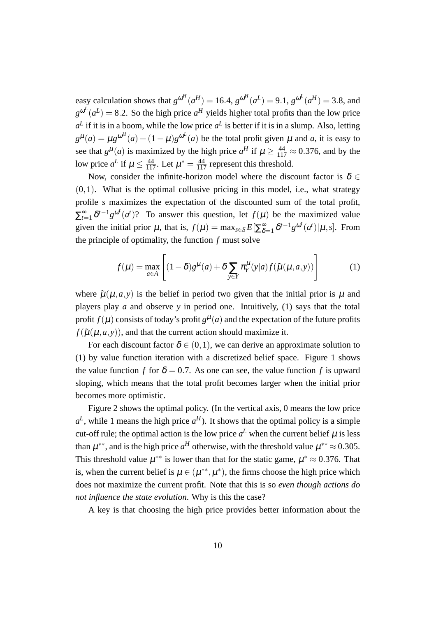easy calculation shows that  $g^{\omega^H}(a^H) = 16.4$ ,  $g^{\omega^H}(a^L) = 9.1$ ,  $g^{\omega^L}(a^H) = 3.8$ , and  $g^{\omega}(a^L) = 8.2$ . So the high price  $a^H$  yields higher total profits than the low price  $a^L$  if it is in a boom, while the low price  $a^L$  is better if it is in a slump. Also, letting  $g^{\mu}(a) = \mu g^{\omega^H}(a) + (1 - \mu)g^{\omega^L}(a)$  be the total profit given  $\mu$  and  $a$ , it is easy to see that  $g^{\mu}(a)$  is maximized by the high price  $a^H$  if  $\mu \ge \frac{44}{117} \approx 0.376$ , and by the low price  $a^L$  if  $\mu \le \frac{44}{117}$ . Let  $\mu^* = \frac{44}{117}$  represent this threshold.

Now, consider the infinite-horizon model where the discount factor is  $\delta \in$  $(0,1)$ . What is the optimal collusive pricing in this model, i.e., what strategy profile *s* maximizes the expectation of the discounted sum of the total profit,  $\sum_{t=1}^{\infty} \delta^{t-1} g^{\omega^t}(a^t)$ ? To answer this question, let  $f(\mu)$  be the maximized value given the initial prior  $\mu$ , that is,  $f(\mu) = \max_{s \in S} E[\sum_{\delta}^{\infty}$  $\int_{\delta=1}^{\infty} \delta^{t-1} g^{\omega^t}(a^t) | \mu, s].$  From the principle of optimality, the function *f* must solve

$$
f(\mu) = \max_{a \in A} \left[ (1 - \delta) g^{\mu}(a) + \delta \sum_{y \in Y} \pi_Y^{\mu}(y|a) f(\tilde{\mu}(\mu, a, y)) \right] \tag{1}
$$

where  $\tilde{\mu}(\mu, a, y)$  is the belief in period two given that the initial prior is  $\mu$  and players play *a* and observe *y* in period one. Intuitively, (1) says that the total profit  $f(\mu)$  consists of today's profit  $g^{\mu}(a)$  and the expectation of the future profits  $f(\tilde{\mu}(\mu, a, y))$ , and that the current action should maximize it.

For each discount factor  $\delta \in (0,1)$ , we can derive an approximate solution to (1) by value function iteration with a discretized belief space. Figure 1 shows the value function *f* for  $\delta = 0.7$ . As one can see, the value function *f* is upward sloping, which means that the total profit becomes larger when the initial prior becomes more optimistic.

Figure 2 shows the optimal policy. (In the vertical axis, 0 means the low price  $a^L$ , while 1 means the high price  $a^H$ ). It shows that the optimal policy is a simple cut-off rule; the optimal action is the low price  $a^L$  when the current belief  $\mu$  is less than  $\mu^{**}$ , and is the high price  $a^H$  otherwise, with the threshold value  $\mu^{**} \approx 0.305$ . This threshold value  $\mu^{**}$  is lower than that for the static game,  $\mu^* \approx 0.376$ . That is, when the current belief is  $\mu \in (\mu^{**}, \mu^*)$ , the firms choose the high price which does not maximize the current profit. Note that this is so *even though actions do not influence the state evolution*. Why is this the case?

A key is that choosing the high price provides better information about the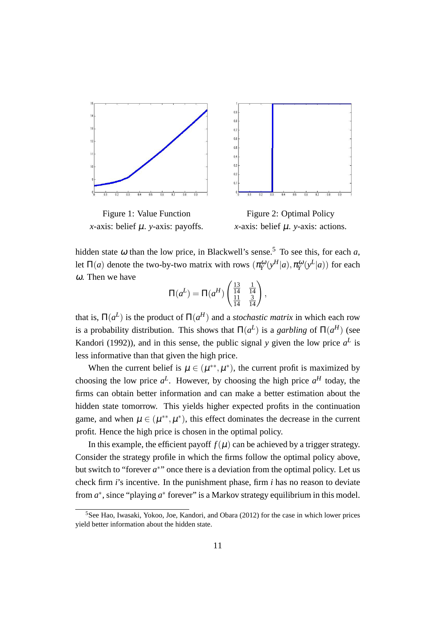

Figure 1: Value Function *x*-axis: belief µ. *y*-axis: payoffs.



Figure 2: Optimal Policy *x*-axis: belief µ. *y*-axis: actions.

hidden state  $\omega$  than the low price, in Blackwell's sense.<sup>5</sup> To see this, for each *a*, let  $\Pi(a)$  denote the two-by-two matrix with rows  $(\pi_Y^{\omega}(y^H|a), \pi_Y^{\omega}(y^L|a))$  for each <sup>ω</sup>. Then we have

$$
\Pi(a^L) = \Pi(a^H) \begin{pmatrix} \frac{13}{14} & \frac{1}{14} \\ \frac{11}{14} & \frac{3}{14} \end{pmatrix},
$$

that is,  $\Pi(a^L)$  is the product of  $\Pi(a^H)$  and a *stochastic matrix* in which each row is a probability distribution. This shows that  $\Pi(a^L)$  is a *garbling* of  $\Pi(a^H)$  (see Kandori (1992)), and in this sense, the public signal *y* given the low price  $a^L$  is less informative than that given the high price.

When the current belief is  $\mu \in (\mu^{**}, \mu^*)$ , the current profit is maximized by choosing the low price  $a^L$ . However, by choosing the high price  $a^H$  today, the firms can obtain better information and can make a better estimation about the hidden state tomorrow. This yields higher expected profits in the continuation game, and when  $\mu \in (\mu^{**}, \mu^*)$ , this effect dominates the decrease in the current profit. Hence the high price is chosen in the optimal policy.

In this example, the efficient payoff  $f(\mu)$  can be achieved by a trigger strategy. Consider the strategy profile in which the firms follow the optimal policy above, but switch to "forever  $a^*$ " once there is a deviation from the optimal policy. Let us check firm *i*'s incentive. In the punishment phase, firm *i* has no reason to deviate from  $a^*$ , since "playing  $a^*$  forever" is a Markov strategy equilibrium in this model.

<sup>5</sup>See Hao, Iwasaki, Yokoo, Joe, Kandori, and Obara (2012) for the case in which lower prices yield better information about the hidden state.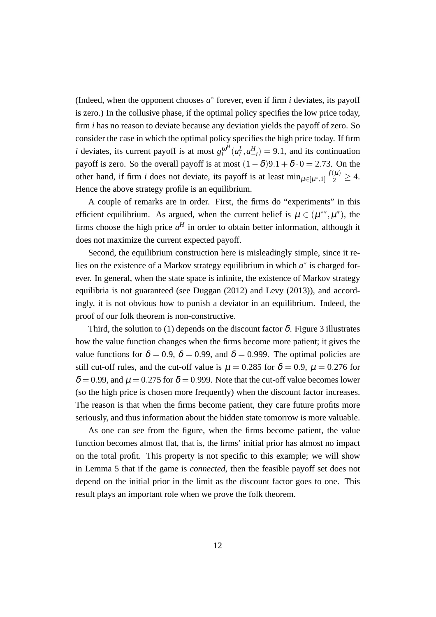(Indeed, when the opponent chooses  $a^*$  forever, even if firm  $i$  deviates, its payoff is zero.) In the collusive phase, if the optimal policy specifies the low price today, firm *i* has no reason to deviate because any deviation yields the payoff of zero. So consider the case in which the optimal policy specifies the high price today. If firm *i* deviates, its current payoff is at most  $g_i^{\omega^H}$  $\int_{i}^{\omega^H} (a_i^L, a_{-i}^H) = 9.1$ , and its continuation payoff is zero. So the overall payoff is at most  $(1 - \delta)9.1 + \delta \cdot 0 = 2.73$ . On the other hand, if firm *i* does not deviate, its payoff is at least  $\min_{\mu \in [\mu^*, 1]} \frac{f(\mu)}{2} \geq 4$ . Hence the above strategy profile is an equilibrium.

A couple of remarks are in order. First, the firms do "experiments" in this efficient equilibrium. As argued, when the current belief is  $\mu \in (\mu^{**}, \mu^*)$ , the firms choose the high price  $a^H$  in order to obtain better information, although it does not maximize the current expected payoff.

Second, the equilibrium construction here is misleadingly simple, since it relies on the existence of a Markov strategy equilibrium in which  $a^*$  is charged forever. In general, when the state space is infinite, the existence of Markov strategy equilibria is not guaranteed (see Duggan (2012) and Levy (2013)), and accordingly, it is not obvious how to punish a deviator in an equilibrium. Indeed, the proof of our folk theorem is non-constructive.

Third, the solution to (1) depends on the discount factor  $\delta$ . Figure 3 illustrates how the value function changes when the firms become more patient; it gives the value functions for  $\delta = 0.9$ ,  $\delta = 0.99$ , and  $\delta = 0.999$ . The optimal policies are still cut-off rules, and the cut-off value is  $\mu = 0.285$  for  $\delta = 0.9$ ,  $\mu = 0.276$  for  $\delta = 0.99$ , and  $\mu = 0.275$  for  $\delta = 0.999$ . Note that the cut-off value becomes lower (so the high price is chosen more frequently) when the discount factor increases. The reason is that when the firms become patient, they care future profits more seriously, and thus information about the hidden state tomorrow is more valuable.

As one can see from the figure, when the firms become patient, the value function becomes almost flat, that is, the firms' initial prior has almost no impact on the total profit. This property is not specific to this example; we will show in Lemma 5 that if the game is *connected*, then the feasible payoff set does not depend on the initial prior in the limit as the discount factor goes to one. This result plays an important role when we prove the folk theorem.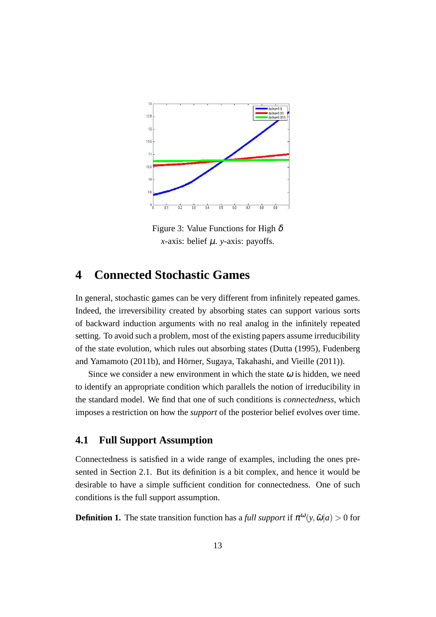

Figure 3: Value Functions for High  $\delta$ *x*-axis: belief  $\mu$ . *y*-axis: payoffs.

### **4 Connected Stochastic Games**

In general, stochastic games can be very different from infinitely repeated games. Indeed, the irreversibility created by absorbing states can support various sorts of backward induction arguments with no real analog in the infinitely repeated setting. To avoid such a problem, most of the existing papers assume irreducibility of the state evolution, which rules out absorbing states (Dutta (1995), Fudenberg and Yamamoto (2011b), and Hörner, Sugaya, Takahashi, and Vieille (2011)).

Since we consider a new environment in which the state  $\omega$  is hidden, we need to identify an appropriate condition which parallels the notion of irreducibility in the standard model. We find that one of such conditions is *connectedness*, which imposes a restriction on how the *support* of the posterior belief evolves over time.

### **4.1 Full Support Assumption**

Connectedness is satisfied in a wide range of examples, including the ones presented in Section 2.1. But its definition is a bit complex, and hence it would be desirable to have a simple sufficient condition for connectedness. One of such conditions is the full support assumption.

**Definition 1.** The state transition function has a *full support* if  $\pi^{\omega}(y, \tilde{\omega}|a) > 0$  for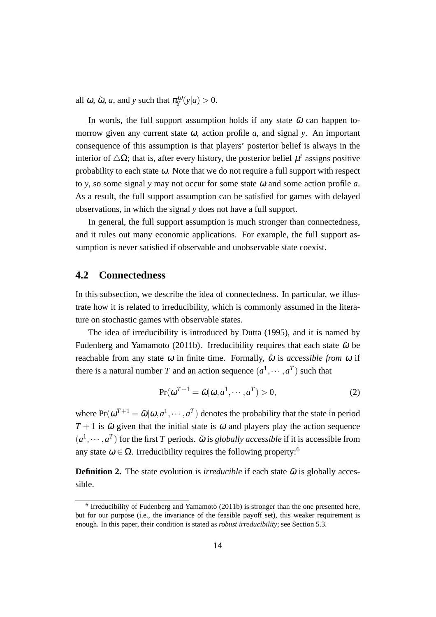all  $\omega$ ,  $\tilde{\omega}$ ,  $a$ , and  $y$  such that  $\pi_Y^{\omega}(y|a) > 0$ .

In words, the full support assumption holds if any state  $\tilde{\omega}$  can happen tomorrow given any current state <sup>ω</sup>, action profile *a*, and signal *y*. An important consequence of this assumption is that players' posterior belief is always in the interior of  $\triangle \Omega$ ; that is, after every history, the posterior belief  $\mu^t$  assigns positive probability to each state  $\omega$ . Note that we do not require a full support with respect to *y*, so some signal *y* may not occur for some state <sup>ω</sup> and some action profile *a*. As a result, the full support assumption can be satisfied for games with delayed observations, in which the signal *y* does not have a full support.

In general, the full support assumption is much stronger than connectedness, and it rules out many economic applications. For example, the full support assumption is never satisfied if observable and unobservable state coexist.

### **4.2 Connectedness**

In this subsection, we describe the idea of connectedness. In particular, we illustrate how it is related to irreducibility, which is commonly assumed in the literature on stochastic games with observable states.

The idea of irreducibility is introduced by Dutta (1995), and it is named by Fudenberg and Yamamoto (2011b). Irreducibility requires that each state  $\tilde{\omega}$  be reachable from any state  $\omega$  in finite time. Formally,  $\tilde{\omega}$  is *accessible from*  $\omega$  if there is a natural number *T* and an action sequence  $(a^1, \dots, a^T)$  such that

$$
Pr(\omega^{T+1} = \tilde{\omega}|\omega, a^1, \cdots, a^T) > 0,
$$
\n(2)

where  $Pr(\omega^{T+1} = \tilde{\omega} | \omega, a^1, \dots, a^T)$  denotes the probability that the state in period  $T + 1$  is  $\tilde{\omega}$  given that the initial state is  $\omega$  and players play the action sequence  $(a^1, \dots, a^T)$  for the first *T* periods.  $\tilde{\omega}$  is *globally accessible* if it is accessible from any state  $\omega \in \Omega$ . Irreducibility requires the following property:<sup>6</sup>

**Definition 2.** The state evolution is *irreducible* if each state  $\tilde{\omega}$  is globally accessible.

 $<sup>6</sup>$  Irreducibility of Fudenberg and Yamamoto (2011b) is stronger than the one presented here,</sup> but for our purpose (i.e., the invariance of the feasible payoff set), this weaker requirement is enough. In this paper, their condition is stated as *robust irreducibility*; see Section 5.3.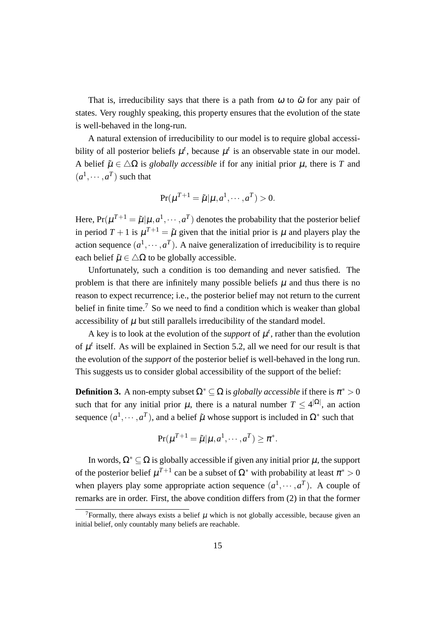That is, irreducibility says that there is a path from  $\omega$  to  $\tilde{\omega}$  for any pair of states. Very roughly speaking, this property ensures that the evolution of the state is well-behaved in the long-run.

A natural extension of irreducibility to our model is to require global accessibility of all posterior beliefs  $\mu^t$ , because  $\mu^t$  is an observable state in our model. A belief  $\tilde{\mu} \in \Delta \Omega$  is *globally accessible* if for any initial prior  $\mu$ , there is *T* and  $(a^1, \dots, a^T)$  such that

$$
\Pr(\mu^{T+1} = \tilde{\mu} | \mu, a^1, \cdots, a^T) > 0.
$$

Here,  $Pr(\mu^{T+1} = \tilde{\mu} | \mu, a^1, \dots, a^T)$  denotes the probability that the posterior belief in period  $T + 1$  is  $\mu^{T+1} = \tilde{\mu}$  given that the initial prior is  $\mu$  and players play the action sequence  $(a^1, \dots, a^T)$ . A naive generalization of irreducibility is to require each belief  $\tilde{\mu} \in \Delta \Omega$  to be globally accessible.

Unfortunately, such a condition is too demanding and never satisfied. The problem is that there are infinitely many possible beliefs  $\mu$  and thus there is no reason to expect recurrence; i.e., the posterior belief may not return to the current belief in finite time.<sup>7</sup> So we need to find a condition which is weaker than global accessibility of  $\mu$  but still parallels irreducibility of the standard model.

A key is to look at the evolution of the *support* of  $\mu^{t}$ , rather than the evolution of  $\mu^t$  itself. As will be explained in Section 5.2, all we need for our result is that the evolution of the *support* of the posterior belief is well-behaved in the long run. This suggests us to consider global accessibility of the support of the belief:

**Definition 3.** A non-empty subset  $\Omega^* \subseteq \Omega$  is *globally accessible* if there is  $\pi^* > 0$ such that for any initial prior  $\mu$ , there is a natural number  $T \leq 4^{\vert \Omega \vert}$ , an action sequence  $(a^1, \dots, a^T)$ , and a belief  $\tilde{\mu}$  whose support is included in  $\Omega^*$  such that

$$
\Pr(\mu^{T+1} = \tilde{\mu} | \mu, a^1, \cdots, a^T) \ge \pi^*.
$$

In words,  $\Omega^* \subset \Omega$  is globally accessible if given any initial prior  $\mu$ , the support of the posterior belief  $\mu^{T+1}$  can be a subset of  $\Omega^*$  with probability at least  $\pi^* > 0$ when players play some appropriate action sequence  $(a^1, \dots, a^T)$ . A couple of remarks are in order. First, the above condition differs from (2) in that the former

<sup>&</sup>lt;sup>7</sup>Formally, there always exists a belief  $\mu$  which is not globally accessible, because given an initial belief, only countably many beliefs are reachable.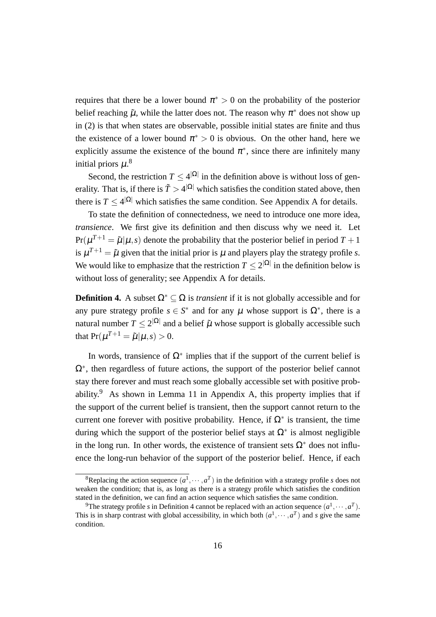requires that there be a lower bound  $\pi^* > 0$  on the probability of the posterior belief reaching  $\tilde{\mu}$ , while the latter does not. The reason why  $\pi^*$  does not show up in (2) is that when states are observable, possible initial states are finite and thus the existence of a lower bound  $\pi^* > 0$  is obvious. On the other hand, here we explicitly assume the existence of the bound  $\pi^*$ , since there are infinitely many initial priors  $\mu$ .<sup>8</sup>

Second, the restriction  $T \leq 4^{|\Omega|}$  in the definition above is without loss of generality. That is, if there is  $\tilde{T} > 4^{\vert \Omega \vert}$  which satisfies the condition stated above, then there is  $T \leq 4^{|\Omega|}$  which satisfies the same condition. See Appendix A for details.

To state the definition of connectedness, we need to introduce one more idea, *transience*. We first give its definition and then discuss why we need it. Let  $Pr(\mu^{T+1} = \tilde{\mu} | \mu, s)$  denote the probability that the posterior belief in period  $T + 1$ is  $\mu^{T+1} = \tilde{\mu}$  given that the initial prior is  $\mu$  and players play the strategy profile *s*. We would like to emphasize that the restriction  $T \leq 2^{|\Omega|}$  in the definition below is without loss of generality; see Appendix A for details.

**Definition 4.** A subset  $\Omega^* \subset \Omega$  is *transient* if it is not globally accessible and for any pure strategy profile  $s \in S^*$  and for any  $\mu$  whose support is  $\Omega^*$ , there is a natural number  $T \leq 2^{|\Omega|}$  and a belief  $\tilde{\mu}$  whose support is globally accessible such that  $Pr(\mu^{T+1} = \tilde{\mu} | \mu, s) > 0.$ 

In words, transience of  $\Omega^*$  implies that if the support of the current belief is Ω*∗* , then regardless of future actions, the support of the posterior belief cannot stay there forever and must reach some globally accessible set with positive probability.<sup>9</sup> As shown in Lemma 11 in Appendix A, this property implies that if the support of the current belief is transient, then the support cannot return to the current one forever with positive probability. Hence, if  $\Omega^*$  is transient, the time during which the support of the posterior belief stays at  $\Omega^*$  is almost negligible in the long run. In other words, the existence of transient sets  $\Omega^*$  does not influence the long-run behavior of the support of the posterior belief. Hence, if each

<sup>&</sup>lt;sup>8</sup>Replacing the action sequence  $(a^1, \dots, a^T)$  in the definition with a strategy profile *s* does not weaken the condition; that is, as long as there is a strategy profile which satisfies the condition stated in the definition, we can find an action sequence which satisfies the same condition.

<sup>&</sup>lt;sup>9</sup>The strategy profile *s* in Definition 4 cannot be replaced with an action sequence  $(a^1, \dots, a^T)$ . This is in sharp contrast with global accessibility, in which both  $(a^1, \dots, a^T)$  and *s* give the same condition.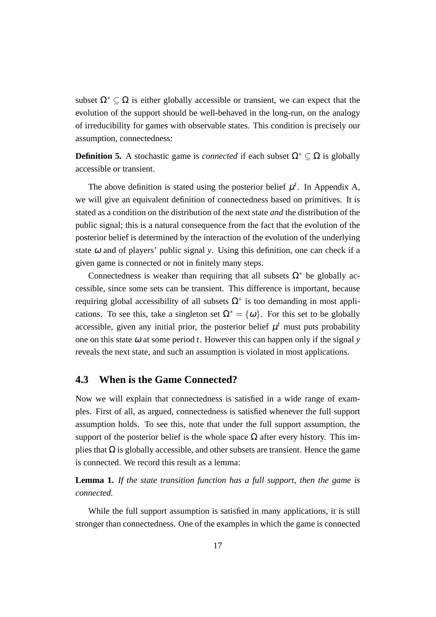subset  $\Omega^* \subseteq \Omega$  is either globally accessible or transient, we can expect that the evolution of the support should be well-behaved in the long-run, on the analogy of irreducibility for games with observable states. This condition is precisely our assumption, connectedness:

**Definition 5.** A stochastic game is *connected* if each subset  $\Omega^* \subseteq \Omega$  is globally accessible or transient.

The above definition is stated using the posterior belief  $\mu^t$ . In Appendix A, we will give an equivalent definition of connectedness based on primitives. It is stated as a condition on the distribution of the next state *and* the distribution of the public signal; this is a natural consequence from the fact that the evolution of the posterior belief is determined by the interaction of the evolution of the underlying state  $\omega$  and of players' public signal *y*. Using this definition, one can check if a given game is connected or not in finitely many steps.

Connectedness is weaker than requiring that all subsets  $\Omega^*$  be globally accessible, since some sets can be transient. This difference is important, because requiring global accessibility of all subsets Ω*<sup>∗</sup>* is too demanding in most applications. To see this, take a singleton set  $\Omega^* = {\omega}$ . For this set to be globally accessible, given any initial prior, the posterior belief  $\mu^t$  must puts probability one on this state  $\omega$  at some period *t*. However this can happen only if the signal  $\gamma$ reveals the next state, and such an assumption is violated in most applications.

### **4.3 When is the Game Connected?**

Now we will explain that connectedness is satisfied in a wide range of examples. First of all, as argued, connectedness is satisfied whenever the full support assumption holds. To see this, note that under the full support assumption, the support of the posterior belief is the whole space  $\Omega$  after every history. This implies that  $\Omega$  is globally accessible, and other subsets are transient. Hence the game is connected. We record this result as a lemma:

**Lemma 1.** *If the state transition function has a full support, then the game is connected.*

While the full support assumption is satisfied in many applications, it is still stronger than connectedness. One of the examples in which the game is connected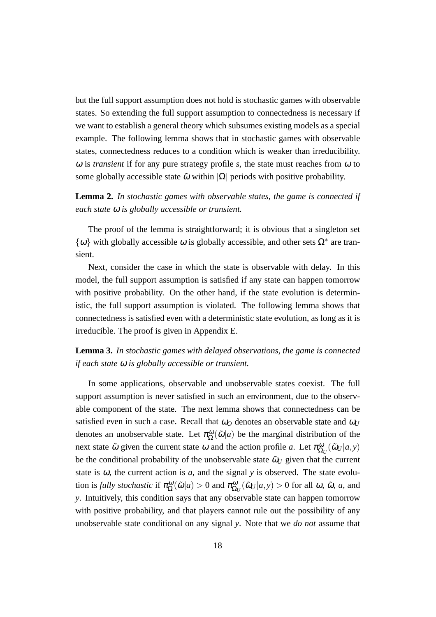but the full support assumption does not hold is stochastic games with observable states. So extending the full support assumption to connectedness is necessary if we want to establish a general theory which subsumes existing models as a special example. The following lemma shows that in stochastic games with observable states, connectedness reduces to a condition which is weaker than irreducibility.  $\omega$  is *transient* if for any pure strategy profile *s*, the state must reaches from  $\omega$  to some globally accessible state  $\tilde{\omega}$  within  $|\Omega|$  periods with positive probability.

**Lemma 2.** *In stochastic games with observable states, the game is connected if each state* <sup>ω</sup> *is globally accessible or transient.*

The proof of the lemma is straightforward; it is obvious that a singleton set  $\{\omega\}$  with globally accessible  $\omega$  is globally accessible, and other sets  $\Omega^*$  are transient.

Next, consider the case in which the state is observable with delay. In this model, the full support assumption is satisfied if any state can happen tomorrow with positive probability. On the other hand, if the state evolution is deterministic, the full support assumption is violated. The following lemma shows that connectedness is satisfied even with a deterministic state evolution, as long as it is irreducible. The proof is given in Appendix E.

**Lemma 3.** *In stochastic games with delayed observations, the game is connected if each state* <sup>ω</sup> *is globally accessible or transient.*

In some applications, observable and unobservable states coexist. The full support assumption is never satisfied in such an environment, due to the observable component of the state. The next lemma shows that connectedness can be satisfied even in such a case. Recall that  $\omega_O$  denotes an observable state and  $\omega_U$ denotes an unobservable state. Let  $\pi_{\Omega}^{\omega}(\tilde{\omega}|a)$  be the marginal distribution of the next state  $\tilde{\omega}$  given the current state  $\omega$  and the action profile *a*. Let  $\pi_{\Omega_U}^{\omega}(\tilde{\omega}_U|a, y)$ be the conditional probability of the unobservable state  $\tilde{\omega}_U$  given that the current state is  $\omega$ , the current action is  $a$ , and the signal  $y$  is observed. The state evolu- $\text{tion is fully stochastic if } \pi_{\Omega}^{\omega}(\tilde{\omega}|a) > 0 \text{ and } \pi_{\Omega_U}^{\omega}(\tilde{\omega}_U|a, y) > 0 \text{ for all } \omega, \tilde{\omega}, a \text{, and}$ *y*. Intuitively, this condition says that any observable state can happen tomorrow with positive probability, and that players cannot rule out the possibility of any unobservable state conditional on any signal *y*. Note that we *do not* assume that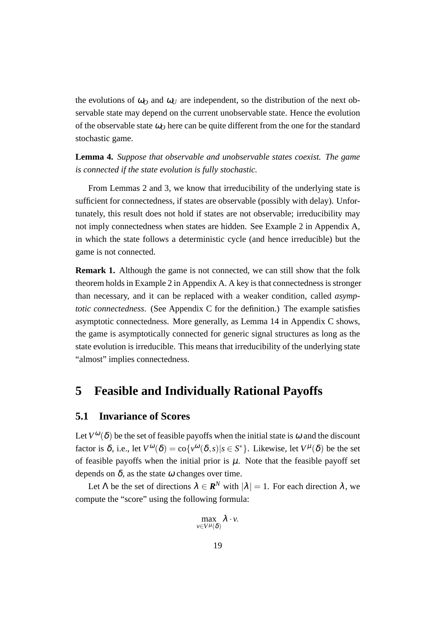the evolutions of  $\omega$ <sup>0</sup> and  $\omega$ <sup>*U*</sup> are independent, so the distribution of the next observable state may depend on the current unobservable state. Hence the evolution of the observable state  $\omega_0$  here can be quite different from the one for the standard stochastic game.

**Lemma 4.** *Suppose that observable and unobservable states coexist. The game is connected if the state evolution is fully stochastic.*

From Lemmas 2 and 3, we know that irreducibility of the underlying state is sufficient for connectedness, if states are observable (possibly with delay). Unfortunately, this result does not hold if states are not observable; irreducibility may not imply connectedness when states are hidden. See Example 2 in Appendix A, in which the state follows a deterministic cycle (and hence irreducible) but the game is not connected.

**Remark 1.** Although the game is not connected, we can still show that the folk theorem holds in Example 2 in Appendix A. A key is that connectedness is stronger than necessary, and it can be replaced with a weaker condition, called *asymptotic connectedness*. (See Appendix C for the definition.) The example satisfies asymptotic connectedness. More generally, as Lemma 14 in Appendix C shows, the game is asymptotically connected for generic signal structures as long as the state evolution is irreducible. This means that irreducibility of the underlying state "almost" implies connectedness.

# **5 Feasible and Individually Rational Payoffs**

### **5.1 Invariance of Scores**

Let  $V^{\omega}(\delta)$  be the set of feasible payoffs when the initial state is  $\omega$  and the discount factor is  $\delta$ , i.e., let  $V^{\omega}(\delta) = \text{co} \{v^{\omega}(\delta, s) | s \in S^* \}$ . Likewise, let  $V^{\mu}(\delta)$  be the set of feasible payoffs when the initial prior is  $\mu$ . Note that the feasible payoff set depends on  $\delta$ , as the state  $\omega$  changes over time.

Let  $\Lambda$  be the set of directions  $\lambda \in \mathbf{R}^N$  with  $|\lambda| = 1$ . For each direction  $\lambda$ , we compute the "score" using the following formula:

$$
\max_{v\in V^{\mu}(\delta)}\lambda\cdot v.
$$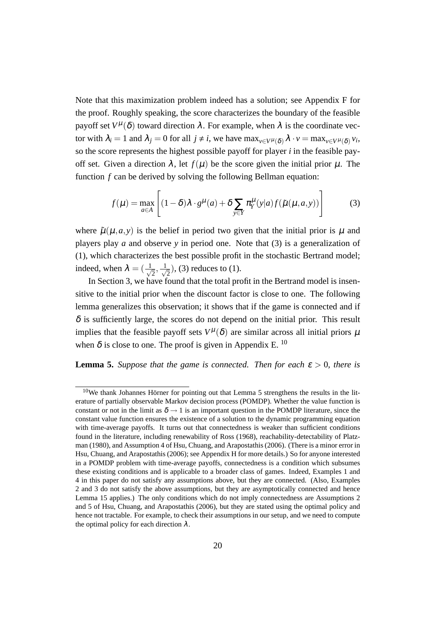Note that this maximization problem indeed has a solution; see Appendix F for the proof. Roughly speaking, the score characterizes the boundary of the feasible payoff set  $V^{\mu}(\delta)$  toward direction  $\lambda$ . For example, when  $\lambda$  is the coordinate vector with  $\lambda_i = 1$  and  $\lambda_j = 0$  for all  $j \neq i$ , we have  $\max_{v \in V^{\mu}(\delta)} \lambda \cdot v = \max_{v \in V^{\mu}(\delta)} v_i$ , so the score represents the highest possible payoff for player *i* in the feasible payoff set. Given a direction  $\lambda$ , let  $f(\mu)$  be the score given the initial prior  $\mu$ . The function *f* can be derived by solving the following Bellman equation:

$$
f(\mu) = \max_{a \in A} \left[ (1 - \delta) \lambda \cdot g^{\mu}(a) + \delta \sum_{y \in Y} \pi_Y^{\mu}(y|a) f(\tilde{\mu}(\mu, a, y)) \right]
$$
(3)

where  $\tilde{\mu}(\mu, a, y)$  is the belief in period two given that the initial prior is  $\mu$  and players play *a* and observe *y* in period one. Note that (3) is a generalization of (1), which characterizes the best possible profit in the stochastic Bertrand model; indeed, when  $\lambda = \left( \frac{1}{\sqrt{2}} \right)$  $\overline{2}$ ,  $\frac{1}{\sqrt{2}}$  $\overline{z}$ ), (3) reduces to (1).

In Section 3, we have found that the total profit in the Bertrand model is insensitive to the initial prior when the discount factor is close to one. The following lemma generalizes this observation; it shows that if the game is connected and if  $\delta$  is sufficiently large, the scores do not depend on the initial prior. This result implies that the feasible payoff sets  $V^{\mu}(\delta)$  are similar across all initial priors  $\mu$ when  $\delta$  is close to one. The proof is given in Appendix E.  $^{10}$ 

**Lemma 5.** *Suppose that the game is connected. Then for each*  $\varepsilon > 0$ *, there is* 

 $10$ We thank Johannes Hörner for pointing out that Lemma 5 strengthens the results in the literature of partially observable Markov decision process (POMDP). Whether the value function is constant or not in the limit as  $\delta \rightarrow 1$  is an important question in the POMDP literature, since the constant value function ensures the existence of a solution to the dynamic programming equation with time-average payoffs. It turns out that connectedness is weaker than sufficient conditions found in the literature, including renewability of Ross (1968), reachability-detectability of Platzman (1980), and Assumption 4 of Hsu, Chuang, and Arapostathis (2006). (There is a minor error in Hsu, Chuang, and Arapostathis (2006); see Appendix H for more details.) So for anyone interested in a POMDP problem with time-average payoffs, connectedness is a condition which subsumes these existing conditions and is applicable to a broader class of games. Indeed, Examples 1 and 4 in this paper do not satisfy any assumptions above, but they are connected. (Also, Examples 2 and 3 do not satisfy the above assumptions, but they are asymptotically connected and hence Lemma 15 applies.) The only conditions which do not imply connectedness are Assumptions 2 and 5 of Hsu, Chuang, and Arapostathis (2006), but they are stated using the optimal policy and hence not tractable. For example, to check their assumptions in our setup, and we need to compute the optimal policy for each direction  $\lambda$ .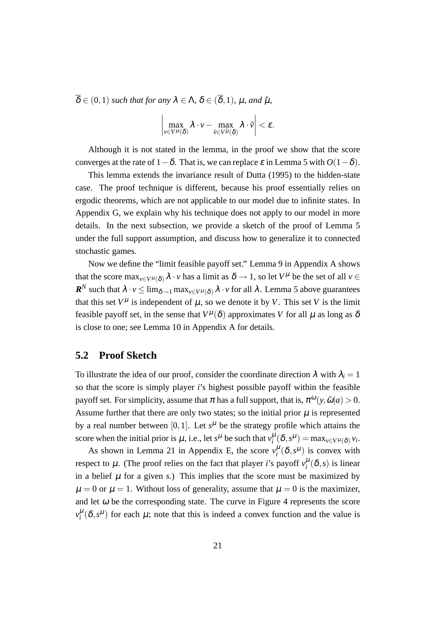$\overline{\delta} \in (0,1)$  *such that for any*  $\lambda \in \Lambda$ ,  $\delta \in (\overline{\delta},1)$ *,*  $\mu$ *, and*  $\tilde{\mu}$ *,* 

$$
\left|\max_{\nu\in V^{\mu}(\delta)}\lambda\cdot\nu-\max_{\tilde{\nu}\in V^{\tilde{\mu}}(\delta)}\lambda\cdot\tilde{\nu}\right|<\epsilon.
$$

Although it is not stated in the lemma, in the proof we show that the score converges at the rate of 1*−*δ. That is, we can replace <sup>ε</sup> in Lemma 5 with *O*(1*−*δ).

This lemma extends the invariance result of Dutta (1995) to the hidden-state case. The proof technique is different, because his proof essentially relies on ergodic theorems, which are not applicable to our model due to infinite states. In Appendix G, we explain why his technique does not apply to our model in more details. In the next subsection, we provide a sketch of the proof of Lemma 5 under the full support assumption, and discuss how to generalize it to connected stochastic games.

Now we define the "limit feasible payoff set." Lemma 9 in Appendix A shows that the score  $\max_{v \in V^\mu(\delta)} \lambda \cdot v$  has a limit as  $\delta \to 1$ , so let  $V^\mu$  be the set of all  $v \in$  $R^N$  such that  $\lambda \cdot v \le \lim_{\delta \to 1} \max_{v \in V^\mu(\delta)} \lambda \cdot v$  for all  $\lambda$  . Lemma 5 above guarantees that this set  $V^{\mu}$  is independent of  $\mu$ , so we denote it by *V*. This set *V* is the limit feasible payoff set, in the sense that  $V^{\mu}(\delta)$  approximates *V* for all  $\mu$  as long as  $\delta$ is close to one; see Lemma 10 in Appendix A for details.

### **5.2 Proof Sketch**

To illustrate the idea of our proof, consider the coordinate direction  $\lambda$  with  $\lambda_i = 1$ so that the score is simply player *i*'s highest possible payoff within the feasible payoff set. For simplicity, assume that  $\pi$  has a full support, that is,  $\pi^{\omega}(y, \tilde{\omega}|a) > 0$ . Assume further that there are only two states; so the initial prior  $\mu$  is represented by a real number between  $[0,1]$ . Let  $s^{\mu}$  be the strategy profile which attains the score when the initial prior is  $\mu$ , i.e., let  $s^{\mu}$  be such that  $v_i^{\mu}(\delta, s^{\mu}) = \max_{v \in V^{\mu}(\delta)} v_i$ .

As shown in Lemma 21 in Appendix E, the score  $v_i^{\mu}(\delta, s^{\mu})$  is convex with respect to  $\mu$ . (The proof relies on the fact that player *i*'s payoff  $v_i^{\mu}(\delta, s)$  is linear in a belief  $\mu$  for a given *s*.) This implies that the score must be maximized by  $\mu = 0$  or  $\mu = 1$ . Without loss of generality, assume that  $\mu = 0$  is the maximizer, and let  $\omega$  be the corresponding state. The curve in Figure 4 represents the score  $v_i^{\mu}(\delta, s^{\mu})$  for each  $\mu$ ; note that this is indeed a convex function and the value is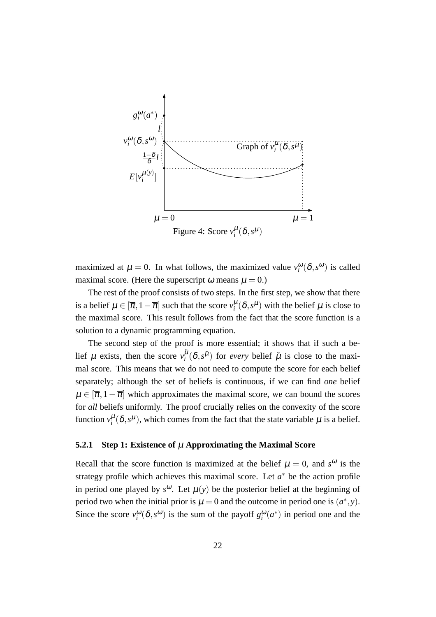

maximized at  $\mu = 0$ . In what follows, the maximized value  $v_i^{\omega}(\delta, s^{\omega})$  is called maximal score. (Here the superscript  $\omega$  means  $\mu = 0$ .)

The rest of the proof consists of two steps. In the first step, we show that there is a belief  $\mu \in [\overline{\pi}, 1 - \overline{\pi}]$  such that the score  $v_i^{\mu}(\delta, s^{\mu})$  with the belief  $\mu$  is close to the maximal score. This result follows from the fact that the score function is a solution to a dynamic programming equation.

The second step of the proof is more essential; it shows that if such a belief  $\mu$  exists, then the score  $v_i^{\tilde{\mu}}$  $\int_{i}^{\tilde{\mu}} (\delta, s^{\tilde{\mu}})$  for *every* belief  $\tilde{\mu}$  is close to the maximal score. This means that we do not need to compute the score for each belief separately; although the set of beliefs is continuous, if we can find *one* belief  $\mu \in [\overline{\pi}, 1 - \overline{\pi}]$  which approximates the maximal score, we can bound the scores for *all* beliefs uniformly. The proof crucially relies on the convexity of the score function  $v_i^{\mu}(\delta, s^{\mu})$ , which comes from the fact that the state variable  $\mu$  is a belief.

#### **5.2.1 Step 1: Existence of** µ **Approximating the Maximal Score**

Recall that the score function is maximized at the belief  $\mu = 0$ , and  $s^{\omega}$  is the strategy profile which achieves this maximal score. Let  $a^*$  be the action profile in period one played by  $s^{\omega}$ . Let  $\mu(y)$  be the posterior belief at the beginning of period two when the initial prior is  $\mu = 0$  and the outcome in period one is  $(a^*, y)$ . Since the score  $v_i^{\omega}(\delta, s^{\omega})$  is the sum of the payoff  $g_i^{\omega}(a^*)$  in period one and the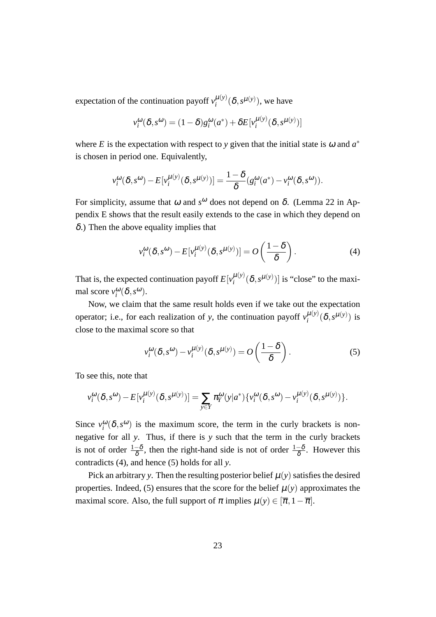expectation of the continuation payoff  $v_i^{\mu(y)}$  $_{i}^{\mu(y)}$  $(\delta, s^{\mu(y)})$ , we have

$$
v_i^{\omega}(\delta, s^{\omega}) = (1 - \delta)g_i^{\omega}(a^*) + \delta E[v_i^{\mu(y)}(\delta, s^{\mu(y)})]
$$

where *E* is the expectation with respect to *y* given that the initial state is  $\omega$  and  $a^*$ is chosen in period one. Equivalently,

$$
v_i^{\omega}(\delta, s^{\omega}) - E[v_i^{\mu(y)}(\delta, s^{\mu(y)})] = \frac{1-\delta}{\delta}(g_i^{\omega}(a^*) - v_i^{\omega}(\delta, s^{\omega})).
$$

For simplicity, assume that  $\omega$  and  $s^{\omega}$  does not depend on  $\delta$ . (Lemma 22 in Appendix E shows that the result easily extends to the case in which they depend on  $\delta$ .) Then the above equality implies that

$$
v_i^{\omega}(\delta, s^{\omega}) - E[v_i^{\mu(y)}(\delta, s^{\mu(y)})] = O\left(\frac{1-\delta}{\delta}\right).
$$
 (4)

That is, the expected continuation payoff  $E[v_i^{\mu(y)}]$  $\binom{\mu(y)}{i} (\delta, s^{\mu(y)})$  is "close" to the maximal score  $v_i^{\omega}(\delta, s^{\omega})$ .

Now, we claim that the same result holds even if we take out the expectation operator; i.e., for each realization of *y*, the continuation payoff  $v_i^{\mu(y)}$  $_{i}^{\mu(y)}(\delta, s^{\mu(y)})$  is close to the maximal score so that

$$
v_i^{\omega}(\delta, s^{\omega}) - v_i^{\mu(y)}(\delta, s^{\mu(y)}) = O\left(\frac{1-\delta}{\delta}\right).
$$
 (5)

To see this, note that

$$
v_i^{\omega}(\delta, s^{\omega}) - E[v_i^{\mu(y)}(\delta, s^{\mu(y)})] = \sum_{y \in Y} \pi_i^{\omega}(y|a^*) \{v_i^{\omega}(\delta, s^{\omega}) - v_i^{\mu(y)}(\delta, s^{\mu(y)})\}.
$$

Since  $v_i^{\omega}(\delta, s^{\omega})$  is the maximum score, the term in the curly brackets is nonnegative for all *y*. Thus, if there is *y* such that the term in the curly brackets is not of order  $\frac{1-\delta}{\delta}$ , then the right-hand side is not of order  $\frac{1-\delta}{\delta}$ . However this contradicts (4), and hence (5) holds for all *y*.

Pick an arbitrary *y*. Then the resulting posterior belief  $\mu(y)$  satisfies the desired properties. Indeed, (5) ensures that the score for the belief  $\mu(y)$  approximates the maximal score. Also, the full support of  $\pi$  implies  $\mu(y) \in [\overline{\pi}, 1 - \overline{\pi}]$ .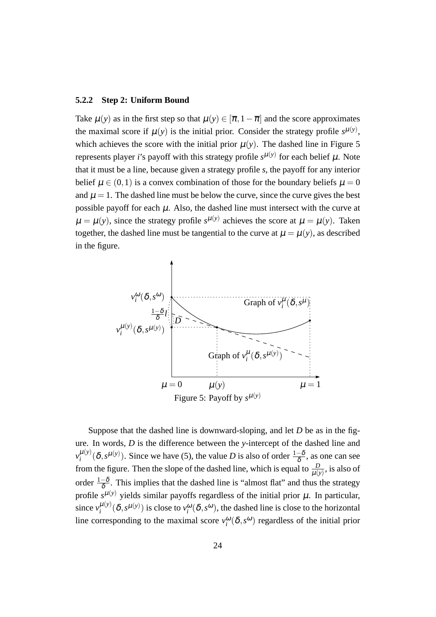#### **5.2.2 Step 2: Uniform Bound**

Take  $\mu(y)$  as in the first step so that  $\mu(y) \in [\overline{\pi}, 1 - \overline{\pi}]$  and the score approximates the maximal score if  $\mu(y)$  is the initial prior. Consider the strategy profile  $s^{\mu(y)}$ , which achieves the score with the initial prior  $\mu(y)$ . The dashed line in Figure 5 represents player *i*'s payoff with this strategy profile  $s^{\mu(y)}$  for each belief  $\mu$ . Note that it must be a line, because given a strategy profile *s*, the payoff for any interior belief  $\mu \in (0,1)$  is a convex combination of those for the boundary beliefs  $\mu = 0$ and  $\mu = 1$ . The dashed line must be below the curve, since the curve gives the best possible payoff for each  $\mu$ . Also, the dashed line must intersect with the curve at  $\mu = \mu(y)$ , since the strategy profile  $s^{\mu(y)}$  achieves the score at  $\mu = \mu(y)$ . Taken together, the dashed line must be tangential to the curve at  $\mu = \mu(y)$ , as described in the figure.



Suppose that the dashed line is downward-sloping, and let *D* be as in the figure. In words, *D* is the difference between the *y*-intercept of the dashed line and  $v_i^{\mu(y)}$  $\mu^{(y)}(\delta, s^{\mu(y)})$ . Since we have (5), the value *D* is also of order  $\frac{1-\delta}{\delta}$ , as one can see from the figure. Then the slope of the dashed line, which is equal to  $\frac{D}{\mu(y)}$ , is also of order  $\frac{1-\delta}{\delta}$ . This implies that the dashed line is "almost flat" and thus the strategy profile  $s^{\mu(y)}$  yields similar payoffs regardless of the initial prior  $\mu$ . In particular, since  $v_i^{\mu(y)}$  $\mu^{(y)}(\delta, s^{\mu(y)})$  is close to  $v_i^{\omega}(\delta, s^{\omega})$ , the dashed line is close to the horizontal line corresponding to the maximal score  $v_i^{\omega}(\delta, s^{\omega})$  regardless of the initial prior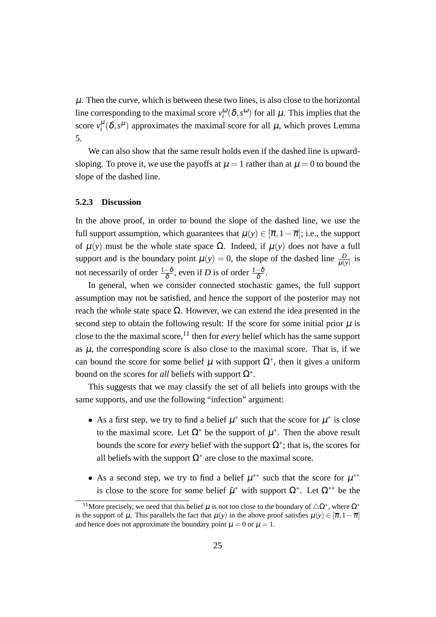$\mu$ . Then the curve, which is between these two lines, is also close to the horizontal line corresponding to the maximal score  $v_i^{\omega}(\delta, s^{\omega})$  for all  $\mu$ . This implies that the score  $v_i^{\mu}(\delta, s^{\mu})$  approximates the maximal score for all  $\mu$ , which proves Lemma 5.

We can also show that the same result holds even if the dashed line is upwardsloping. To prove it, we use the payoffs at  $\mu = 1$  rather than at  $\mu = 0$  to bound the slope of the dashed line.

#### **5.2.3 Discussion**

In the above proof, in order to bound the slope of the dashed line, we use the full support assumption, which guarantees that  $\mu(y) \in [\overline{\pi}, 1 - \overline{\pi}]$ ; i.e., the support of µ(*y*) must be the whole state space Ω. Indeed, if µ(*y*) does not have a full support and is the boundary point  $\mu(y) = 0$ , the slope of the dashed line  $\frac{D}{\mu(y)}$  is not necessarily of order  $\frac{1-\delta}{\delta}$ , even if *D* is of order  $\frac{1-\delta}{\delta}$ .

In general, when we consider connected stochastic games, the full support assumption may not be satisfied, and hence the support of the posterior may not reach the whole state space Ω. However, we can extend the idea presented in the second step to obtain the following result: If the score for some initial prior  $\mu$  is close to the the maximal score,<sup>11</sup> then for *every* belief which has the same support as  $\mu$ , the corresponding score is also close to the maximal score. That is, if we can bound the score for some belief  $\mu$  with support  $\Omega^*$ , then it gives a uniform bound on the scores for *all* beliefs with support Ω*<sup>∗</sup>* .

This suggests that we may classify the set of all beliefs into groups with the same supports, and use the following "infection" argument:

- As a first step, we try to find a belief  $\mu^*$  such that the score for  $\mu^*$  is close to the maximal score. Let  $\Omega^*$  be the support of  $\mu^*$ . Then the above result bounds the score for *every* belief with the support  $\Omega^*$ ; that is, the scores for all beliefs with the support  $\Omega^*$  are close to the maximal score.
- As a second step, we try to find a belief  $\mu^{**}$  such that the score for  $\mu^{**}$ is close to the score for some belief  $\tilde{\mu}^*$  with support  $\Omega^*$ . Let  $\Omega^{**}$  be the

<sup>&</sup>lt;sup>11</sup>More precisely, we need that this belief  $\mu$  is not too close to the boundary of  $\triangle \Omega^*$ , where  $\Omega^*$ is the support of  $\mu$ . This parallels the fact that  $\mu(y)$  in the above proof satisfies  $\mu(y) \in [\overline{\pi}, 1 - \overline{\pi}]$ and hence does not approximate the boundary point  $\mu = 0$  or  $\mu = 1$ .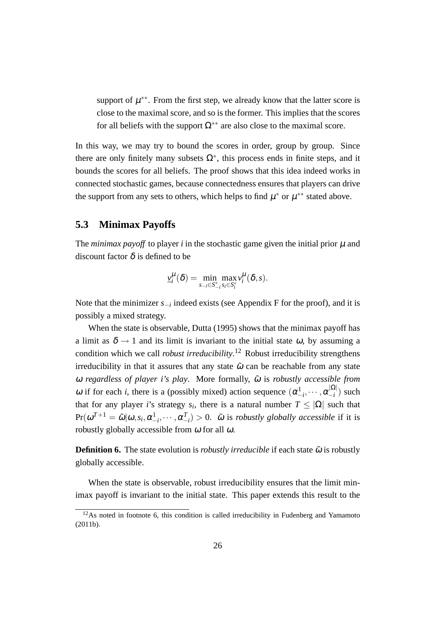support of  $\mu^{**}$ . From the first step, we already know that the latter score is close to the maximal score, and so is the former. This implies that the scores for all beliefs with the support  $\Omega^{**}$  are also close to the maximal score.

In this way, we may try to bound the scores in order, group by group. Since there are only finitely many subsets  $\Omega^*$ , this process ends in finite steps, and it bounds the scores for all beliefs. The proof shows that this idea indeed works in connected stochastic games, because connectedness ensures that players can drive the support from any sets to others, which helps to find  $\mu^*$  or  $\mu^{**}$  stated above.

### **5.3 Minimax Payoffs**

The *minimax payoff* to player *i* in the stochastic game given the initial prior  $\mu$  and discount factor  $\delta$  is defined to be

$$
\underline{v}_i^{\mu}(\delta) = \min_{s_{-i} \in S_{-i}^*} \max_{s_i \in S_i^*} v_i^{\mu}(\delta, s).
$$

Note that the minimizer *s−<sup>i</sup>* indeed exists (see Appendix F for the proof), and it is possibly a mixed strategy.

When the state is observable, Dutta (1995) shows that the minimax payoff has a limit as  $\delta \rightarrow 1$  and its limit is invariant to the initial state  $\omega$ , by assuming a condition which we call *robust irreducibility*. <sup>12</sup> Robust irreducibility strengthens irreducibility in that it assures that any state  $\tilde{\omega}$  can be reachable from any state <sup>ω</sup> *regardless of player i's play*. More formally, <sup>ω</sup>˜ is *robustly accessible from* ω if for each *i*, there is a (possibly mixed) action sequence  $(α_{-i}^1, ···, α_{-i}^{|Ω|})$  $\binom{|S^2|}{-i}$  such that for any player *i*'s strategy  $s_i$ , there is a natural number  $T \leq |\Omega|$  such that  $Pr(\omega^{T+1} = \tilde{\omega} | \omega, s_i, \alpha_{-i}^1, \cdots, \alpha_{-i}^T) > 0$ .  $\tilde{\omega}$  is *robustly globally accessible* if it is robustly globally accessible from  $\omega$  for all  $\omega$ .

**Definition 6.** The state evolution is *robustly irreducible* if each state  $\tilde{\omega}$  is robustly globally accessible.

When the state is observable, robust irreducibility ensures that the limit minimax payoff is invariant to the initial state. This paper extends this result to the

 $12$ As noted in footnote 6, this condition is called irreducibility in Fudenberg and Yamamoto (2011b).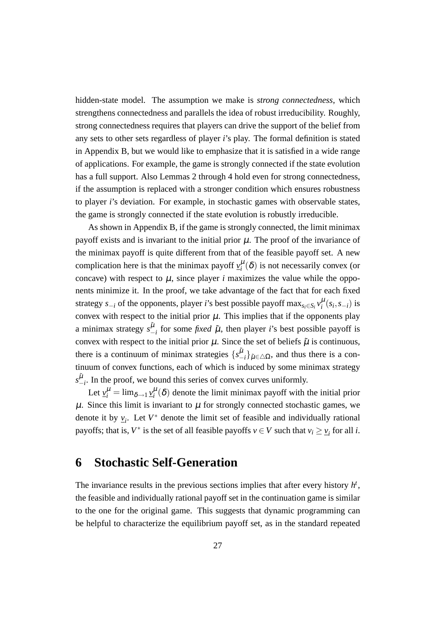hidden-state model. The assumption we make is *strong connectedness*, which strengthens connectedness and parallels the idea of robust irreducibility. Roughly, strong connectedness requires that players can drive the support of the belief from any sets to other sets regardless of player *i*'s play. The formal definition is stated in Appendix B, but we would like to emphasize that it is satisfied in a wide range of applications. For example, the game is strongly connected if the state evolution has a full support. Also Lemmas 2 through 4 hold even for strong connectedness, if the assumption is replaced with a stronger condition which ensures robustness to player *i*'s deviation. For example, in stochastic games with observable states, the game is strongly connected if the state evolution is robustly irreducible.

As shown in Appendix B, if the game is strongly connected, the limit minimax payoff exists and is invariant to the initial prior  $\mu$ . The proof of the invariance of the minimax payoff is quite different from that of the feasible payoff set. A new complication here is that the minimax payoff  $v_i^{\mu}(\delta)$  is not necessarily convex (or concave) with respect to  $\mu$ , since player *i* maximizes the value while the opponents minimize it. In the proof, we take advantage of the fact that for each fixed strategy *s*<sub>−*i*</sub></sub> of the opponents, player *i*'s best possible payoff  $\max_{s_i \in S_i} v_i^{\mu}(s_i, s_{-i})$  is convex with respect to the initial prior  $\mu$ . This implies that if the opponents play a minimax strategy  $s_-^{\tilde{\mu}}$  $\frac{\mu}{\mu}$  for some *fixed*  $\tilde{\mu}$ , then player *i*'s best possible payoff is convex with respect to the initial prior  $\mu$ . Since the set of beliefs  $\tilde{\mu}$  is continuous, there is a continuum of minimax strategies  $\{s^{\mu}$  $\binom{\mu}{i}$   $\tilde{\mu} \in \triangle \Omega$ , and thus there is a continuum of convex functions, each of which is induced by some minimax strategy  $s_-^{\tilde{\mu}}$  $\frac{\mu}{\mu}$ . In the proof, we bound this series of convex curves uniformly.

Let  $v_i^{\mu} = \lim_{\delta \to 1} v_i^{\mu}(\delta)$  denote the limit minimax payoff with the initial prior  $\mu$ . Since this limit is invariant to  $\mu$  for strongly connected stochastic games, we denote it by  $v_i$ . Let  $V^*$  denote the limit set of feasible and individually rational payoffs; that is,  $V^*$  is the set of all feasible payoffs  $v \in V$  such that  $v_i \ge v_i$  for all *i*.

# **6 Stochastic Self-Generation**

The invariance results in the previous sections implies that after every history *h t* , the feasible and individually rational payoff set in the continuation game is similar to the one for the original game. This suggests that dynamic programming can be helpful to characterize the equilibrium payoff set, as in the standard repeated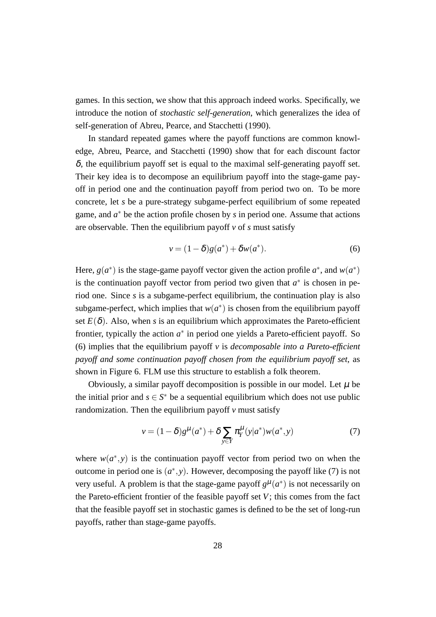games. In this section, we show that this approach indeed works. Specifically, we introduce the notion of *stochastic self-generation*, which generalizes the idea of self-generation of Abreu, Pearce, and Stacchetti (1990).

In standard repeated games where the payoff functions are common knowledge, Abreu, Pearce, and Stacchetti (1990) show that for each discount factor  $\delta$ , the equilibrium payoff set is equal to the maximal self-generating payoff set. Their key idea is to decompose an equilibrium payoff into the stage-game payoff in period one and the continuation payoff from period two on. To be more concrete, let *s* be a pure-strategy subgame-perfect equilibrium of some repeated game, and *a <sup>∗</sup>* be the action profile chosen by *s* in period one. Assume that actions are observable. Then the equilibrium payoff *v* of *s* must satisfy

$$
v = (1 - \delta)g(a^*) + \delta w(a^*).
$$
 (6)

Here,  $g(a^*)$  is the stage-game payoff vector given the action profile  $a^*$ , and  $w(a^*)$ is the continuation payoff vector from period two given that  $a^*$  is chosen in period one. Since *s* is a subgame-perfect equilibrium, the continuation play is also subgame-perfect, which implies that  $w(a^*)$  is chosen from the equilibrium payoff set  $E(\delta)$ . Also, when *s* is an equilibrium which approximates the Pareto-efficient frontier, typically the action  $a^*$  in period one yields a Pareto-efficient payoff. So (6) implies that the equilibrium payoff *v* is *decomposable into a Pareto-efficient payoff and some continuation payoff chosen from the equilibrium payoff set*, as shown in Figure 6. FLM use this structure to establish a folk theorem.

Obviously, a similar payoff decomposition is possible in our model. Let  $\mu$  be the initial prior and  $s \in S^*$  be a sequential equilibrium which does not use public randomization. Then the equilibrium payoff  $\nu$  must satisfy

$$
v = (1 - \delta)g^{\mu}(a^*) + \delta \sum_{y \in Y} \pi_Y^{\mu}(y|a^*)w(a^*, y)
$$
 (7)

where  $w(a^*, y)$  is the continuation payoff vector from period two on when the outcome in period one is  $(a^*, y)$ . However, decomposing the payoff like (7) is not very useful. A problem is that the stage-game payoff  $g^{\mu}(a^*)$  is not necessarily on the Pareto-efficient frontier of the feasible payoff set *V*; this comes from the fact that the feasible payoff set in stochastic games is defined to be the set of long-run payoffs, rather than stage-game payoffs.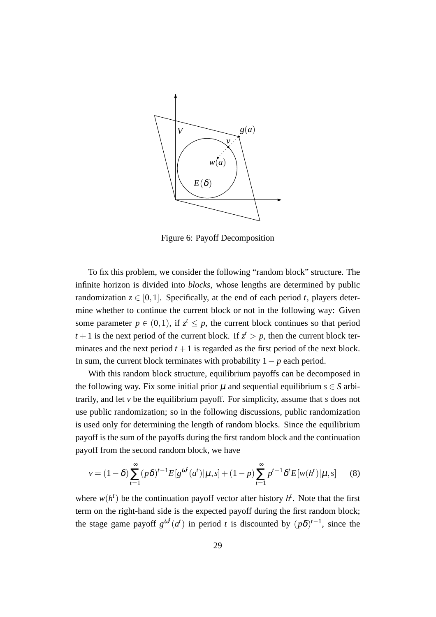

Figure 6: Payoff Decomposition

To fix this problem, we consider the following "random block" structure. The infinite horizon is divided into *blocks*, whose lengths are determined by public randomization  $z \in [0,1]$ . Specifically, at the end of each period *t*, players determine whether to continue the current block or not in the following way: Given some parameter  $p \in (0,1)$ , if  $z^t \leq p$ , the current block continues so that period  $t+1$  is the next period of the current block. If  $z^t > p$ , then the current block terminates and the next period  $t + 1$  is regarded as the first period of the next block. In sum, the current block terminates with probability 1*− p* each period.

With this random block structure, equilibrium payoffs can be decomposed in the following way. Fix some initial prior  $\mu$  and sequential equilibrium  $s \in S$  arbitrarily, and let *v* be the equilibrium payoff. For simplicity, assume that *s* does not use public randomization; so in the following discussions, public randomization is used only for determining the length of random blocks. Since the equilibrium payoff is the sum of the payoffs during the first random block and the continuation payoff from the second random block, we have

$$
v = (1 - \delta) \sum_{t=1}^{\infty} (p\delta)^{t-1} E[g^{\omega^t}(a^t) | \mu, s] + (1 - p) \sum_{t=1}^{\infty} p^{t-1} \delta^t E[w(h^t) | \mu, s]
$$
(8)

where  $w(h^t)$  be the continuation payoff vector after history  $h^t$ . Note that the first term on the right-hand side is the expected payoff during the first random block; the stage game payoff  $g^{\omega t}(a^t)$  in period *t* is discounted by  $(p\delta)^{t-1}$ , since the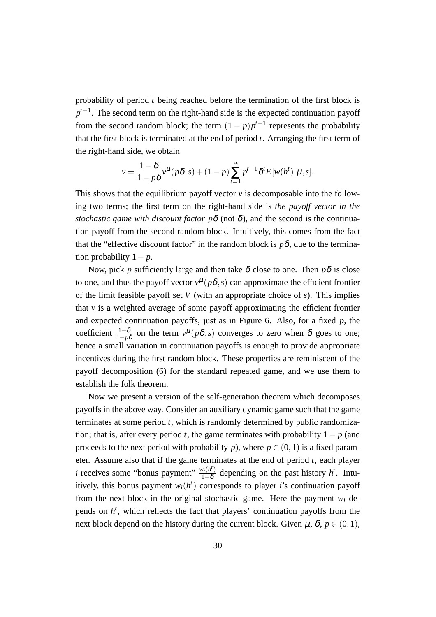probability of period *t* being reached before the termination of the first block is *p*<sup>*t*−1</sup>. The second term on the right-hand side is the expected continuation payoff from the second random block; the term  $(1-p)p^{t-1}$  represents the probability that the first block is terminated at the end of period *t*. Arranging the first term of the right-hand side, we obtain

$$
v = \frac{1-\delta}{1-p\delta}v^{\mu}(p\delta, s) + (1-p)\sum_{t=1}^{\infty}p^{t-1}\delta^t E[w(h^t)|\mu, s].
$$

This shows that the equilibrium payoff vector  $\nu$  is decomposable into the following two terms; the first term on the right-hand side is *the payoff vector in the stochastic game with discount factor*  $p\delta$  *(not*  $\delta$ *), and the second is the continua*tion payoff from the second random block. Intuitively, this comes from the fact that the "effective discount factor" in the random block is  $p\delta$ , due to the termination probability 1*− p*.

Now, pick *p* sufficiently large and then take  $\delta$  close to one. Then  $p\delta$  is close to one, and thus the payoff vector  $v^{\mu}(p\delta, s)$  can approximate the efficient frontier of the limit feasible payoff set *V* (with an appropriate choice of *s*). This implies that  $\nu$  is a weighted average of some payoff approximating the efficient frontier and expected continuation payoffs, just as in Figure 6. Also, for a fixed *p*, the coefficient  $\frac{1-\delta}{1-p\delta}$  on the term  $v^{\mu}(p\delta, s)$  converges to zero when  $\delta$  goes to one; hence a small variation in continuation payoffs is enough to provide appropriate incentives during the first random block. These properties are reminiscent of the payoff decomposition (6) for the standard repeated game, and we use them to establish the folk theorem.

Now we present a version of the self-generation theorem which decomposes payoffs in the above way. Consider an auxiliary dynamic game such that the game terminates at some period *t*, which is randomly determined by public randomization; that is, after every period *t*, the game terminates with probability 1*− p* (and proceeds to the next period with probability *p*), where  $p \in (0,1)$  is a fixed parameter. Assume also that if the game terminates at the end of period *t*, each player *i* receives some "bonus payment"  $\frac{w_i(h^i)}{1-\delta}$  $\frac{v_i(h^t)}{1-\delta}$  depending on the past history *h*<sup>*t*</sup>. Intuitively, this bonus payment  $w_i(h^t)$  corresponds to player *i*'s continuation payoff from the next block in the original stochastic game. Here the payment  $w_i$  depends on  $h<sup>t</sup>$ , which reflects the fact that players' continuation payoffs from the next block depend on the history during the current block. Given  $\mu$ ,  $\delta$ ,  $p \in (0,1)$ ,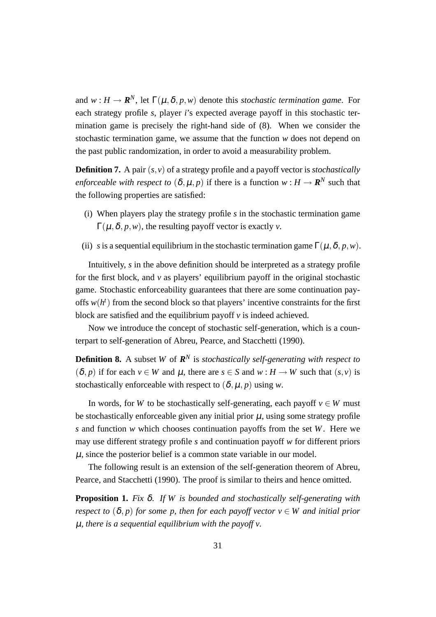and  $w : H \to \mathbf{R}^N$ , let  $\Gamma(\mu, \delta, p, w)$  denote this *stochastic termination game*. For each strategy profile *s*, player *i*'s expected average payoff in this stochastic termination game is precisely the right-hand side of (8). When we consider the stochastic termination game, we assume that the function *w* does not depend on the past public randomization, in order to avoid a measurability problem.

**Definition 7.** A pair (*s,v*) of a strategy profile and a payoff vector is *stochastically enforceable with respect to*  $(\delta, \mu, p)$  if there is a function  $w : H \to \mathbf{R}^N$  such that the following properties are satisfied:

- (i) When players play the strategy profile *s* in the stochastic termination game  $\Gamma(\mu,\delta,p,w)$ , the resulting payoff vector is exactly *v*.
- (ii) *s* is a sequential equilibrium in the stochastic termination game  $\Gamma(\mu, \delta, p, w)$ .

Intuitively, *s* in the above definition should be interpreted as a strategy profile for the first block, and *v* as players' equilibrium payoff in the original stochastic game. Stochastic enforceability guarantees that there are some continuation payoffs  $w(h^t)$  from the second block so that players' incentive constraints for the first block are satisfied and the equilibrium payoff *v* is indeed achieved.

Now we introduce the concept of stochastic self-generation, which is a counterpart to self-generation of Abreu, Pearce, and Stacchetti (1990).

**Definition 8.** A subset *W* of  $\mathbb{R}^N$  is *stochastically self-generating with respect to*  $(\delta, p)$  if for each  $v \in W$  and  $\mu$ , there are  $s \in S$  and  $w : H \to W$  such that  $(s, v)$  is stochastically enforceable with respect to  $(\delta, \mu, p)$  using *w*.

In words, for *W* to be stochastically self-generating, each payoff  $v \in W$  must be stochastically enforceable given any initial prior  $\mu$ , using some strategy profile *s* and function *w* which chooses continuation payoffs from the set *W*. Here we may use different strategy profile *s* and continuation payoff *w* for different priors  $\mu$ , since the posterior belief is a common state variable in our model.

The following result is an extension of the self-generation theorem of Abreu, Pearce, and Stacchetti (1990). The proof is similar to theirs and hence omitted.

**Proposition 1.** *Fix* δ*. If W is bounded and stochastically self-generating with respect to*  $(\delta, p)$  *for some p, then for each payoff vector*  $v \in W$  *and initial prior* µ*, there is a sequential equilibrium with the payoff v.*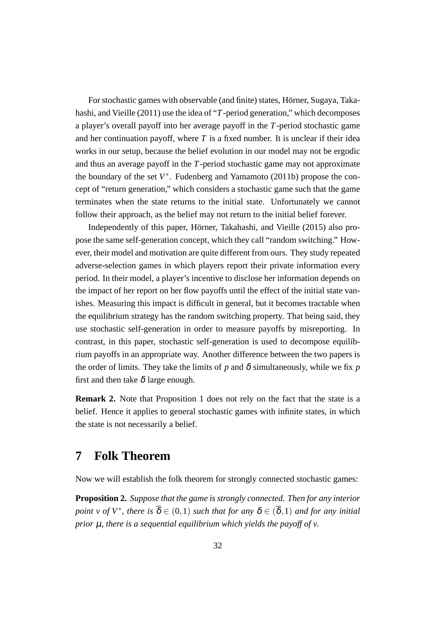For stochastic games with observable (and finite) states, Hörner, Sugaya, Takahashi, and Vieille (2011) use the idea of "*T*-period generation," which decomposes a player's overall payoff into her average payoff in the *T*-period stochastic game and her continuation payoff, where  $T$  is a fixed number. It is unclear if their idea works in our setup, because the belief evolution in our model may not be ergodic and thus an average payoff in the *T*-period stochastic game may not approximate the boundary of the set  $V^*$ . Fudenberg and Yamamoto (2011b) propose the concept of "return generation," which considers a stochastic game such that the game terminates when the state returns to the initial state. Unfortunately we cannot follow their approach, as the belief may not return to the initial belief forever.

Independently of this paper, Hörner, Takahashi, and Vieille (2015) also propose the same self-generation concept, which they call "random switching." However, their model and motivation are quite different from ours. They study repeated adverse-selection games in which players report their private information every period. In their model, a player's incentive to disclose her information depends on the impact of her report on her flow payoffs until the effect of the initial state vanishes. Measuring this impact is difficult in general, but it becomes tractable when the equilibrium strategy has the random switching property. That being said, they use stochastic self-generation in order to measure payoffs by misreporting. In contrast, in this paper, stochastic self-generation is used to decompose equilibrium payoffs in an appropriate way. Another difference between the two papers is the order of limits. They take the limits of  $p$  and  $\delta$  simultaneously, while we fix  $p$ first and then take  $\delta$  large enough.

**Remark 2.** Note that Proposition 1 does not rely on the fact that the state is a belief. Hence it applies to general stochastic games with infinite states, in which the state is not necessarily a belief.

## **7 Folk Theorem**

Now we will establish the folk theorem for strongly connected stochastic games:

**Proposition 2.** *Suppose that the game is strongly connected. Then for any interior point v of*  $V^*$ *, there is*  $\overline{\delta} \in (0,1)$  *such that for any*  $\delta \in (\overline{\delta},1)$  *and for any initial prior* µ*, there is a sequential equilibrium which yields the payoff of v.*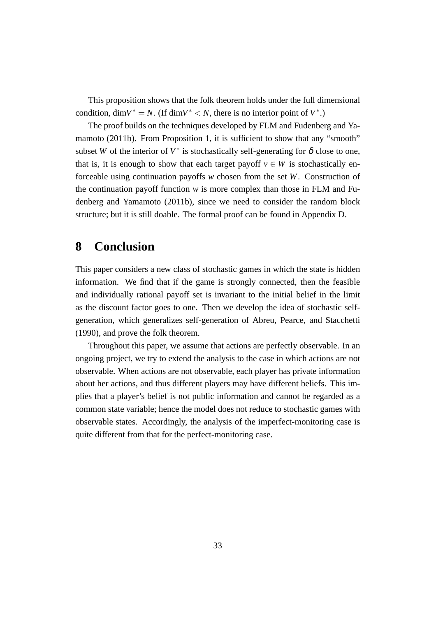This proposition shows that the folk theorem holds under the full dimensional condition, dim $V^* = N$ . (If dim $V^* < N$ , there is no interior point of  $V^*$ .)

The proof builds on the techniques developed by FLM and Fudenberg and Yamamoto (2011b). From Proposition 1, it is sufficient to show that any "smooth" subset *W* of the interior of  $V^*$  is stochastically self-generating for  $\delta$  close to one, that is, it is enough to show that each target payoff  $v \in W$  is stochastically enforceable using continuation payoffs *w* chosen from the set *W*. Construction of the continuation payoff function  $w$  is more complex than those in FLM and Fudenberg and Yamamoto (2011b), since we need to consider the random block structure; but it is still doable. The formal proof can be found in Appendix D.

## **8 Conclusion**

This paper considers a new class of stochastic games in which the state is hidden information. We find that if the game is strongly connected, then the feasible and individually rational payoff set is invariant to the initial belief in the limit as the discount factor goes to one. Then we develop the idea of stochastic selfgeneration, which generalizes self-generation of Abreu, Pearce, and Stacchetti (1990), and prove the folk theorem.

Throughout this paper, we assume that actions are perfectly observable. In an ongoing project, we try to extend the analysis to the case in which actions are not observable. When actions are not observable, each player has private information about her actions, and thus different players may have different beliefs. This implies that a player's belief is not public information and cannot be regarded as a common state variable; hence the model does not reduce to stochastic games with observable states. Accordingly, the analysis of the imperfect-monitoring case is quite different from that for the perfect-monitoring case.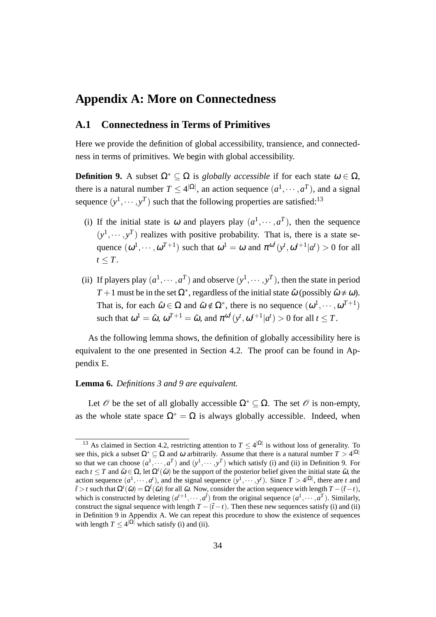### **Appendix A: More on Connectedness**

### **A.1 Connectedness in Terms of Primitives**

Here we provide the definition of global accessibility, transience, and connectedness in terms of primitives. We begin with global accessibility.

**Definition 9.** A subset  $Ω^∗ ⊆ Ω$  is *globally accessible* if for each state  $ω ∈ Ω$ . there is a natural number  $T \leq 4^{|\Omega|}$ , an action sequence  $(a^1, \dots, a^T)$ , and a signal sequence  $(y^1, \dots, y^T)$  such that the following properties are satisfied:<sup>13</sup>

- (i) If the initial state is  $\omega$  and players play  $(a^1, \dots, a^T)$ , then the sequence  $(y<sup>1</sup>, \dots, y<sup>T</sup>)$  realizes with positive probability. That is, there is a state sequence  $(\omega^1, \dots, \omega^{T+1})$  such that  $\omega^1 = \omega$  and  $\pi^{\omega^t}(y^t, \omega^{t+1} | a^t) > 0$  for all  $t \leq T$ .
- (ii) If players play  $(a^1, \dots, a^T)$  and observe  $(y^1, \dots, y^T)$ , then the state in period *T* + 1 must be in the set  $\Omega^*$ , regardless of the initial state  $\hat{\omega}$  (possibly  $\hat{\omega} \neq \omega$ ). That is, for each  $\hat{\omega} \in \Omega$  and  $\tilde{\omega} \notin \Omega^*$ , there is no sequence  $(\omega^1, \dots, \omega^{T+1})$ such that  $\omega^1 = \hat{\omega}, \, \omega^{T+1} = \tilde{\omega}, \text{ and } \pi^{\omega^t}(y^t, \omega^{t+1} | a^t) > 0 \text{ for all } t \leq T.$

As the following lemma shows, the definition of globally accessibility here is equivalent to the one presented in Section 4.2. The proof can be found in Appendix E.

#### **Lemma 6.** *Definitions 3 and 9 are equivalent.*

Let  $\mathcal O$  be the set of all globally accessible  $\Omega^* \subseteq \Omega$ . The set  $\mathcal O$  is non-empty, as the whole state space  $\Omega^* = \Omega$  is always globally accessible. Indeed, when

<sup>&</sup>lt;sup>13</sup> As claimed in Section 4.2, restricting attention to  $T \leq 4^{|\Omega|}$  is without loss of generality. To see this, pick a subset  $\Omega^* \subseteq \Omega$  and  $\omega$  arbitrarily. Assume that there is a natural number  $T > 4^{|\Omega|}$ so that we can choose  $(a^1, \dots, a^T)$  and  $(y^1, \dots, y^T)$  which satisfy (i) and (ii) in Definition 9. For each  $t \leq T$  and  $\tilde{\omega} \in \Omega$ , let  $\Omega^t(\tilde{\omega})$  be the support of the posterior belief given the initial state  $\tilde{\omega}$ , the action sequence  $(a^1, \dots, a^t)$ , and the signal sequence  $(y^1, \dots, y^t)$ . Since  $T > 4^{|\Omega|}$ , there are t and  $\tilde{t}$  > *t* such that  $\Omega^t(\tilde{\omega}) = \Omega^{\tilde{t}}(\tilde{\omega})$  for all  $\tilde{\omega}$ . Now, consider the action sequence with length  $T - (\tilde{t} - t)$ , which is constructed by deleting  $(a^{t+1}, \dots, a^t)$  from the original sequence  $(a^1, \dots, a^T)$ . Similarly, construct the signal sequence with length  $T - (\tilde{t} - t)$ . Then these new sequences satisfy (i) and (ii) in Definition 9 in Appendix A. We can repeat this procedure to show the existence of sequences with length  $T \leq 4^{|\Omega|}$  which satisfy (i) and (ii).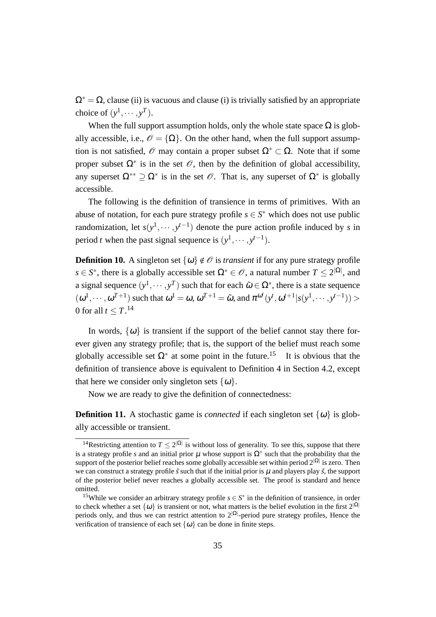$\Omega^* = \Omega$ , clause (ii) is vacuous and clause (i) is trivially satisfied by an appropriate choice of  $(y^1, \dots, y^T)$ .

When the full support assumption holds, only the whole state space  $\Omega$  is globally accessible, i.e.,  $\mathcal{O} = {\Omega}$ . On the other hand, when the full support assumption is not satisfied,  $\mathcal O$  may contain a proper subset  $\Omega^* \subset \Omega$ . Note that if some proper subset  $\Omega^*$  is in the set  $\mathcal O$ , then by the definition of global accessibility, any superset  $\Omega^{**} \supseteq \Omega^*$  is in the set  $\mathscr O$ . That is, any superset of  $\Omega^*$  is globally accessible.

The following is the definition of transience in terms of primitives. With an abuse of notation, for each pure strategy profile  $s \in S^*$  which does not use public randomization, let  $s(y^1, \dots, y^{t-1})$  denote the pure action profile induced by *s* in period *t* when the past signal sequence is  $(y<sup>1</sup>, \dots, y<sup>t-1</sup>)$ .

**Definition 10.** A singleton set  $\{\omega\} \notin \mathcal{O}$  is *transient* if for any pure strategy profile *s*  $\in$  *S*<sup>\*</sup>, there is a globally accessible set  $\Omega$ <sup>\*</sup>  $\in$  *O*, a natural number *T*  $\leq$  2<sup> $|\Omega|$ </sup>, and a signal sequence  $(y^1, \dots, y^T)$  such that for each  $\tilde{\omega} \in \Omega^*$ , there is a state sequence  $(\omega^1, \dots, \omega^{T+1})$  such that  $\omega^1 = \omega$ ,  $\omega^{T+1} = \tilde{\omega}$ , and  $\pi^{\omega^t}(y^t, \omega^{t+1}|s(y^1, \dots, y^{t-1}))$ 0 for all  $t \leq T$ .<sup>14</sup>

In words,  $\{\omega\}$  is transient if the support of the belief cannot stay there forever given any strategy profile; that is, the support of the belief must reach some globally accessible set  $\Omega^*$  at some point in the future.<sup>15</sup> It is obvious that the definition of transience above is equivalent to Definition 4 in Section 4.2, except that here we consider only singleton sets  $\{\omega\}$ .

Now we are ready to give the definition of connectedness:

**Definition 11.** A stochastic game is *connected* if each singleton set  $\{\omega\}$  is globally accessible or transient.

<sup>&</sup>lt;sup>14</sup>Restricting attention to  $T \leq 2^{|\Omega|}$  is without loss of generality. To see this, suppose that there is a strategy profile *s* and an initial prior  $\mu$  whose support is  $\Omega^*$  such that the probability that the support of the posterior belief reaches some globally accessible set within period 2*|*Ω*<sup>|</sup>* is zero. Then we can construct a strategy profile  $\tilde{s}$  such that if the initial prior is  $\mu$  and players play  $\tilde{s}$ , the support of the posterior belief never reaches a globally accessible set. The proof is standard and hence omitted.

<sup>&</sup>lt;sup>15</sup>While we consider an arbitrary strategy profile  $s \in S^*$  in the definition of transience, in order to check whether a set  $\{\omega\}$  is transient or not, what matters is the belief evolution in the first  $2^{|\Omega|}$ periods only, and thus we can restrict attention to 2*|*Ω*<sup>|</sup>* -period pure strategy profiles, Hence the verification of transience of each set  $\{\omega\}$  can be done in finite steps.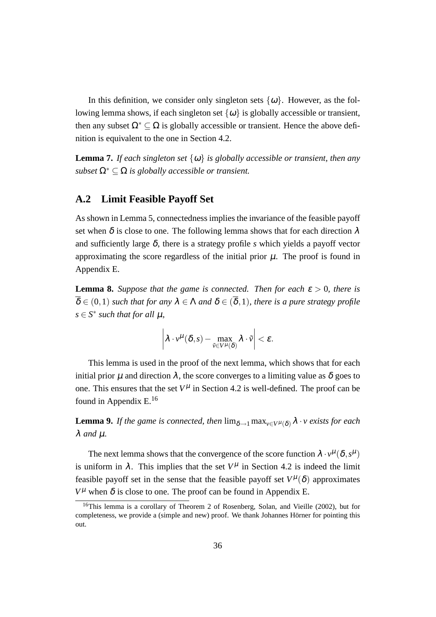In this definition, we consider only singleton sets  $\{\omega\}$ . However, as the following lemma shows, if each singleton set  $\{\omega\}$  is globally accessible or transient, then any subset  $\Omega^* \subset \Omega$  is globally accessible or transient. Hence the above definition is equivalent to the one in Section 4.2.

**Lemma 7.** *If each singleton set*  $\{\omega\}$  *is globally accessible or transient, then any subset*  $\Omega^* \subseteq \Omega$  *is globally accessible or transient.* 

### **A.2 Limit Feasible Payoff Set**

As shown in Lemma 5, connectedness implies the invariance of the feasible payoff set when  $\delta$  is close to one. The following lemma shows that for each direction  $\lambda$ and sufficiently large  $\delta$ , there is a strategy profile *s* which yields a payoff vector approximating the score regardless of the initial prior  $\mu$ . The proof is found in Appendix E.

**Lemma 8.** *Suppose that the game is connected. Then for each*  $\varepsilon > 0$ *, there is*  $\overline{\delta} \in (0,1)$  *such that for any*  $\lambda \in \Lambda$  *and*  $\delta \in (\overline{\delta},1)$ *, there is a pure strategy profile*  $s \in S^*$  *such that for all*  $\mu$ *,* 

$$
\left|\lambda\cdot\nu^{\mu}(\delta,s)-\max_{\tilde{\nu}\in V^{\mu}(\delta)}\lambda\cdot\tilde{\nu}\right|<\varepsilon.
$$

This lemma is used in the proof of the next lemma, which shows that for each initial prior  $\mu$  and direction  $\lambda$ , the score converges to a limiting value as  $\delta$  goes to one. This ensures that the set  $V^{\mu}$  in Section 4.2 is well-defined. The proof can be found in Appendix  $E^{16}$ 

**Lemma 9.** *If the game is connected, then*  $\lim_{\delta \to 1} \max_{y \in V^{\mu}(\delta)} \lambda \cdot v$  *exists for each* λ *and* µ*.*

The next lemma shows that the convergence of the score function  $\lambda \cdot v^{\mu}(\delta, s^{\mu})$ is uniform in  $\lambda$ . This implies that the set  $V^{\mu}$  in Section 4.2 is indeed the limit feasible payoff set in the sense that the feasible payoff set  $V^{\mu}(\delta)$  approximates  $V^{\mu}$  when  $\delta$  is close to one. The proof can be found in Appendix E.

 $16$ This lemma is a corollary of Theorem 2 of Rosenberg, Solan, and Vieille (2002), but for completeness, we provide a (simple and new) proof. We thank Johannes Hörner for pointing this out.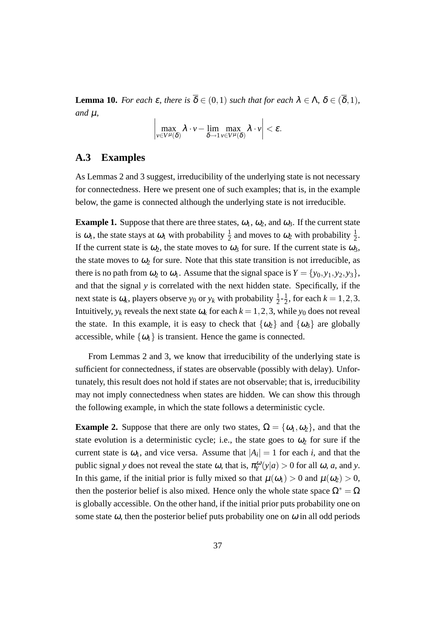**Lemma 10.** *For each*  $\varepsilon$ *, there is*  $\overline{\delta} \in (0,1)$  *such that for each*  $\lambda \in \Lambda$ ,  $\delta \in (\overline{\delta},1)$ *,*  $and \mu$ ,

$$
\left|\max_{\nu\in V^{\mu}(\delta)}\lambda\cdot\nu-\lim_{\delta\rightarrow 1}\max_{\nu\in V^{\mu}(\delta)}\lambda\cdot\nu\right|<\varepsilon.
$$

## **A.3 Examples**

As Lemmas 2 and 3 suggest, irreducibility of the underlying state is not necessary for connectedness. Here we present one of such examples; that is, in the example below, the game is connected although the underlying state is not irreducible.

**Example 1.** Suppose that there are three states,  $\omega_1$ ,  $\omega_2$ , and  $\omega_3$ . If the current state is  $\omega_1$ , the state stays at  $\omega_1$  with probability  $\frac{1}{2}$  and moves to  $\omega_2$  with probability  $\frac{1}{2}$ . If the current state is  $\omega_2$ , the state moves to  $\omega_3$  for sure. If the current state is  $\omega_3$ , the state moves to  $\omega_2$  for sure. Note that this state transition is not irreducible, as there is no path from  $\omega_2$  to  $\omega_1$ . Assume that the signal space is  $Y = \{y_0, y_1, y_2, y_3\}$ , and that the signal *y* is correlated with the next hidden state. Specifically, if the next state is  $\omega_k$ , players observe  $y_0$  or  $y_k$  with probability  $\frac{1}{2}$ - $\frac{1}{2}$  $\frac{1}{2}$ , for each  $k = 1, 2, 3$ . Intuitively,  $y_k$  reveals the next state  $\omega_k$  for each  $k = 1, 2, 3$ , while  $y_0$  does not reveal the state. In this example, it is easy to check that  $\{\omega_2\}$  and  $\{\omega_3\}$  are globally accessible, while  $\{\omega_1\}$  is transient. Hence the game is connected.

From Lemmas 2 and 3, we know that irreducibility of the underlying state is sufficient for connectedness, if states are observable (possibly with delay). Unfortunately, this result does not hold if states are not observable; that is, irreducibility may not imply connectedness when states are hidden. We can show this through the following example, in which the state follows a deterministic cycle.

**Example 2.** Suppose that there are only two states,  $\Omega = {\omega_1, \omega_2}$ , and that the state evolution is a deterministic cycle; i.e., the state goes to  $\omega_2$  for sure if the current state is  $\omega_1$ , and vice versa. Assume that  $|A_i| = 1$  for each *i*, and that the public signal *y* does not reveal the state  $\omega$ , that is,  $\pi_Y^{\omega}(y|a) > 0$  for all  $\omega$ , *a*, and *y*. In this game, if the initial prior is fully mixed so that  $\mu(\omega_1) > 0$  and  $\mu(\omega_2) > 0$ , then the posterior belief is also mixed. Hence only the whole state space  $\Omega^* = \Omega$ is globally accessible. On the other hand, if the initial prior puts probability one on some state  $\omega$ , then the posterior belief puts probability one on  $\omega$  in all odd periods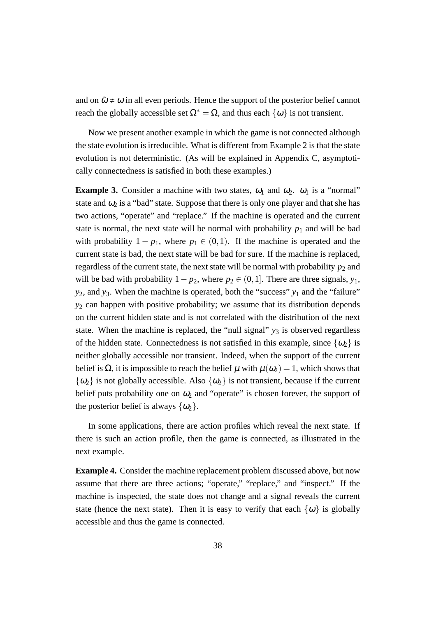and on  $\tilde{\omega} \neq \omega$  in all even periods. Hence the support of the posterior belief cannot reach the globally accessible set  $\Omega^* = \Omega$ , and thus each  $\{\omega\}$  is not transient.

Now we present another example in which the game is not connected although the state evolution is irreducible. What is different from Example 2 is that the state evolution is not deterministic. (As will be explained in Appendix C, asymptotically connectedness is satisfied in both these examples.)

**Example 3.** Consider a machine with two states,  $\omega_1$  and  $\omega_2$ .  $\omega_1$  is a "normal" state and  $\omega_2$  is a "bad" state. Suppose that there is only one player and that she has two actions, "operate" and "replace." If the machine is operated and the current state is normal, the next state will be normal with probability  $p_1$  and will be bad with probability  $1 - p_1$ , where  $p_1 \in (0, 1)$ . If the machine is operated and the current state is bad, the next state will be bad for sure. If the machine is replaced, regardless of the current state, the next state will be normal with probability  $p_2$  and will be bad with probability  $1-p_2$ , where  $p_2 \in (0,1]$ . There are three signals,  $y_1$ , *y*<sub>2</sub>, and *y*<sub>3</sub>. When the machine is operated, both the "success" *y*<sub>1</sub> and the "failure" *y*<sup>2</sup> can happen with positive probability; we assume that its distribution depends on the current hidden state and is not correlated with the distribution of the next state. When the machine is replaced, the "null signal"  $y_3$  is observed regardless of the hidden state. Connectedness is not satisfied in this example, since  $\{\omega_2\}$  is neither globally accessible nor transient. Indeed, when the support of the current belief is  $\Omega$ , it is impossible to reach the belief  $\mu$  with  $\mu(\omega_2) = 1$ , which shows that  $\{\omega_2\}$  is not globally accessible. Also  $\{\omega_2\}$  is not transient, because if the current belief puts probability one on  $\omega_2$  and "operate" is chosen forever, the support of the posterior belief is always  $\{\omega_2\}$ .

In some applications, there are action profiles which reveal the next state. If there is such an action profile, then the game is connected, as illustrated in the next example.

**Example 4.** Consider the machine replacement problem discussed above, but now assume that there are three actions; "operate," "replace," and "inspect." If the machine is inspected, the state does not change and a signal reveals the current state (hence the next state). Then it is easy to verify that each  $\{\omega\}$  is globally accessible and thus the game is connected.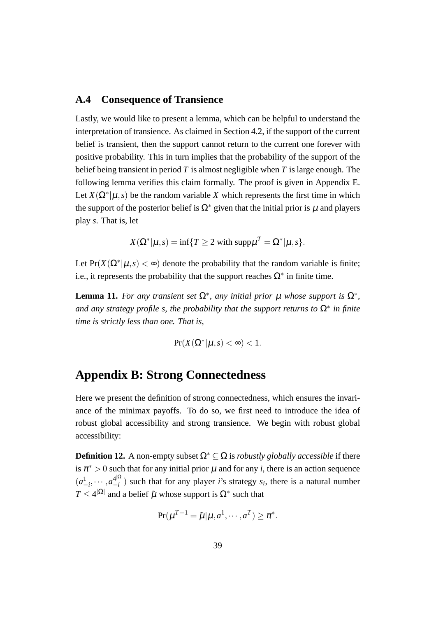## **A.4 Consequence of Transience**

Lastly, we would like to present a lemma, which can be helpful to understand the interpretation of transience. As claimed in Section 4.2, if the support of the current belief is transient, then the support cannot return to the current one forever with positive probability. This in turn implies that the probability of the support of the belief being transient in period *T* is almost negligible when *T* is large enough. The following lemma verifies this claim formally. The proof is given in Appendix E. Let  $X(\Omega^*|\mu, s)$  be the random variable X which represents the first time in which the support of the posterior belief is  $\Omega^*$  given that the initial prior is u and players play *s*. That is, let

$$
X(\Omega^*|\mu, s) = \inf\{T \ge 2 \text{ with } \text{supp}\mu^T = \Omega^*|\mu, s\}.
$$

Let  $Pr(X(\Omega^* | \mu, s) < \infty)$  denote the probability that the random variable is finite; i.e., it represents the probability that the support reaches  $\Omega^*$  in finite time.

**Lemma 11.** For any transient set  $\Omega^*$ , any initial prior  $\mu$  whose support is  $\Omega^*$ , *and any strategy profile s, the probability that the support returns to* Ω*<sup>∗</sup> in finite time is strictly less than one. That is,*

$$
\Pr(X(\Omega^*|\mu, s) < \infty) < 1.
$$

# **Appendix B: Strong Connectedness**

Here we present the definition of strong connectedness, which ensures the invariance of the minimax payoffs. To do so, we first need to introduce the idea of robust global accessibility and strong transience. We begin with robust global accessibility:

**Definition 12.** A non-empty subset  $\Omega^* \subset \Omega$  is *robustly globally accessible* if there is  $\pi^* > 0$  such that for any initial prior  $\mu$  and for any *i*, there is an action sequence  $(a_{-i}^1, \cdots, a_{-i}^{4|\Omega|})$ *−i* ) such that for any player *i*'s strategy *s<sup>i</sup>* , there is a natural number  $T \leq 4^{|\Omega|}$  and a belief  $\tilde{\mu}$  whose support is  $\Omega^*$  such that

$$
\Pr(\mu^{T+1} = \tilde{\mu} | \mu, a^1, \cdots, a^T) \ge \pi^*.
$$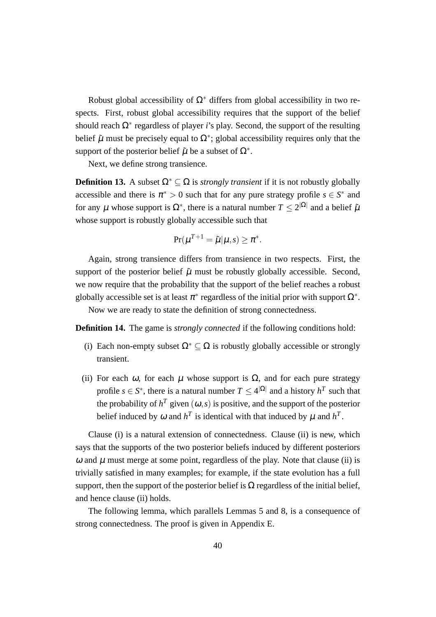Robust global accessibility of  $\Omega^*$  differs from global accessibility in two respects. First, robust global accessibility requires that the support of the belief should reach Ω*<sup>∗</sup>* regardless of player *i*'s play. Second, the support of the resulting belief  $\tilde{\mu}$  must be precisely equal to  $\Omega^*$ ; global accessibility requires only that the support of the posterior belief  $\tilde{\mu}$  be a subset of  $\Omega^*$ .

Next, we define strong transience.

**Definition 13.** A subset  $\Omega^* \subseteq \Omega$  is *strongly transient* if it is not robustly globally accessible and there is  $\pi^* > 0$  such that for any pure strategy profile  $s \in S^*$  and for any  $\mu$  whose support is  $\Omega^*$ , there is a natural number  $T \leq 2^{|\Omega|}$  and a belief  $\tilde{\mu}$ whose support is robustly globally accessible such that

$$
\Pr(\mu^{T+1} = \tilde{\mu} | \mu, s) \geq \pi^*.
$$

Again, strong transience differs from transience in two respects. First, the support of the posterior belief  $\tilde{\mu}$  must be robustly globally accessible. Second, we now require that the probability that the support of the belief reaches a robust globally accessible set is at least  $\pi^*$  regardless of the initial prior with support  $\Omega^*$ .

Now we are ready to state the definition of strong connectedness.

**Definition 14.** The game is *strongly connected* if the following conditions hold:

- (i) Each non-empty subset  $\Omega^* \subseteq \Omega$  is robustly globally accessible or strongly transient.
- (ii) For each  $\omega$ , for each  $\mu$  whose support is  $\Omega$ , and for each pure strategy profile  $s \in S^*$ , there is a natural number  $T \leq 4^{|\Omega|}$  and a history  $h^T$  such that the probability of  $h^T$  given  $(\omega, s)$  is positive, and the support of the posterior belief induced by  $\omega$  and  $h^T$  is identical with that induced by  $\mu$  and  $h^T$ .

Clause (i) is a natural extension of connectedness. Clause (ii) is new, which says that the supports of the two posterior beliefs induced by different posteriors  $\omega$  and  $\mu$  must merge at some point, regardless of the play. Note that clause (ii) is trivially satisfied in many examples; for example, if the state evolution has a full support, then the support of the posterior belief is  $\Omega$  regardless of the initial belief, and hence clause (ii) holds.

The following lemma, which parallels Lemmas 5 and 8, is a consequence of strong connectedness. The proof is given in Appendix E.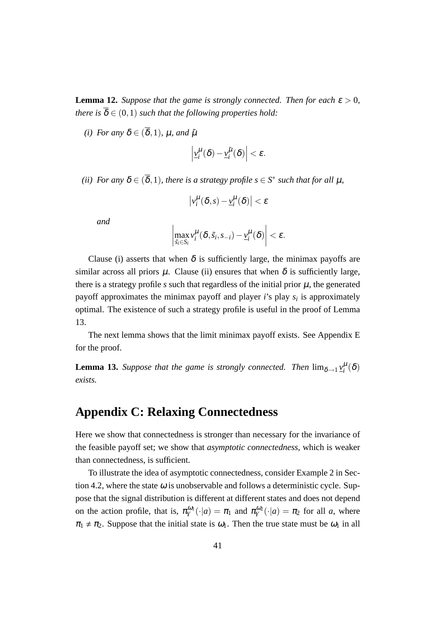**Lemma 12.** *Suppose that the game is strongly connected. Then for each*  $\epsilon > 0$ *, there is*  $\overline{\delta} \in (0,1)$  *such that the following properties hold:* 

*(i)* For any  $\delta \in (\overline{\delta}, 1)$ , u, and  $\tilde{\mu}$ 

$$
\left|\underline{v}_i^{\mu}(\delta)-\underline{v}_i^{\tilde{\mu}}(\delta)\right|<\varepsilon.
$$

*(ii)* For any  $\delta \in (\overline{\delta}, 1)$ , there is a strategy profile  $s \in S^*$  such that for all  $\mu$ ,

$$
\left|\nu_i^\mu(\delta,s)-\underline{\nu}_i^\mu(\delta)\right|<\varepsilon
$$

*and*

$$
\left|\max_{\tilde{s}_i\in S_i}\nu_i^{\mu}(\delta,\tilde{s}_i,s_{-i})-\underline{\nu}_i^{\mu}(\delta)\right|<\varepsilon.
$$

Clause (i) asserts that when  $\delta$  is sufficiently large, the minimax payoffs are similar across all priors  $\mu$ . Clause (ii) ensures that when  $\delta$  is sufficiently large, there is a strategy profile  $s$  such that regardless of the initial prior  $\mu$ , the generated payoff approximates the minimax payoff and player *i*'s play *s<sup>i</sup>* is approximately optimal. The existence of such a strategy profile is useful in the proof of Lemma 13.

The next lemma shows that the limit minimax payoff exists. See Appendix E for the proof.

**Lemma 13.** *Suppose that the game is strongly connected. Then*  $\lim_{\delta \to 1} v_i^{\mu}(\delta)$ *exists.*

# **Appendix C: Relaxing Connectedness**

Here we show that connectedness is stronger than necessary for the invariance of the feasible payoff set; we show that *asymptotic connectedness*, which is weaker than connectedness, is sufficient.

To illustrate the idea of asymptotic connectedness, consider Example 2 in Section 4.2, where the state  $\omega$  is unobservable and follows a deterministic cycle. Suppose that the signal distribution is different at different states and does not depend on the action profile, that is,  $\pi_Y^{\omega_1}(\cdot|a) = \pi_1$  and  $\pi_Y^{\omega_2}(\cdot|a) = \pi_2$  for all *a*, where  $\pi_1 \neq \pi_2$ . Suppose that the initial state is  $\omega_1$ . Then the true state must be  $\omega_1$  in all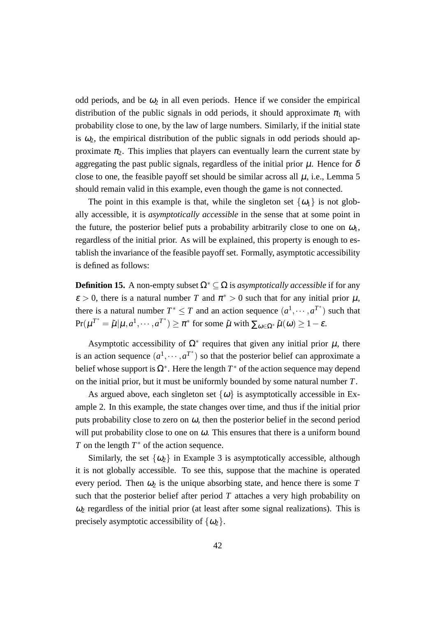odd periods, and be  $\omega_2$  in all even periods. Hence if we consider the empirical distribution of the public signals in odd periods, it should approximate  $\pi_1$  with probability close to one, by the law of large numbers. Similarly, if the initial state is  $\omega_2$ , the empirical distribution of the public signals in odd periods should approximate  $\pi_2$ . This implies that players can eventually learn the current state by aggregating the past public signals, regardless of the initial prior  $\mu$ . Hence for  $\delta$ close to one, the feasible payoff set should be similar across all  $\mu$ , i.e., Lemma 5 should remain valid in this example, even though the game is not connected.

The point in this example is that, while the singleton set  $\{\omega_1\}$  is not globally accessible, it is *asymptotically accessible* in the sense that at some point in the future, the posterior belief puts a probability arbitrarily close to one on  $\omega_1$ , regardless of the initial prior. As will be explained, this property is enough to establish the invariance of the feasible payoff set. Formally, asymptotic accessibility is defined as follows:

**Definition 15.** A non-empty subset  $\Omega^* \subseteq \Omega$  is *asymptotically accessible* if for any  $\epsilon > 0$ , there is a natural number *T* and  $\pi^* > 0$  such that for any initial prior  $\mu$ , there is a natural number  $T^* \leq T$  and an action sequence  $(a^1, \dots, a^{T^*})$  such that  $Pr(\mu^{T^*} = \tilde{\mu} | \mu, a^1, \dots, a^{T^*}) \ge \pi^*$  for some  $\tilde{\mu}$  with  $\sum_{\omega \in \Omega^*} \tilde{\mu}(\omega) \ge 1 - \varepsilon$ .

Asymptotic accessibility of  $\Omega^*$  requires that given any initial prior  $\mu$ , there is an action sequence  $(a^1, \dots, a^{T^*})$  so that the posterior belief can approximate a belief whose support is  $\Omega^*$ . Here the length  $T^*$  of the action sequence may depend on the initial prior, but it must be uniformly bounded by some natural number *T*.

As argued above, each singleton set  $\{\omega\}$  is asymptotically accessible in Example 2. In this example, the state changes over time, and thus if the initial prior puts probability close to zero on  $\omega$ , then the posterior belief in the second period will put probability close to one on  $\omega$ . This ensures that there is a uniform bound *T* on the length *T*<sup>∗</sup> of the action sequence.

Similarly, the set  $\{\omega_2\}$  in Example 3 is asymptotically accessible, although it is not globally accessible. To see this, suppose that the machine is operated every period. Then  $\omega_2$  is the unique absorbing state, and hence there is some T such that the posterior belief after period  $T$  attaches a very high probability on  $\omega_2$  regardless of the initial prior (at least after some signal realizations). This is precisely asymptotic accessibility of  $\{\omega_2\}$ .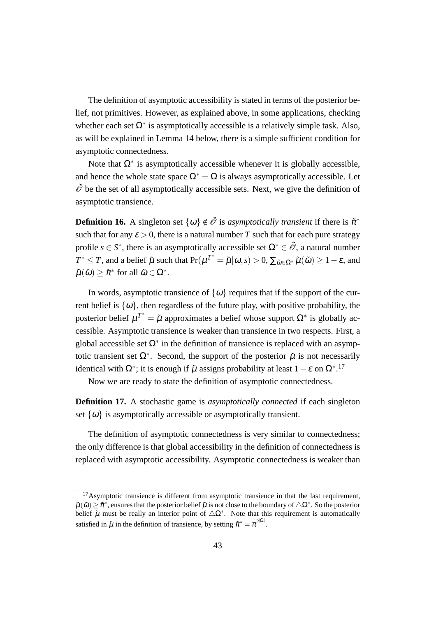The definition of asymptotic accessibility is stated in terms of the posterior belief, not primitives. However, as explained above, in some applications, checking whether each set  $\Omega^*$  is asymptotically accessible is a relatively simple task. Also, as will be explained in Lemma 14 below, there is a simple sufficient condition for asymptotic connectedness.

Note that  $\Omega^*$  is asymptotically accessible whenever it is globally accessible, and hence the whole state space  $\Omega^* = \Omega$  is always asymptotically accessible. Let  $\tilde{\mathcal{O}}$  be the set of all asymptotically accessible sets. Next, we give the definition of asymptotic transience.

**Definition 16.** A singleton set  $\{\omega\} \notin \tilde{\mathcal{O}}$  is *asymptotically transient* if there is  $\tilde{\pi}^*$ such that for any  $\varepsilon > 0$ , there is a natural number T such that for each pure strategy profile  $s \in S^*$ , there is an asymptotically accessible set  $\Omega^* \in \tilde{\mathcal{O}}$ , a natural number  $T^* \leq T$ , and a belief  $\tilde{\mu}$  such that  $Pr(\mu^{T^*} = \tilde{\mu} | \omega, s) > 0$ ,  $\sum_{\tilde{\omega} \in \Omega^*} \tilde{\mu}(\tilde{\omega}) \geq 1 - \varepsilon$ , and  $\tilde{\mu}(\tilde{\omega}) \geq \tilde{\pi}^*$  for all  $\tilde{\omega} \in \Omega^*$ .

In words, asymptotic transience of  $\{\omega\}$  requires that if the support of the current belief is  $\{\omega\}$ , then regardless of the future play, with positive probability, the posterior belief  $\mu^{T^*} = \tilde{\mu}$  approximates a belief whose support  $\Omega^*$  is globally accessible. Asymptotic transience is weaker than transience in two respects. First, a global accessible set Ω*<sup>∗</sup>* in the definition of transience is replaced with an asymptotic transient set  $\Omega^*$ . Second, the support of the posterior  $\tilde{\mu}$  is not necessarily identical with  $\Omega^*$ ; it is enough if  $\tilde{\mu}$  assigns probability at least  $1 - \varepsilon$  on  $\Omega^*$ .<sup>17</sup>

Now we are ready to state the definition of asymptotic connectedness.

**Definition 17.** A stochastic game is *asymptotically connected* if each singleton set  $\{\omega\}$  is asymptotically accessible or asymptotically transient.

The definition of asymptotic connectedness is very similar to connectedness; the only difference is that global accessibility in the definition of connectedness is replaced with asymptotic accessibility. Asymptotic connectedness is weaker than

 $17$ Asymptotic transience is different from asymptotic transience in that the last requirement.  $\tilde{\mu}(\tilde{\omega}) \geq \tilde{\pi}^*$ , ensures that the posterior belief  $\tilde{\mu}$  is not close to the boundary of  $\triangle \Omega^*$ . So the posterior belief  $\tilde{\mu}$  must be really an interior point of  $\Delta \Omega^*$ . Note that this requirement is automatically satisfied in  $\tilde{\mu}$  in the definition of transience, by setting  $\tilde{\pi}^* = \overline{\pi}^{2^{|\Omega|}}$ .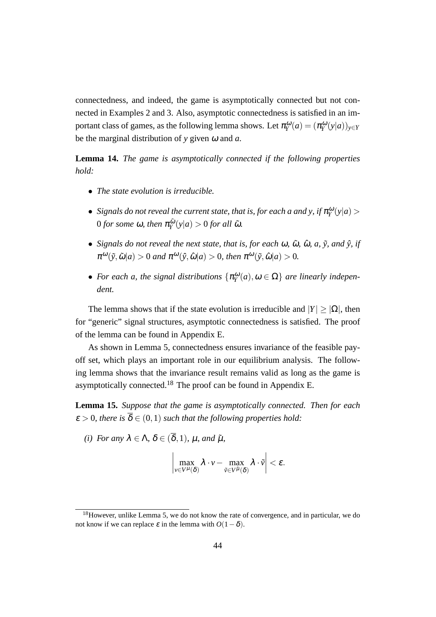connectedness, and indeed, the game is asymptotically connected but not connected in Examples 2 and 3. Also, asymptotic connectedness is satisfied in an important class of games, as the following lemma shows. Let  $\pi_Y^{\omega}(a) = (\pi_Y^{\omega}(y|a))_{y \in Y}$ be the marginal distribution of *y* given <sup>ω</sup> and *a*.

**Lemma 14.** *The game is asymptotically connected if the following properties hold:*

- *• The state evolution is irreducible.*
- *Signals do not reveal the current state, that is, for each a and y, if*  $\pi_Y^{\omega}(y|a)$  > 0 *for some* ω, then  $\pi _{\rm{v}}^{\tilde{\omega}}$  $\frac{d\tilde{\omega}}{Y}(y|a) > 0$  *for all*  $\tilde{\omega}$ *.*
- *Signals do not reveal the next state, that is, for each*  $\omega$ *,*  $\tilde{\omega}$ *,*  $\hat{\omega}$ *,*  $a$ *,*  $\tilde{y}$ *<i>, and*  $\hat{y}$ *, if*  $\pi^{\omega}(\tilde{y}, \tilde{\omega}|a) > 0$  and  $\pi^{\omega}(\hat{y}, \hat{\omega}|a) > 0$ , then  $\pi^{\omega}(\tilde{y}, \hat{\omega}|a) > 0$ .
- *For each a, the signal distributions*  $\{\pi_Y^{\omega}(a), \omega \in \Omega\}$  *are linearly independent.*

The lemma shows that if the state evolution is irreducible and  $|Y| > |\Omega|$ , then for "generic" signal structures, asymptotic connectedness is satisfied. The proof of the lemma can be found in Appendix E.

As shown in Lemma 5, connectedness ensures invariance of the feasible payoff set, which plays an important role in our equilibrium analysis. The following lemma shows that the invariance result remains valid as long as the game is asymptotically connected.<sup>18</sup> The proof can be found in Appendix E.

**Lemma 15.** *Suppose that the game is asymptotically connected. Then for each*  $\mathcal{E} > 0$ , there is  $\overline{\delta} \in (0,1)$  such that the following properties hold:

*(i)* For any  $\lambda \in \Lambda$ ,  $\delta \in (\overline{\delta}, 1)$ ,  $\mu$ , and  $\tilde{\mu}$ ,

$$
\left|\max_{\nu\in V^{\mu}(\delta)}\lambda\cdot\nu-\max_{\tilde{\nu}\in V^{\tilde{\mu}}(\delta)}\lambda\cdot\tilde{\nu}\right|<\varepsilon.
$$

<sup>&</sup>lt;sup>18</sup>However, unlike Lemma 5, we do not know the rate of convergence, and in particular, we do not know if we can replace  $\varepsilon$  in the lemma with  $O(1-\delta)$ .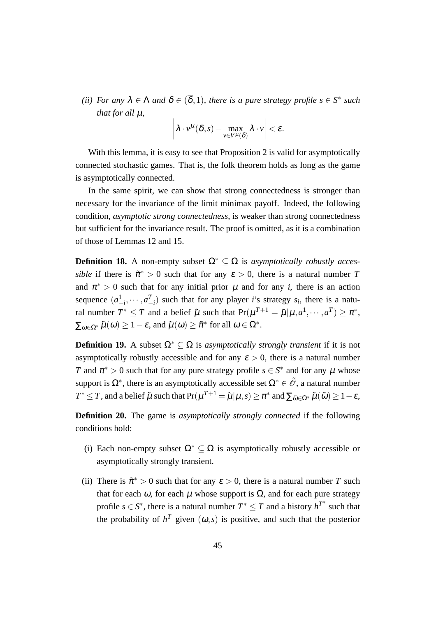*(ii)* For any  $\lambda \in \Lambda$  and  $\delta \in (\overline{\delta}, 1)$ , there is a pure strategy profile  $s \in S^*$  such *that for all* µ*,*

$$
\left|\lambda\cdot v^{\mu}(\delta,s)-\max_{v\in V^{\mu}(\delta)}\lambda\cdot v\right|<\varepsilon.
$$

With this lemma, it is easy to see that Proposition 2 is valid for asymptotically connected stochastic games. That is, the folk theorem holds as long as the game is asymptotically connected.

In the same spirit, we can show that strong connectedness is stronger than necessary for the invariance of the limit minimax payoff. Indeed, the following condition, *asymptotic strong connectedness*, is weaker than strong connectedness but sufficient for the invariance result. The proof is omitted, as it is a combination of those of Lemmas 12 and 15.

**Definition 18.** A non-empty subset  $\Omega^* \subset \Omega$  is *asymptotically robustly accessible* if there is  $\tilde{\pi}^* > 0$  such that for any  $\varepsilon > 0$ , there is a natural number *T* and  $\pi^* > 0$  such that for any initial prior  $\mu$  and for any *i*, there is an action sequence  $(a_{-i}^1, \dots, a_{-i}^T)$  such that for any player *i*'s strategy  $s_i$ , there is a natural number  $T^* \leq T$  and a belief  $\tilde{\mu}$  such that  $Pr(\mu^{T+1} = \tilde{\mu} | \mu, a^1, \dots, a^T) \geq \pi^*$ ,  $\sum_{\omega \in \Omega^*} \tilde{\mu}(\omega) \ge 1 - \varepsilon$ , and  $\tilde{\mu}(\omega) \ge \tilde{\pi}^*$  for all  $\omega \in \Omega^*$ .

**Definition 19.** A subset  $\Omega^* \subset \Omega$  is *asymptotically strongly transient* if it is not asymptotically robustly accessible and for any  $\varepsilon > 0$ , there is a natural number *T* and  $\pi^* > 0$  such that for any pure strategy profile  $s \in S^*$  and for any  $\mu$  whose support is  $\Omega^*$ , there is an asymptotically accessible set  $\Omega^* \in \tilde{\mathcal{O}}$ , a natural number  $T^* \leq T$ , and a belief  $\tilde{\mu}$  such that  $\Pr(\mu^{T+1} = \tilde{\mu}| \mu, s) \geq \pi^*$  and  $\sum_{\tilde{\omega} \in \Omega^*} \tilde{\mu}(\tilde{\omega}) \geq 1 - \varepsilon$ ,

**Definition 20.** The game is *asymptotically strongly connected* if the following conditions hold:

- (i) Each non-empty subset  $\Omega^* \subset \Omega$  is asymptotically robustly accessible or asymptotically strongly transient.
- (ii) There is  $\tilde{\pi}^* > 0$  such that for any  $\varepsilon > 0$ , there is a natural number *T* such that for each  $\omega$ , for each  $\mu$  whose support is  $\Omega$ , and for each pure strategy profile  $s \in S^*$ , there is a natural number  $T^* \leq T$  and a history  $h^{T^*}$  such that the probability of  $h^T$  given  $(\omega, s)$  is positive, and such that the posterior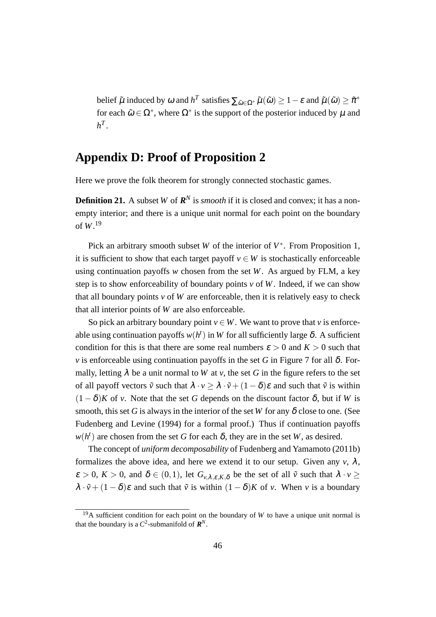belief  $\tilde{\mu}$  induced by  $\omega$  and  $h^T$  satisfies  $\sum_{\tilde{\omega}\in\Omega^*}\tilde{\mu}(\tilde{\omega}) \geq 1-\varepsilon$  and  $\tilde{\mu}(\tilde{\omega}) \geq \tilde{\pi}^*$ for each  $\tilde{\omega} \in \Omega^*$ , where  $\Omega^*$  is the support of the posterior induced by  $\mu$  and  $h^T$ .

# **Appendix D: Proof of Proposition 2**

Here we prove the folk theorem for strongly connected stochastic games.

**Definition 21.** A subset *W* of  $\mathbb{R}^N$  is *smooth* if it is closed and convex; it has a nonempty interior; and there is a unique unit normal for each point on the boundary of *W*. 19

Pick an arbitrary smooth subset *W* of the interior of *V ∗* . From Proposition 1, it is sufficient to show that each target payoff  $v \in W$  is stochastically enforceable using continuation payoffs *w* chosen from the set *W*. As argued by FLM, a key step is to show enforceability of boundary points  $v$  of  $W$ . Indeed, if we can show that all boundary points  $v$  of  $W$  are enforceable, then it is relatively easy to check that all interior points of *W* are also enforceable.

So pick an arbitrary boundary point  $v \in W$ . We want to prove that *v* is enforceable using continuation payoffs  $w(h^t)$  in W for all sufficiently large  $\delta$ . A sufficient condition for this is that there are some real numbers  $\varepsilon > 0$  and  $K > 0$  such that *v* is enforceable using continuation payoffs in the set *G* in Figure 7 for all  $\delta$ . Formally, letting  $\lambda$  be a unit normal to *W* at *v*, the set *G* in the figure refers to the set of all payoff vectors  $\tilde{v}$  such that  $\lambda \cdot v \geq \lambda \cdot \tilde{v} + (1 - \delta)\varepsilon$  and such that  $\tilde{v}$  is within  $(1 - \delta)K$  of *v*. Note that the set *G* depends on the discount factor  $\delta$ , but if *W* is smooth, this set *G* is always in the interior of the set *W* for any  $\delta$  close to one. (See Fudenberg and Levine (1994) for a formal proof.) Thus if continuation payoffs  $w(h^t)$  are chosen from the set *G* for each  $\delta$ , they are in the set *W*, as desired.

The concept of *uniform decomposability* of Fudenberg and Yamamoto (2011b) formalizes the above idea, and here we extend it to our setup. Given any  $v$ ,  $\lambda$ ,  $\varepsilon > 0$ ,  $K > 0$ , and  $\delta \in (0,1)$ , let  $G_{\nu,\lambda,\varepsilon,K,\delta}$  be the set of all  $\tilde{\nu}$  such that  $\lambda \cdot \nu \geq$  $\lambda \cdot \tilde{v} + (1 - \delta)\varepsilon$  and such that  $\tilde{v}$  is within  $(1 - \delta)K$  of *v*. When *v* is a boundary

<sup>&</sup>lt;sup>19</sup>A sufficient condition for each point on the boundary of *W* to have a unique unit normal is that the boundary is a  $C^2$ -submanifold of  $\mathbf{R}^N$ .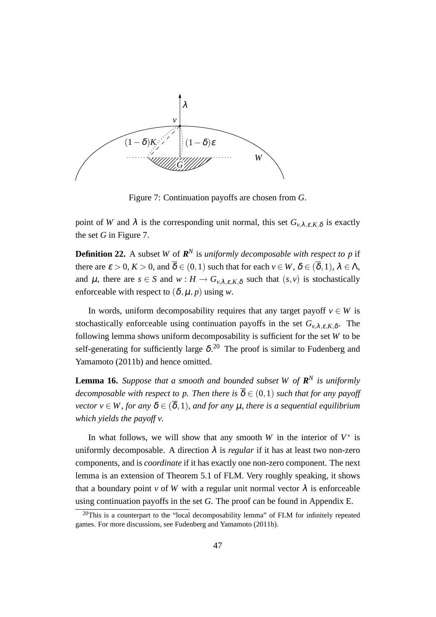

Figure 7: Continuation payoffs are chosen from *G*.

point of *W* and  $\lambda$  is the corresponding unit normal, this set  $G_{\nu,\lambda,\varepsilon,K,\delta}$  is exactly the set *G* in Figure 7.

**Definition 22.** A subset *W* of  $\mathbb{R}^N$  is *uniformly decomposable with respect to p* if there are  $\varepsilon > 0$ ,  $K > 0$ , and  $\overline{\delta} \in (0,1)$  such that for each  $v \in W$ ,  $\delta \in (\overline{\delta},1)$ ,  $\lambda \in \Lambda$ , and  $\mu$ , there are  $s \in S$  and  $w : H \to G_{\nu,\lambda,\varepsilon,K,\delta}$  such that  $(s, v)$  is stochastically enforceable with respect to  $(\delta, \mu, p)$  using *w*.

In words, uniform decomposability requires that any target payoff  $v \in W$  is stochastically enforceable using continuation payoffs in the set  $G_{v,\lambda,\varepsilon,K,\delta}$ . The following lemma shows uniform decomposability is sufficient for the set *W* to be self-generating for sufficiently large  $\delta$ .<sup>20</sup> The proof is similar to Fudenberg and Yamamoto (2011b) and hence omitted.

**Lemma 16.** *Suppose that a smooth and bounded subset W of*  $\mathbb{R}^N$  *is uniformly decomposable with respect to p. Then there is*  $\overline{\delta} \in (0,1)$  *such that for any payoff vector*  $v \in W$ , for any  $\delta \in (\overline{\delta}, 1)$ , and for any  $\mu$ , there is a sequential equilibrium *which yields the payoff v.*

In what follows, we will show that any smooth *W* in the interior of  $V^*$  is uniformly decomposable. A direction  $\lambda$  is *regular* if it has at least two non-zero components, and is *coordinate* if it has exactly one non-zero component. The next lemma is an extension of Theorem 5.1 of FLM. Very roughly speaking, it shows that a boundary point *v* of *W* with a regular unit normal vector  $\lambda$  is enforceable using continuation payoffs in the set *G*. The proof can be found in Appendix E.

 $20$ This is a counterpart to the "local decomposability lemma" of FLM for infinitely repeated games. For more discussions, see Fudenberg and Yamamoto (2011b).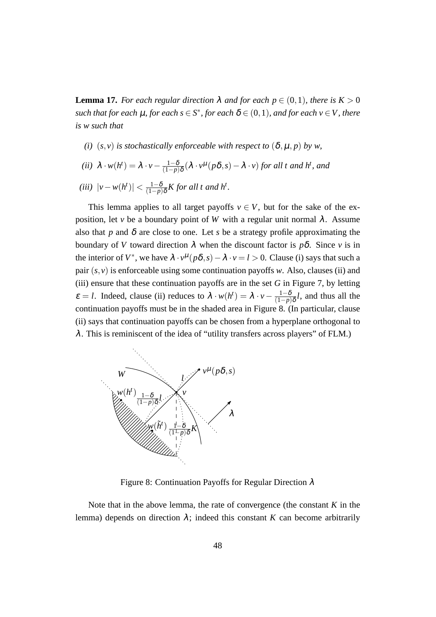**Lemma 17.** *For each regular direction*  $\lambda$  *and for each*  $p \in (0,1)$ *, there is*  $K > 0$ *such that for each*  $\mu$ *, for each*  $s \in S^*$ *, for each*  $\delta \in (0,1)$ *, and for each*  $v \in V$ *, there is w such that*

- *(i)*  $(s, v)$  *is stochastically enforceable with respect to*  $(\delta, \mu, p)$  *by w,*
- *(ii)*  $\lambda \cdot w(h^t) = \lambda \cdot v \frac{1-\delta}{(1-n)}$ (1*−p*)δ (λ *· v* µ (*p*δ*,s*)*−*<sup>λ</sup> *· v*) *for all t and h<sup>t</sup> , and*

$$
(iii) \ \left| v - w(h^t) \right| < \frac{1 - \delta}{(1 - p)\delta} K \text{ for all } t \text{ and } h^t.
$$

This lemma applies to all target payoffs  $v \in V$ , but for the sake of the exposition, let *v* be a boundary point of *W* with a regular unit normal  $\lambda$ . Assume also that *p* and  $\delta$  are close to one. Let *s* be a strategy profile approximating the boundary of *V* toward direction  $\lambda$  when the discount factor is  $p\delta$ . Since *v* is in the interior of  $V^*$ , we have  $\lambda \cdot v^{\mu}(p\delta, s) - \lambda \cdot v = l > 0$ . Clause (i) says that such a pair  $(s, v)$  is enforceable using some continuation payoffs *w*. Also, clauses (ii) and (iii) ensure that these continuation payoffs are in the set *G* in Figure 7, by letting  $\varepsilon = l$ . Indeed, clause (ii) reduces to  $\lambda \cdot w(h^t) = \lambda \cdot v - \frac{1-\delta}{(1-n)}$ (1*−p*)δ *l*, and thus all the continuation payoffs must be in the shaded area in Figure 8. (In particular, clause (ii) says that continuation payoffs can be chosen from a hyperplane orthogonal to  $\lambda$ . This is reminiscent of the idea of "utility transfers across players" of FLM.)



Figure 8: Continuation Payoffs for Regular Direction  $\lambda$ 

Note that in the above lemma, the rate of convergence (the constant *K* in the lemma) depends on direction  $\lambda$ ; indeed this constant *K* can become arbitrarily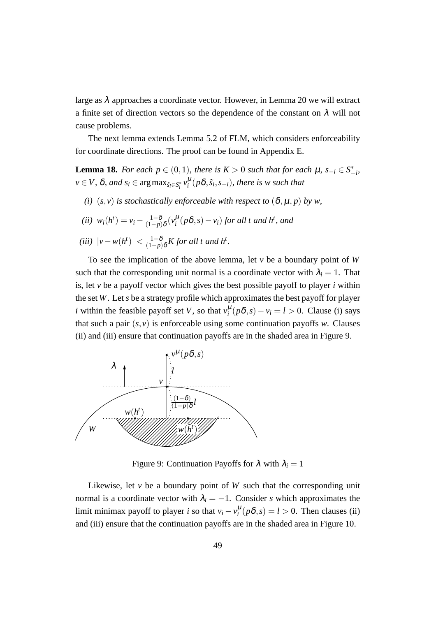large as  $\lambda$  approaches a coordinate vector. However, in Lemma 20 we will extract a finite set of direction vectors so the dependence of the constant on  $\lambda$  will not cause problems.

The next lemma extends Lemma 5.2 of FLM, which considers enforceability for coordinate directions. The proof can be found in Appendix E.

**Lemma 18.** *For each*  $p \in (0,1)$ *, there is*  $K > 0$  *such that for each*  $\mu$ *,*  $s_{-i} \in S^*_{-i}$ *i*  $v \in V$ ,  $\delta$ , and  $s_i \in \argmax_{\tilde{s}_i \in S_i^*} v_i^{\mu}(p\delta, \tilde{s}_i, s_{-i})$ , there is w such that

*(i)*  $(s, v)$  *is stochastically enforceable with respect to*  $(\delta, \mu, p)$  *by w,* 

(*ii*) 
$$
w_i(h^t) = v_i - \frac{1-\delta}{(1-p)\delta}(v_i^{\mu}(p\delta, s) - v_i)
$$
 for all t and h<sup>t</sup>, and

$$
(iii) \ \left| \nu - w(h^t) \right| < \frac{1-\delta}{(1-p)\delta} K \text{ for all } t \text{ and } h^t.
$$

To see the implication of the above lemma, let *v* be a boundary point of *W* such that the corresponding unit normal is a coordinate vector with  $\lambda_i = 1$ . That is, let *v* be a payoff vector which gives the best possible payoff to player *i* within the set *W*. Let *s* be a strategy profile which approximates the best payoff for player *i* within the feasible payoff set *V*, so that  $v_i^{\mu}(p\delta, s) - v_i = l > 0$ . Clause (i) says that such a pair  $(s, v)$  is enforceable using some continuation payoffs *w*. Clauses (ii) and (iii) ensure that continuation payoffs are in the shaded area in Figure 9.



Figure 9: Continuation Payoffs for  $\lambda$  with  $\lambda_i = 1$ 

Likewise, let  $\nu$  be a boundary point of  $W$  such that the corresponding unit normal is a coordinate vector with  $\lambda_i = -1$ . Consider *s* which approximates the limit minimax payoff to player *i* so that  $v_i - v_i^{\mu} (p \delta, s) = l > 0$ . Then clauses (ii) and (iii) ensure that the continuation payoffs are in the shaded area in Figure 10.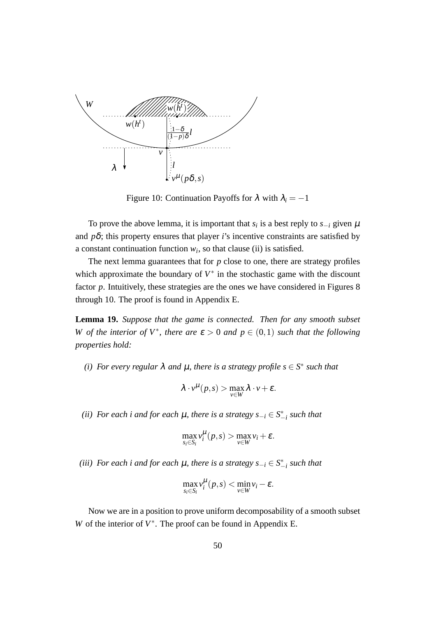

Figure 10: Continuation Payoffs for  $\lambda$  with  $\lambda_i = -1$ 

To prove the above lemma, it is important that  $s_i$  is a best reply to  $s_{-i}$  given  $\mu$ and  $p\delta$ ; this property ensures that player *i*'s incentive constraints are satisfied by a constant continuation function  $w_i$ , so that clause (ii) is satisfied.

The next lemma guarantees that for  $p$  close to one, there are strategy profiles which approximate the boundary of  $V^*$  in the stochastic game with the discount factor *p*. Intuitively, these strategies are the ones we have considered in Figures 8 through 10. The proof is found in Appendix E.

**Lemma 19.** *Suppose that the game is connected. Then for any smooth subset W* of the interior of  $V^*$ , there are  $\varepsilon > 0$  and  $p \in (0,1)$  such that the following *properties hold:*

*(i)* For every regular  $\lambda$  and  $\mu$ , there is a strategy profile  $s \in S^*$  such that

$$
\lambda \cdot v^{\mu}(p,s) > \max_{v \in W} \lambda \cdot v + \varepsilon.
$$

*(ii) For each i and for each* <sup>µ</sup>*, there is a strategy s−<sup>i</sup> ∈ S ∗ −i such that*

$$
\max_{s_i \in S_i} v_i^{\mu}(p,s) > \max_{v \in W} v_i + \varepsilon.
$$

 $(iii)$  *For each i and for each*  $\mu$ *, there is a strategy*  $s_{-i}$  ∈  $S^*_{-i}$  *such that* 

$$
\max_{s_i \in S_i} v_i^{\mu}(p,s) < \min_{v \in W} v_i - \varepsilon.
$$

Now we are in a position to prove uniform decomposability of a smooth subset *W* of the interior of  $V^*$ . The proof can be found in Appendix E.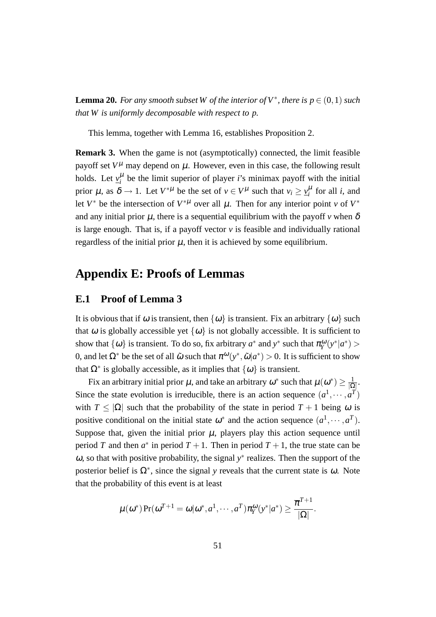**Lemma 20.** For any smooth subset W of the interior of  $V^*$ , there is  $p \in (0,1)$  such *that W is uniformly decomposable with respect to p.*

This lemma, together with Lemma 16, establishes Proposition 2.

**Remark 3.** When the game is not (asymptotically) connected, the limit feasible payoff set  $V^{\mu}$  may depend on  $\mu$ . However, even in this case, the following result holds. Let  $y_i^{\mu}$  be the limit superior of player *i*'s minimax payoff with the initial prior  $\mu$ , as  $\delta \to 1$ . Let  $V^{*\mu}$  be the set of  $v \in V^{\mu}$  such that  $v_i \geq v_i^{\mu}$  for all *i*, and let  $V^*$  be the intersection of  $V^{*\mu}$  over all  $\mu$ . Then for any interior point *v* of  $V^*$ and any initial prior  $\mu$ , there is a sequential equilibrium with the payoff  $\nu$  when  $\delta$ is large enough. That is, if a payoff vector *v* is feasible and individually rational regardless of the initial prior  $\mu$ , then it is achieved by some equilibrium.

# **Appendix E: Proofs of Lemmas**

## **E.1 Proof of Lemma 3**

It is obvious that if  $\omega$  is transient, then  $\{\omega\}$  is transient. Fix an arbitrary  $\{\omega\}$  such that  $\omega$  is globally accessible yet  $\{\omega\}$  is not globally accessible. It is sufficient to show that  $\{\omega\}$  is transient. To do so, fix arbitrary  $a^*$  and  $y^*$  such that  $\pi_Y^{\omega}(y^*|a^*)$  > 0, and let  $\Omega^*$  be the set of all  $\tilde{\omega}$  such that  $\pi^{\omega}(y^*, \tilde{\omega}|a^*) > 0$ . It is sufficient to show that  $\Omega^*$  is globally accessible, as it implies that  $\{\omega\}$  is transient.

Fix an arbitrary initial prior  $\mu$ , and take an arbitrary  $\omega^*$  such that  $\mu(\omega^*) \geq \frac{1}{10}$ *|*Ω*|* . Since the state evolution is irreducible, there is an action sequence  $(a^1, \dots, a^T)$ with  $T \leq |\Omega|$  such that the probability of the state in period  $T + 1$  being  $\omega$  is positive conditional on the initial state  $\omega^*$  and the action sequence  $(a^1, \dots, a^T)$ . Suppose that, given the initial prior  $\mu$ , players play this action sequence until period *T* and then  $a^*$  in period  $T + 1$ . Then in period  $T + 1$ , the true state can be <sup>ω</sup>, so that with positive probability, the signal *y ∗* realizes. Then the support of the posterior belief is  $\Omega^*$ , since the signal *y* reveals that the current state is  $\omega$ . Note that the probability of this event is at least

$$
\mu(\boldsymbol{\omega}^*)\Pr(\boldsymbol{\omega}^{T+1}=\boldsymbol{\omega}|\boldsymbol{\omega}^*,a^1,\cdots,a^T)\pi^{\boldsymbol{\omega}}_Y(\mathrm{y}^*|a^*)\geq \frac{\overline{\pi}^{T+1}}{|\Omega|}.
$$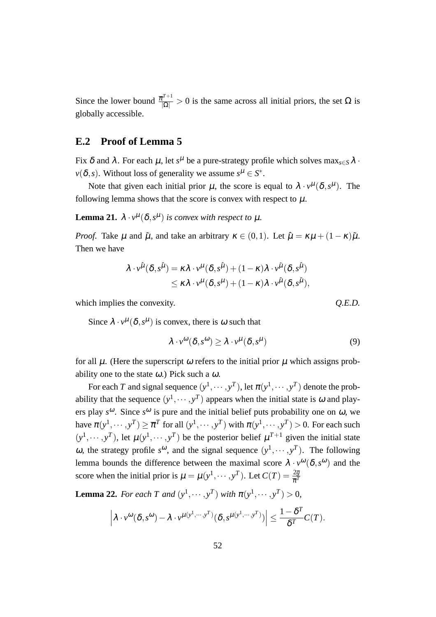Since the lower bound  $\frac{\overline{\pi}^{T+1}}{|\Omega|} > 0$  is the same across all initial priors, the set  $\Omega$  is globally accessible.

# **E.2 Proof of Lemma 5**

Fix  $\delta$  and  $\lambda$ . For each  $\mu$ , let  $s^{\mu}$  be a pure-strategy profile which solves  $\max_{s\in S}\lambda$  *·*  $\nu(\delta, s)$ . Without loss of generality we assume  $s^{\mu} \in S^*$ .

Note that given each initial prior  $\mu$ , the score is equal to  $\lambda \cdot v^{\mu}(\delta, s^{\mu})$ . The following lemma shows that the score is convex with respect to  $\mu$ .

**Lemma 21.**  $\lambda \cdot v^{\mu}(\delta, s^{\mu})$  *is convex with respect to*  $\mu$ *.* 

*Proof.* Take  $\mu$  and  $\tilde{\mu}$ , and take an arbitrary  $\kappa \in (0,1)$ . Let  $\hat{\mu} = \kappa \mu + (1 - \kappa) \tilde{\mu}$ . Then we have

$$
\lambda \cdot v^{\hat{\mu}}(\delta, s^{\hat{\mu}}) = \kappa \lambda \cdot v^{\mu}(\delta, s^{\hat{\mu}}) + (1 - \kappa) \lambda \cdot v^{\tilde{\mu}}(\delta, s^{\hat{\mu}})
$$
  

$$
\leq \kappa \lambda \cdot v^{\mu}(\delta, s^{\mu}) + (1 - \kappa) \lambda \cdot v^{\tilde{\mu}}(\delta, s^{\tilde{\mu}}),
$$

which implies the convexity.  $Q.E.D.$ 

Since  $\lambda \cdot v^{\mu}(\delta, s^{\mu})$  is convex, there is  $\omega$  such that

$$
\lambda \cdot v^{\omega}(\delta, s^{\omega}) \ge \lambda \cdot v^{\mu}(\delta, s^{\mu}) \tag{9}
$$

for all  $\mu$ . (Here the superscript  $\omega$  refers to the initial prior  $\mu$  which assigns probability one to the state  $\omega$ .) Pick such a  $\omega$ .

For each *T* and signal sequence  $(y^1, \dots, y^T)$ , let  $\pi(y^1, \dots, y^T)$  denote the probability that the sequence  $(y^1, \dots, y^T)$  appears when the initial state is  $\omega$  and players play  $s^{\omega}$ . Since  $s^{\omega}$  is pure and the initial belief puts probability one on  $\omega$ , we have  $\pi(y^1, \dots, y^T) \ge \overline{\pi}^T$  for all  $(y^1, \dots, y^T)$  with  $\pi(y^1, \dots, y^T) > 0$ . For each such  $(y<sup>1</sup>, \dots, y<sup>T</sup>)$ , let  $\mu(y<sup>1</sup>, \dots, y<sup>T</sup>)$  be the posterior belief  $\mu<sup>T+1</sup>$  given the initial state ω, the strategy profile  $s^ω$ , and the signal sequence  $(y^1, \dots, y^T)$ . The following lemma bounds the difference between the maximal score  $\lambda \cdot v^{\omega}(\delta, s^{\omega})$  and the score when the initial prior is  $\mu = \mu(y^1, \dots, y^T)$ . Let  $C(T) = \frac{2\overline{g}}{\overline{\pi}^T}$ 

**Lemma 22.** *For each T and*  $(y^1, \dots, y^T)$  *with*  $\pi(y^1, \dots, y^T) > 0$ ,

$$
\left|\lambda\cdot v^{\omega}(\delta,s^{\omega})-\lambda\cdot v^{\mu(y^1,\cdots,y^T)}(\delta,s^{\mu(y^1,\cdots,y^T)})\right|\leq \frac{1-\delta^T}{\delta^T}C(T).
$$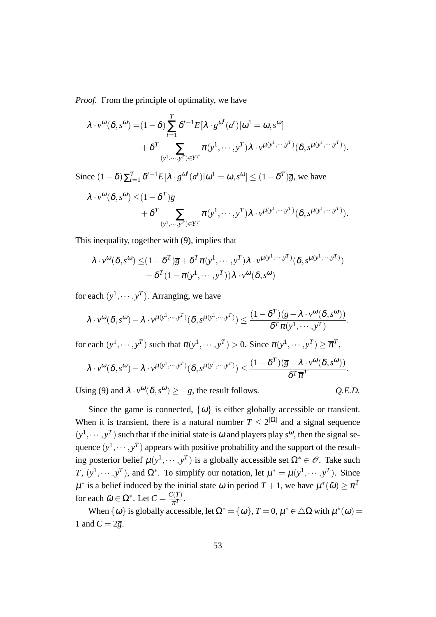*Proof.* From the principle of optimality, we have

$$
\lambda \cdot v^{\omega}(\delta, s^{\omega}) = (1 - \delta) \sum_{t=1}^{T} \delta^{t-1} E[\lambda \cdot g^{\omega^{t}}(a^{t}) | \omega^{1} = \omega, s^{\omega}] + \delta^{T} \sum_{(y^{1}, \dots, y^{T}) \in Y^{T}} \pi(y^{1}, \dots, y^{T}) \lambda \cdot v^{\mu(y^{1}, \dots, y^{T})}(\delta, s^{\mu(y^{1}, \dots, y^{T})}).
$$

Since  $(1 - \delta) \sum_{t=1}^{T} \delta^{t-1} E[\lambda \cdot g^{\omega^t}(a^t) | \omega^1 = \omega, s^{\omega}] \le (1 - \delta^T) \overline{g}$ , we have

$$
\lambda \cdot v^{\omega}(\delta, s^{\omega}) \leq (1 - \delta^T)\overline{g} + \delta^T \sum_{(y^1, \dots, y^T) \in Y^T} \pi(y^1, \dots, y^T) \lambda \cdot v^{\mu(y^1, \dots, y^T)}(\delta, s^{\mu(y^1, \dots, y^T)}).
$$

This inequality, together with (9), implies that

$$
\lambda \cdot v^{\omega}(\delta, s^{\omega}) \leq (1 - \delta^T) \overline{g} + \delta^T \pi (y^1, \dots, y^T) \lambda \cdot v^{\mu (y^1, \dots, y^T)} (\delta, s^{\mu (y^1, \dots, y^T)}) + \delta^T (1 - \pi (y^1, \dots, y^T)) \lambda \cdot v^{\omega}(\delta, s^{\omega})
$$

for each  $(y^1, \dots, y^T)$ . Arranging, we have

$$
\lambda \cdot v^{\omega}(\delta, s^{\omega}) - \lambda \cdot v^{\mu(y^1, \cdots, y^T)}(\delta, s^{\mu(y^1, \cdots, y^T)}) \leq \frac{(1 - \delta^T)(\overline{g} - \lambda \cdot v^{\omega}(\delta, s^{\omega}))}{\delta^T \pi(y^1, \cdots, y^T)}.
$$

for each  $(y^1, \dots, y^T)$  such that  $\pi(y^1, \dots, y^T) > 0$ . Since  $\pi(y^1, \dots, y^T) \geq \overline{\pi}^T$ ,

$$
\lambda \cdot v^{\omega}(\delta, s^{\omega}) - \lambda \cdot v^{\mu(y^1, \cdots, y^T)}(\delta, s^{\mu(y^1, \cdots, y^T)}) \leq \frac{(1 - \delta^T)(\overline{g} - \lambda \cdot v^{\omega}(\delta, s^{\omega}))}{\delta^T \overline{\pi}^T}.
$$

Using (9) and  $\lambda \cdot v^{\omega}(\delta, s^{\omega}) \geq -\overline{g}$ , the result follows.  $Q.E.D.$ 

$$
Q.E.D.
$$

Since the game is connected,  $\{\omega\}$  is either globally accessible or transient. When it is transient, there is a natural number  $T \leq 2^{|\Omega|}$  and a signal sequence  $(y<sup>1</sup>, \dots, y<sup>T</sup>)$  such that if the initial state is  $\omega$  and players play  $s<sup>\omega</sup>$ , then the signal sequence  $(y^1, \dots, y^T)$  appears with positive probability and the support of the resulting posterior belief  $\mu(y^1, \dots, y^T)$  is a globally accessible set  $\Omega^* \in \mathcal{O}$ . Take such *T*,  $(y^1, \dots, y^T)$ , and  $\Omega^*$ . To simplify our notation, let  $\mu^* = \mu(y^1, \dots, y^T)$ . Since  $\mu^*$  is a belief induced by the initial state  $\omega$  in period  $T + 1$ , we have  $\mu^*(\tilde{\omega}) \geq \overline{\pi}^T$ for each  $\tilde{\omega} \in \Omega^*$ . Let  $C = \frac{C(T)}{\overline{\pi}^T}$  $\frac{1}{\overline{\pi}^T}$ .

When  $\{\omega\}$  is globally accessible, let  $\Omega^* = \{\omega\}$ ,  $T = 0$ ,  $\mu^* \in \Delta\Omega$  with  $\mu^*(\omega) =$ 1 and  $C = 2\overline{g}$ .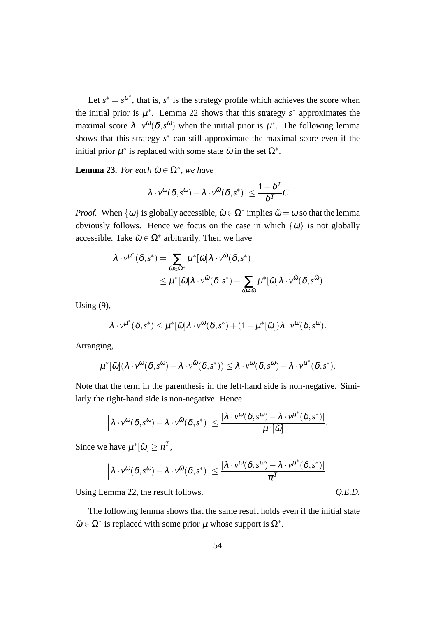Let  $s^* = s^{\mu^*}$ , that is,  $s^*$  is the strategy profile which achieves the score when the initial prior is  $\mu^*$ . Lemma 22 shows that this strategy  $s^*$  approximates the maximal score  $\lambda \cdot v^{\omega}(\delta, s^{\omega})$  when the initial prior is  $\mu^*$ . The following lemma shows that this strategy  $s^*$  can still approximate the maximal score even if the initial prior  $\mu^*$  is replaced with some state  $\tilde{\omega}$  in the set  $\Omega^*$ .

**Lemma 23.** *For each*  $\tilde{\omega} \in \Omega^*$ , *we have* 

$$
\left|\lambda\cdot v^{\omega}(\delta,s^{\omega})-\lambda\cdot v^{\tilde{\omega}}(\delta,s^*)\right|\leq \frac{1-\delta^T}{\delta^T}C.
$$

*Proof.* When  $\{\omega\}$  is globally accessible,  $\tilde{\omega} \in \Omega^*$  implies  $\tilde{\omega} = \omega$  so that the lemma obviously follows. Hence we focus on the case in which  $\{\omega\}$  is not globally accessible. Take  $\tilde{\omega} \in \Omega^*$  arbitrarily. Then we have

$$
\lambda \cdot v^{\mu^*}(\delta, s^*) = \sum_{\hat{\omega} \in \Omega^*} \mu^*[\hat{\omega}] \lambda \cdot v^{\hat{\omega}}(\delta, s^*)
$$
  
\$\leq \mu^\*[\tilde{\omega}] \lambda \cdot v^{\tilde{\omega}}(\delta, s^\*) + \sum\_{\hat{\omega} \neq \tilde{\omega}} \mu^\*[\hat{\omega}] \lambda \cdot v^{\hat{\omega}}(\delta, s^{\hat{\omega}})\$

Using (9),

$$
\lambda \cdot v^{\mu^*}(\delta, s^*) \leq \mu^*[\tilde{\omega}]\lambda \cdot v^{\tilde{\omega}}(\delta, s^*) + (1 - \mu^*[\tilde{\omega}])\lambda \cdot v^{\omega}(\delta, s^{\omega}).
$$

Arranging,

$$
\mu^*[\tilde{\omega}](\lambda \cdot v^{\omega}(\delta, s^{\omega}) - \lambda \cdot v^{\tilde{\omega}}(\delta, s^*)) \leq \lambda \cdot v^{\omega}(\delta, s^{\omega}) - \lambda \cdot v^{\mu^*}(\delta, s^*).
$$

Note that the term in the parenthesis in the left-hand side is non-negative. Similarly the right-hand side is non-negative. Hence

$$
\left|\lambda\cdot\nu^\omega(\delta,s^\omega)-\lambda\cdot\nu^{\tilde\omega}(\delta,s^*)\right|\leq \frac{|\lambda\cdot\nu^\omega(\delta,s^\omega)-\lambda\cdot\nu^{\mu^*}(\delta,s^*)|}{\mu^*[\tilde\omega]}.
$$

Since we have  $\mu^*[\tilde{\omega}] \geq \overline{\pi}^T$ ,

$$
\left|\lambda\cdot\nu^\omega(\delta,s^\omega)-\lambda\cdot\nu^{\tilde\omega}(\delta,s^*)\right|\leq \frac{|\lambda\cdot\nu^\omega(\delta,s^\omega)-\lambda\cdot\nu^{\mu^*}(\delta,s^*)|}{\overline\pi^T}.
$$

Using Lemma 22, the result follows.  $Q.E.D.$ 

The following lemma shows that the same result holds even if the initial state  $\tilde{\omega} \in \Omega^*$  is replaced with some prior  $\mu$  whose support is  $\Omega^*$ .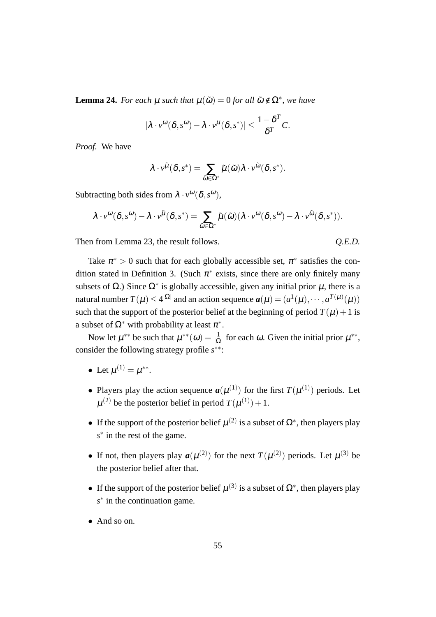**Lemma 24.** *For each*  $\mu$  *such that*  $\mu(\tilde{\omega}) = 0$  *for all*  $\tilde{\omega} \notin \Omega^*$ *, we have* 

$$
|\lambda \cdot v^{\omega}(\delta, s^{\omega}) - \lambda \cdot v^{\mu}(\delta, s^{*})| \leq \frac{1 - \delta^{T}}{\delta^{T}} C.
$$

*Proof.* We have

$$
\lambda \cdot \nu^{\tilde{\mu}}(\boldsymbol{\delta},s^*) = \sum_{\tilde{\omega} \in \Omega^*} \tilde{\mu}(\tilde{\omega}) \lambda \cdot \nu^{\tilde{\omega}}(\boldsymbol{\delta},s^*).
$$

Subtracting both sides from  $\lambda \cdot v^{\omega}(\delta, s^{\omega}),$ 

$$
\lambda \cdot v^{\omega}(\delta, s^{\omega}) - \lambda \cdot v^{\tilde{\mu}}(\delta, s^*) = \sum_{\tilde{\omega} \in \Omega^*} \tilde{\mu}(\tilde{\omega}) (\lambda \cdot v^{\omega}(\delta, s^{\omega}) - \lambda \cdot v^{\tilde{\omega}}(\delta, s^*)).
$$

Then from Lemma 23, the result follows.  $Q.E.D.$ 

Take  $\pi^* > 0$  such that for each globally accessible set,  $\pi^*$  satisfies the condition stated in Definition 3. (Such  $\pi^*$  exists, since there are only finitely many subsets of  $\Omega$ .) Since  $\Omega^*$  is globally accessible, given any initial prior  $\mu$ , there is a natural number  $T(\mu) \leq 4^{|\Omega|}$  and an action sequence  $a(\mu) = (a^1(\mu), \dots, a^{T(\mu)}(\mu))$ such that the support of the posterior belief at the beginning of period  $T(\mu) + 1$  is a subset of  $\Omega^*$  with probability at least  $\pi^*$ .

Now let  $\mu^{**}$  be such that  $\mu^{**}(\omega) = \frac{1}{|\Omega|}$  for each  $\omega$ . Given the initial prior  $\mu^{**}$ , consider the following strategy profile *s ∗∗*:

- Let  $\mu^{(1)} = \mu^{**}$ .
- Players play the action sequence  $a(\mu^{(1)})$  for the first  $T(\mu^{(1)})$  periods. Let  $\mu^{(2)}$  be the posterior belief in period  $T(\mu^{(1)})+1$ .
- If the support of the posterior belief  $\mu^{(2)}$  is a subset of  $\Omega^*$ , then players play *s ∗* in the rest of the game.
- If not, then players play  $a(\mu^{(2)})$  for the next  $T(\mu^{(2)})$  periods. Let  $\mu^{(3)}$  be the posterior belief after that.
- If the support of the posterior belief  $\mu^{(3)}$  is a subset of  $\Omega^*$ , then players play *s ∗* in the continuation game.
- *•* And so on.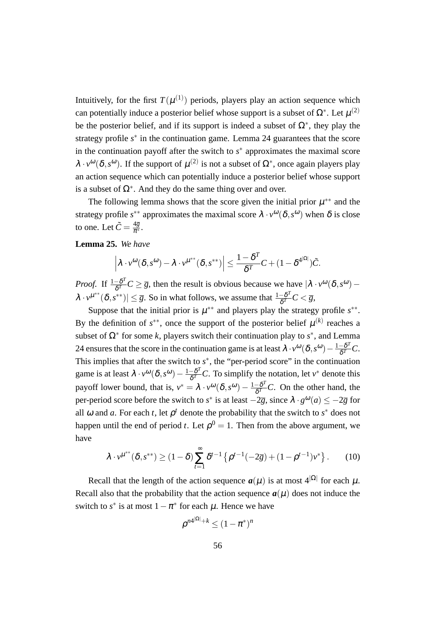Intuitively, for the first  $T(\mu^{(1)})$  periods, players play an action sequence which can potentially induce a posterior belief whose support is a subset of  $\Omega^*$ . Let  $\mu^{(2)}$ be the posterior belief, and if its support is indeed a subset of  $\Omega^*$ , they play the strategy profile *s ∗* in the continuation game. Lemma 24 guarantees that the score in the continuation payoff after the switch to *s*<sup>∗</sup> approximates the maximal score  $\lambda \cdot v^{\omega}(\delta, s^{\omega})$ . If the support of  $\mu^{(2)}$  is not a subset of  $\Omega^*$ , once again players play an action sequence which can potentially induce a posterior belief whose support is a subset of  $\Omega^*$ . And they do the same thing over and over.

The following lemma shows that the score given the initial prior  $\mu^{**}$  and the strategy profile  $s^{**}$  approximates the maximal score  $\lambda \cdot v^{\omega}(\delta, s^{\omega})$  when  $\delta$  is close to one. Let  $\tilde{C} = \frac{4\overline{g}}{\pi^*}$ .

#### **Lemma 25.** *We have*

$$
\left|\lambda\cdot v^{\omega}(\delta,s^{\omega})-\lambda\cdot v^{\mu^{**}}(\delta,s^{**})\right|\leq \frac{1-\delta^T}{\delta^T}C+(1-\delta^{4^{|\Omega|}})\tilde{C}.
$$

*Proof.* If  $\frac{1-\delta^T}{\delta T}$  $\frac{-\delta^2}{\delta^T}C \geq \overline{g}$ , then the result is obvious because we have  $\left|\lambda \cdot v^{\omega}(\delta, s^{\omega}) - v\right|$  $\lambda \cdot v^{\mu^{**}}(\delta, s^{**}) \leq \overline{g}$ . So in what follows, we assume that  $\frac{1-\delta^T}{\delta T}$  $\frac{-\mathfrak{d}^{\ast}}{\delta^{T}}C<\overline{g},$ 

Suppose that the initial prior is  $\mu^{**}$  and players play the strategy profile  $s^{**}$ . By the definition of  $s^{**}$ , once the support of the posterior belief  $\mu^{(k)}$  reaches a subset of  $\Omega^*$  for some *k*, players switch their continuation play to  $s^*$ , and Lemma 24 ensures that the score in the continuation game is at least  $\lambda \cdot v^{\omega}(\delta, s^{\omega}) - \frac{1 - \delta^T}{\delta T}$  $\frac{-\boldsymbol{\mathrm{o}}\cdot}{\boldsymbol{\delta}^T}C.$ This implies that after the switch to  $s^*$ , the "per-period score" in the continuation game is at least  $\lambda \cdot v^{\omega}(\delta, s^{\omega}) - \frac{1 - \delta^T}{\delta T}$  $\frac{-\delta^T}{\delta^T}C$ . To simplify the notation, let *v*<sup>\*</sup> denote this payoff lower bound, that is,  $v^* = \lambda \cdot v^{\omega}(\delta, s^{\omega}) - \frac{1 - \delta^T}{\delta T}$  $\frac{a-b^2}{\delta^T}C$ . On the other hand, the per-period score before the switch to *s*<sup>\*</sup> is at least  $-2\overline{g}$ , since  $\lambda \cdot g^{0}(a) \le -2\overline{g}$  for all  $\omega$  and  $\alpha$ . For each  $t$ , let  $\rho^t$  denote the probability that the switch to  $s^*$  does not happen until the end of period *t*. Let  $\rho^0 = 1$ . Then from the above argument, we have

$$
\lambda \cdot v^{\mu^{**}}(\delta, s^{**}) \ge (1-\delta) \sum_{t=1}^{\infty} \delta^{t-1} \left\{ \rho^{t-1}(-2\overline{g}) + (1-\rho^{t-1})v^* \right\}.
$$
 (10)

Recall that the length of the action sequence  $a(\mu)$  is at most  $4^{|\Omega|}$  for each  $\mu$ . Recall also that the probability that the action sequence  $a(\mu)$  does not induce the switch to  $s^*$  is at most  $1 - \pi^*$  for each  $\mu$ . Hence we have

$$
\rho^{n4^{|\Omega|}+k} \le (1-\pi^*)^n
$$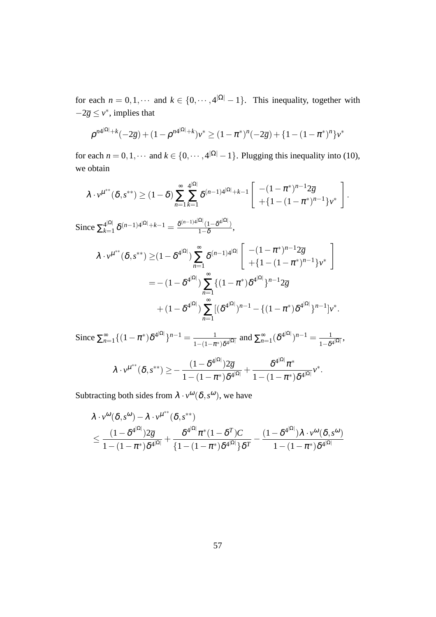for each  $n = 0, 1, \cdots$  and  $k \in \{0, \cdots, 4|\Omega| - 1\}$ . This inequality, together with  $-2\overline{g} \le v^*$ , implies that

$$
\rho^{n4^{|\Omega|}+k}(-2\overline{g})+(1-\rho^{n4^{|\Omega|}+k})v^* \geq (1-\pi^*)^n(-2\overline{g})+\{1-(1-\pi^*)^n\}v^*
$$

for each  $n = 0, 1, \dots$  and  $k \in \{0, \dots, 4^{|\Omega|} - 1\}$ . Plugging this inequality into (10), we obtain

*.*

$$
\lambda \cdot v^{\mu^{**}}(\delta, s^{**}) \ge (1 - \delta) \sum_{n=1}^{\infty} \sum_{k=1}^{4|\Omega|} \delta^{(n-1)4|\Omega|} + k - 1 \left[ \frac{-(1 - \pi^*)^{n-1} 2\overline{g}}{+(1 - (1 - \pi^*)^{n-1})^2} y^* \right]
$$
  
Since  $\sum_{k=1}^{4|\Omega|} \delta^{(n-1)4|\Omega|} + k - 1 = \frac{\delta^{(n-1)4|\Omega|} (1 - \delta^{4|\Omega|})}{1 - \delta},$   

$$
\lambda \cdot v^{\mu^{**}}(\delta, s^{**}) \ge (1 - \delta^{4|\Omega|}) \sum_{n=1}^{\infty} \delta^{(n-1)4|\Omega|} \left[ \frac{-(1 - \pi^*)^{n-1} 2\overline{g}}{+(1 - (1 - \pi^*)^{n-1})^2} y^* \right]
$$

$$
= -(1 - \delta^{4|\Omega|}) \sum_{n=1}^{\infty} \{ (1 - \pi^*) \delta^{4|\Omega|} \}^{n-1} 2\overline{g}
$$

$$
+ (1 - \delta^{4|\Omega|}) \sum_{n=1}^{\infty} [ (\delta^{4|\Omega|})^{n-1} - \{ (1 - \pi^*) \delta^{4|\Omega|} \}^{n-1} ] v^*.
$$

Since  $\sum_{n=1}^{\infty} \{ (1 - \pi^*) \delta^{4^{|\Omega|}} \}^{n-1} = \frac{1}{1 - (1 - \pi^*)}$  $\frac{1}{1-(1-\pi^*)\delta^{4|\Omega|}}$  and  $\sum_{n=1}^{\infty}(\delta^{4^{|\Omega|}})^{n-1}=\frac{1}{1-\delta^2}$  $\frac{1}{1-\delta^{4|\Omega|}}$  $\lambda \cdot v^{\mu^{**}}(\delta, s^{**}) \geq -\frac{(1-\delta^{4^{|\Omega|}})^2\overline{g}}{1-(1-\delta)^{2^{|\Omega|}}}\,.$  $\frac{(1-\delta^{4^{|\Omega|}})2\overline{g}}{1-(1-\pi^*)\delta^{4^{|\Omega|}}}+\frac{\delta^{4^{|\Omega|}}\pi^*}{1-(1-\pi^*)}$  $\frac{6}{1-(1-\pi^*)\delta^{4|\Omega|}}v^*.$ 

Subtracting both sides from  $\lambda \cdot v^{\omega}(\delta, s^{\omega})$ , we have

$$
\begin{aligned} &\lambda \cdot \nu^\omega(\delta,s^\omega) - \lambda \cdot \nu^{\mu^{**}}(\delta,s^{**}) \\&\leq \frac{(1-\delta^{4^{|\Omega|}})2\overline{g}}{1-(1-\pi^*)\delta^{4^{|\Omega|}}} + \frac{\delta^{4^{|\Omega|}} \pi^*(1-\delta^T)C}{\{1-(1-\pi^*)\delta^{4^{|\Omega|}}\}\delta^T} - \frac{(1-\delta^{4^{|\Omega|}})\lambda \cdot \nu^\omega(\delta,s^\omega)}{1-(1-\pi^*)\delta^{4^{|\Omega|}}} \end{aligned}
$$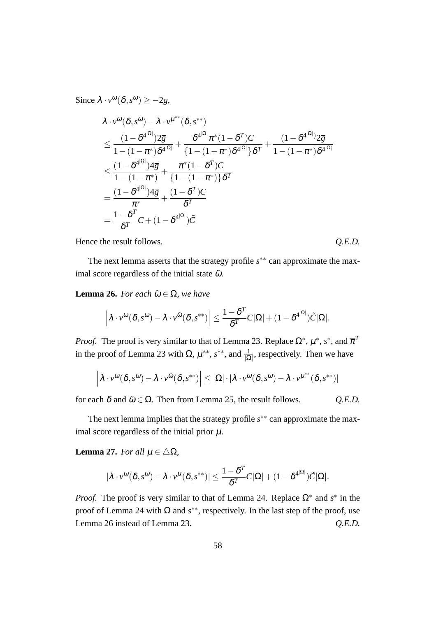Since  $\lambda \cdot v^{\omega}(\delta, s^{\omega}) \ge -2\overline{g}$ ,

$$
\lambda \cdot v^{\omega}(\delta, s^{\omega}) - \lambda \cdot v^{\mu^{**}}(\delta, s^{**})
$$
\n
$$
\leq \frac{(1 - \delta^{4^{|\Omega|}})2\overline{g}}{1 - (1 - \pi^*)\delta^{4^{|\Omega|}}} + \frac{\delta^{4^{|\Omega|}} \pi^*(1 - \delta^T)C}{\{1 - (1 - \pi^*)\delta^{4^{|\Omega|}}\}\delta^T} + \frac{(1 - \delta^{4^{|\Omega|}})2\overline{g}}{1 - (1 - \pi^*)} \\
\leq \frac{(1 - \delta^{4^{|\Omega|}})4\overline{g}}{1 - (1 - \pi^*)} + \frac{\pi^*(1 - \delta^T)C}{\{1 - (1 - \pi^*)\}\delta^T} \\
= \frac{(1 - \delta^{4^{|\Omega|}})4\overline{g}}{\pi^*} + \frac{(1 - \delta^T)C}{\delta^T} \\
= \frac{1 - \delta^T}{\delta^T}C + (1 - \delta^{4^{|\Omega|}})\tilde{C}
$$

Hence the result follows.  $Q.E.D.$ 

The next lemma asserts that the strategy profile *s ∗∗* can approximate the maximal score regardless of the initial state  $\tilde{\omega}$ .

**Lemma 26.** *For each*  $\tilde{\omega} \in \Omega$ *, we have* 

$$
\left|\lambda\cdot v^{\omega}(\delta,s^{\omega})-\lambda\cdot v^{\tilde{\omega}}(\delta,s^{**})\right|\leq\frac{1-\delta^{T}}{\delta^{T}}C|\Omega|+(1-\delta^{4^{|\Omega|}})\tilde{C}|\Omega|.
$$

*Proof.* The proof is very similar to that of Lemma 23. Replace  $\Omega^*, \mu^*, s^*$ , and  $\overline{\pi}^T$ in the proof of Lemma 23 with  $\Omega$ ,  $\mu^{**}$ ,  $s^{**}$ , and  $\frac{1}{|\Omega|}$ , respectively. Then we have

$$
\left|\lambda\cdot\nu^\omega(\delta,s^\omega)-\lambda\cdot\nu^{\tilde\omega}(\delta,s^{**})\right|\leq |\Omega|\cdot|\lambda\cdot\nu^\omega(\delta,s^\omega)-\lambda\cdot\nu^{\mu^{**}}(\delta,s^{**})|
$$

for each  $\delta$  and  $\tilde{\omega} \in \Omega$ . Then from Lemma 25, the result follows.  $Q.E.D.$ 

The next lemma implies that the strategy profile *s ∗∗* can approximate the maximal score regardless of the initial prior  $\mu$ .

**Lemma 27.** *For all*  $\mu \in \Delta\Omega$ *,* 

$$
|\lambda \cdot v^{\omega}(\delta, s^{\omega}) - \lambda \cdot v^{\mu}(\delta, s^{**})| \leq \frac{1 - \delta^{T}}{\delta^{T}} C |\Omega| + (1 - \delta^{4^{|\Omega|}}) \tilde{C} |\Omega|.
$$

*Proof.* The proof is very similar to that of Lemma 24. Replace  $\Omega^*$  and  $s^*$  in the proof of Lemma 24 with Ω and *s ∗∗*, respectively. In the last step of the proof, use Lemma 26 instead of Lemma 23. *Q.E.D.*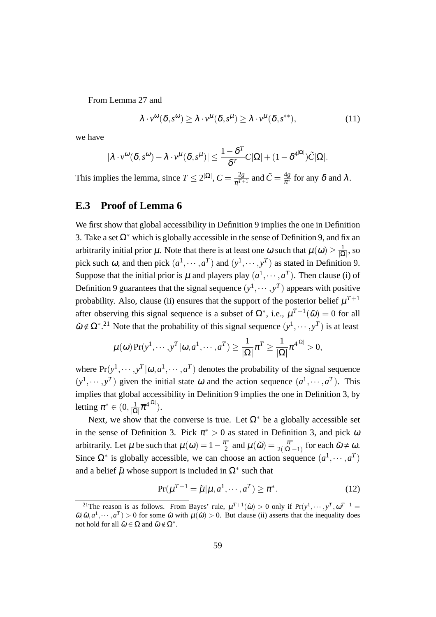From Lemma 27 and

$$
\lambda \cdot v^{\omega}(\delta, s^{\omega}) \ge \lambda \cdot v^{\mu}(\delta, s^{\mu}) \ge \lambda \cdot v^{\mu}(\delta, s^{**}), \qquad (11)
$$

we have

$$
|\lambda \cdot v^{\omega}(\delta, s^{\omega}) - \lambda \cdot v^{\mu}(\delta, s^{\mu})| \leq \frac{1 - \delta^{T}}{\delta^{T}} C |\Omega| + (1 - \delta^{4^{|\Omega|}}) \tilde{C} |\Omega|.
$$

This implies the lemma, since  $T \leq 2^{|\Omega|}$ ,  $C = \frac{2\overline{g}}{\overline{\pi}T + 1}$  $\frac{2\overline{g}}{\overline{\pi}^{T+1}}$  and  $\tilde{C} = \frac{4\overline{g}}{\pi^*}$  for any  $\delta$  and  $\lambda$  .

# **E.3 Proof of Lemma 6**

We first show that global accessibility in Definition 9 implies the one in Definition 3. Take a set  $\Omega^*$  which is globally accessible in the sense of Definition 9, and fix an arbitrarily initial prior  $\mu$ . Note that there is at least one  $\omega$  such that  $\mu(\omega) \geq \frac{1}{10}$ *|*Ω*|* , so pick such  $\omega$ , and then pick  $(a^1, \dots, a^T)$  and  $(y^1, \dots, y^T)$  as stated in Definition 9. Suppose that the initial prior is  $\mu$  and players play  $(a^1, \dots, a^T)$ . Then clause (i) of Definition 9 guarantees that the signal sequence  $(y^1, \dots, y^T)$  appears with positive probability. Also, clause (ii) ensures that the support of the posterior belief  $\mu^{T+1}$ after observing this signal sequence is a subset of  $\Omega^*$ , i.e.,  $\mu^{T+1}(\tilde{\omega}) = 0$  for all  $\tilde{\omega} \notin \Omega^*$ <sup>21</sup>. Note that the probability of this signal sequence  $(y^1, \dots, y^T)$  is at least

$$
\mu(\omega) \Pr(y^1, \cdots, y^T | \omega, a^1, \cdots, a^T) \ge \frac{1}{|\Omega|} \overline{\pi}^T \ge \frac{1}{|\Omega|} \overline{\pi}^{4^{|\Omega|}} > 0,
$$

where  $Pr(y^1, \dots, y^T | \omega, a^1, \dots, a^T)$  denotes the probability of the signal sequence  $(y<sup>1</sup>, \dots, y<sup>T</sup>)$  given the initial state  $\omega$  and the action sequence  $(a<sup>1</sup>, \dots, a<sup>T</sup>)$ . This implies that global accessibility in Definition 9 implies the one in Definition 3, by letting  $\pi^* \in (0, \frac{1}{10})$  $\frac{1}{|\Omega|} \overline{\pi}^{4^{|\Omega|}}).$ 

Next, we show that the converse is true. Let  $\Omega^*$  be a globally accessible set in the sense of Definition 3. Pick  $\pi^* > 0$  as stated in Definition 3, and pick  $\omega$ arbitrarily. Let  $\mu$  be such that  $\mu(\omega) = 1 - \frac{\pi^*}{2}$  $\frac{\tau^*}{2}$  and  $\mu(\tilde{\omega}) = \frac{\pi^*}{2(|\Omega|^2)}$  $\frac{\pi^*}{2(|\Omega|-1)}$  for each  $\tilde{\omega} \neq \omega$ . Since  $\Omega^*$  is globally accessible, we can choose an action sequence  $(a^1, \dots, a^T)$ and a belief  $\tilde{\mu}$  whose support is included in  $\Omega^*$  such that

$$
\Pr(\mu^{T+1} = \tilde{\mu} | \mu, a^1, \cdots, a^T) \ge \pi^*.
$$
 (12)

<sup>&</sup>lt;sup>21</sup>The reason is as follows. From Bayes' rule,  $\mu^{T+1}(\tilde{\omega}) > 0$  only if  $Pr(y^1, \dots, y^T, \omega^{T+1} =$  $\tilde{\omega}|\hat{\omega}, a^1, \dots, a^T$  > 0 for some  $\hat{\omega}$  with  $\mu(\hat{\omega})$  > 0. But clause (ii) asserts that the inequality does not hold for all  $\hat{\omega} \in \Omega$  and  $\tilde{\omega} \notin \Omega^*$ .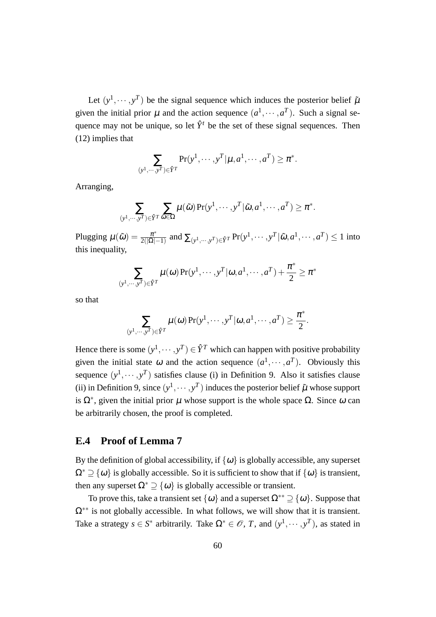Let  $(y^1, \dots, y^T)$  be the signal sequence which induces the posterior belief  $\tilde{\mu}$ given the initial prior  $\mu$  and the action sequence  $(a^1, \dots, a^T)$ . Such a signal sequence may not be unique, so let  $\hat{Y}^t$  be the set of these signal sequences. Then (12) implies that

$$
\sum_{(y^1,\dots,y^T)\in \hat{Y}^T} \Pr(y^1,\dots,y^T | \mu, a^1,\dots,a^T) \ge \pi^*.
$$

Arranging,

$$
\sum_{(y^1,\cdots,y^T)\in \hat{Y}^T}\sum_{\tilde{\omega}\in \Omega}\mu(\tilde{\omega})\Pr(y^1,\cdots,y^T|\tilde{\omega},a^1,\cdots,a^T)\geq \pi^*.
$$

Plugging  $\mu(\tilde{\omega}) = \frac{\pi^*}{2(|\tilde{\omega}|)}$  $\frac{\pi^*}{2(|\Omega|-1)}$  and  $\sum_{(y^1,\cdots,y^T)\in \hat{Y}^T}\Pr(y^1,\cdots,y^T|\tilde{\omega},a^1,\cdots,a^T)\leq 1$  into this inequality,

$$
\sum_{(y^1,\dots,y^T)\in \hat{Y}^T}\mu(\omega)\Pr(y^1,\dots,y^T|\omega,a^1,\dots,a^T)+\frac{\pi^*}{2}\geq \pi^*
$$

so that

$$
\sum_{(y^1,\dots,y^T)\in \hat{Y}^T}\mu(\omega)\Pr(y^1,\dots,y^T|\omega,a^1,\dots,a^T)\geq \frac{\pi^*}{2}.
$$

Hence there is some  $(y^1, \dots, y^T) \in \hat{Y}^T$  which can happen with positive probability given the initial state  $\omega$  and the action sequence  $(a^1, \dots, a^T)$ . Obviously this sequence  $(y^1, \dots, y^T)$  satisfies clause (i) in Definition 9. Also it satisfies clause (ii) in Definition 9, since  $(y^1, \dots, y^T)$  induces the posterior belief  $\tilde{\mu}$  whose support is  $Ω<sup>*</sup>$ , given the initial prior  $μ$  whose support is the whole space  $Ω$ . Since  $ω$  can be arbitrarily chosen, the proof is completed.

## **E.4 Proof of Lemma 7**

By the definition of global accessibility, if  $\{\omega\}$  is globally accessible, any superset  $\Omega^*$   $\supset$   $\{\omega\}$  is globally accessible. So it is sufficient to show that if  $\{\omega\}$  is transient, then any superset  $\Omega^* \supset \{ \omega \}$  is globally accessible or transient.

To prove this, take a transient set  $\{\omega\}$  and a superset  $\Omega^{**} \supset \{\omega\}$ . Suppose that Ω*∗∗* is not globally accessible. In what follows, we will show that it is transient. Take a strategy  $s \in S^*$  arbitrarily. Take  $\Omega^* \in \mathcal{O}$ , *T*, and  $(y^1, \dots, y^T)$ , as stated in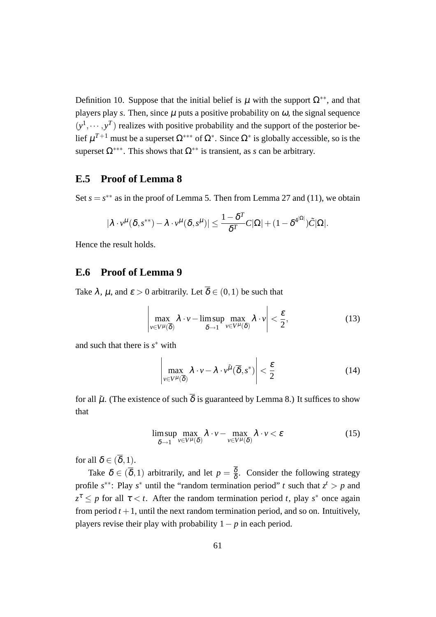Definition 10. Suppose that the initial belief is  $\mu$  with the support  $\Omega^{**}$ , and that players play *s*. Then, since  $\mu$  puts a positive probability on  $\omega$ , the signal sequence  $(y<sup>1</sup>, \dots, y<sup>T</sup>)$  realizes with positive probability and the support of the posterior belief µ *<sup>T</sup>*+<sup>1</sup> must be a superset Ω*∗∗∗* of Ω*<sup>∗</sup>* . Since Ω*<sup>∗</sup>* is globally accessible, so is the superset  $\Omega^{***}$ . This shows that  $\Omega^{**}$  is transient, as *s* can be arbitrary.

# **E.5 Proof of Lemma 8**

Set  $s = s^{**}$  as in the proof of Lemma 5. Then from Lemma 27 and (11), we obtain

$$
|\lambda\cdot v^{\mu}(\delta,s^{**})-\lambda\cdot v^{\mu}(\delta,s^{\mu})|\leq \frac{1-\delta^T}{\delta^T}C|\Omega|+(1-\delta^{4^{|\Omega|}})\tilde{C}|\Omega|.
$$

Hence the result holds.

# **E.6 Proof of Lemma 9**

Take  $\lambda$ ,  $\mu$ , and  $\varepsilon > 0$  arbitrarily. Let  $\overline{\delta} \in (0,1)$  be such that

$$
\left|\max_{\nu \in V^{\mu}(\overline{\delta})} \lambda \cdot \nu - \limsup_{\delta \to 1} \max_{\nu \in V^{\mu}(\delta)} \lambda \cdot \nu \right| < \frac{\varepsilon}{2},\tag{13}
$$

and such that there is *s <sup>∗</sup>* with

$$
\left| \max_{v \in V^{\mu}(\overline{\delta})} \lambda \cdot v - \lambda \cdot v^{\tilde{\mu}}(\overline{\delta}, s^*) \right| < \frac{\varepsilon}{2} \tag{14}
$$

for all  $\tilde{\mu}$ . (The existence of such  $\overline{\delta}$  is guaranteed by Lemma 8.) It suffices to show that

$$
\limsup_{\delta \to 1} \max_{\nu \in V^{\mu}(\delta)} \lambda \cdot \nu - \max_{\nu \in V^{\mu}(\delta)} \lambda \cdot \nu < \varepsilon \tag{15}
$$

for all  $\delta \in (\overline{\delta}, 1)$ .

Take  $\delta \in (\overline{\delta}, 1)$  arbitrarily, and let  $p = \frac{\delta}{\delta}$  $\frac{\delta}{\delta}$ . Consider the following strategy profile  $s^{**}$ : Play  $s^*$  until the "random termination period" *t* such that  $z^t > p$  and  $z^{\tau} \leq p$  for all  $\tau < t$ . After the random termination period *t*, play *s*<sup>\*</sup> once again from period  $t + 1$ , until the next random termination period, and so on. Intuitively, players revise their play with probability 1*− p* in each period.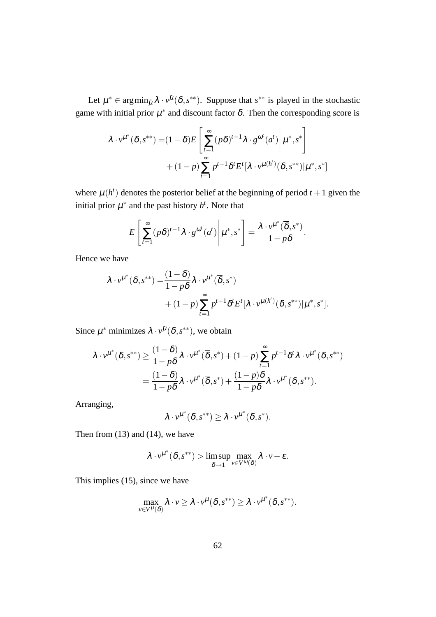Let  $\mu^* \in \arg\min_{\tilde{\mu}} \lambda \cdot v^{\tilde{\mu}}(\delta, s^{**})$ . Suppose that  $s^{**}$  is played in the stochastic game with initial prior  $\mu^*$  and discount factor  $\delta$ . Then the corresponding score is

$$
\lambda \cdot v^{\mu^*}(\delta, s^{**}) = (1 - \delta)E\left[\sum_{t=1}^{\infty} (p\delta)^{t-1} \lambda \cdot g^{\omega^t}(a^t) \middle| \mu^*, s^*\right] + (1 - p) \sum_{t=1}^{\infty} p^{t-1} \delta^t E^t[\lambda \cdot v^{\mu(h^t)}(\delta, s^{**}) | \mu^*, s^*]
$$

where  $\mu(h^t)$  denotes the posterior belief at the beginning of period  $t + 1$  given the initial prior  $\mu^*$  and the past history  $h^t$ . Note that

$$
E\left[\sum_{t=1}^{\infty} (p\delta)^{t-1} \lambda \cdot g^{\omega^t}(a^t) \middle| \mu^*, s^* \right] = \frac{\lambda \cdot v^{\mu^*}(\overline{\delta}, s^*)}{1 - p\delta}.
$$

Hence we have

$$
\lambda \cdot v^{\mu^*}(\delta, s^{**}) = \frac{(1-\delta)}{1-p\delta} \lambda \cdot v^{\mu^*}(\overline{\delta}, s^*)
$$
  
+ 
$$
(1-p) \sum_{t=1}^{\infty} p^{t-1} \delta^t E^t[\lambda \cdot v^{\mu(h^t)}(\delta, s^{**}) | \mu^*, s^*].
$$

Since  $\mu^*$  minimizes  $\lambda \cdot v^{\tilde{\mu}}(\delta, s^{**})$ , we obtain

$$
\lambda \cdot v^{\mu^*}(\delta, s^{**}) \geq \frac{(1-\delta)}{1-p\delta} \lambda \cdot v^{\mu^*}(\overline{\delta}, s^*) + (1-p) \sum_{t=1}^{\infty} p^{t-1} \delta^t \lambda \cdot v^{\mu^*}(\delta, s^{**})
$$
  
= 
$$
\frac{(1-\delta)}{1-p\delta} \lambda \cdot v^{\mu^*}(\overline{\delta}, s^*) + \frac{(1-p)\delta}{1-p\delta} \lambda \cdot v^{\mu^*}(\delta, s^{**}).
$$

Arranging,

$$
\lambda\cdot \nu^{\mu^*}(\delta,s^{**})\geq \lambda\cdot \nu^{\mu^*}(\overline{\delta},s^*).
$$

Then from (13) and (14), we have

$$
\lambda \cdot \nu^{\mu^*}(\delta, s^{**}) > \limsup_{\delta \to 1} \max_{\nu \in V^{\omega}(\delta)} \lambda \cdot \nu - \varepsilon.
$$

This implies (15), since we have

$$
\max_{v \in V^{\mu}(\delta)} \lambda \cdot v \geq \lambda \cdot v^{\mu}(\delta, s^{**}) \geq \lambda \cdot v^{\mu^*}(\delta, s^{**}).
$$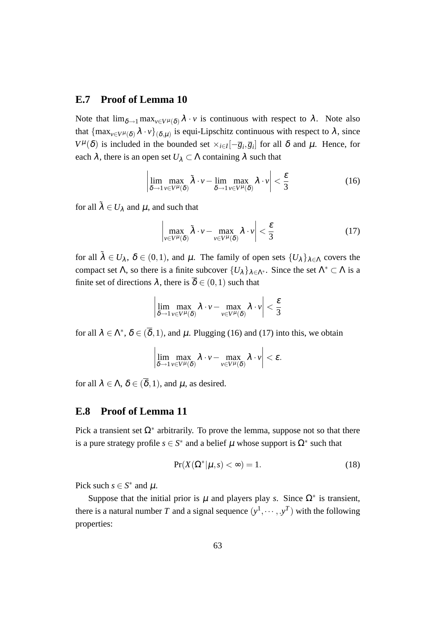### **E.7 Proof of Lemma 10**

Note that  $\lim_{\delta \to 1} \max_{v \in V^{\mu}(\delta)} \lambda \cdot v$  is continuous with respect to  $\lambda$ . Note also that  $\{\max_{v \in V^\mu(\delta)} \lambda \cdot v\}_{(\delta,\mu)}$  is equi-Lipschitz continuous with respect to  $\lambda$ , since *V*<sup> $\mu$ </sup>( $\delta$ ) is included in the bounded set  $\times_{i \in I} [-\overline{g}_i, \overline{g}_i]$  for all  $\delta$  and  $\mu$ . Hence, for each  $\lambda$ , there is an open set  $U_{\lambda} \subset \Lambda$  containing  $\lambda$  such that

$$
\left| \lim_{\delta \to 1} \max_{\nu \in V^{\mu}(\delta)} \tilde{\lambda} \cdot \nu - \lim_{\delta \to 1} \max_{\nu \in V^{\mu}(\delta)} \lambda \cdot \nu \right| < \frac{\varepsilon}{3} \tag{16}
$$

for all  $\tilde{\lambda} \in U_{\lambda}$  and  $\mu$ , and such that

$$
\left|\max_{v \in V^{\mu}(\delta)} \tilde{\lambda} \cdot v - \max_{v \in V^{\mu}(\delta)} \lambda \cdot v\right| < \frac{\varepsilon}{3} \tag{17}
$$

for all  $\tilde{\lambda} \in U_{\lambda}$ ,  $\delta \in (0,1)$ , and  $\mu$ . The family of open sets  $\{U_{\lambda}\}_{\lambda \in \Lambda}$  covers the compact set  $\Lambda$ , so there is a finite subcover  $\{U_{\lambda}\}_{\lambda \in \Lambda^*}$ . Since the set  $\Lambda^* \subset \Lambda$  is a finite set of directions  $\lambda$ , there is  $\overline{\delta} \in (0,1)$  such that

$$
\left|\lim_{\delta \to 1} \max_{\nu \in V^\mu(\delta)} \lambda \cdot \nu - \max_{\nu \in V^\mu(\delta)} \lambda \cdot \nu \right| < \frac{\varepsilon}{3}
$$

for all  $\lambda \in \Lambda^*$ ,  $\delta \in (\overline{\delta}, 1)$ , and  $\mu$ . Plugging (16) and (17) into this, we obtain

$$
\left|\lim_{\delta \to 1} \max_{\nu \in V^{\mu}(\delta)} \lambda \cdot \nu - \max_{\nu \in V^{\mu}(\delta)} \lambda \cdot \nu \right| < \varepsilon.
$$

for all  $\lambda \in \Lambda$ ,  $\delta \in (\overline{\delta}, 1)$ , and  $\mu$ , as desired.

## **E.8 Proof of Lemma 11**

Pick a transient set  $\Omega^*$  arbitrarily. To prove the lemma, suppose not so that there is a pure strategy profile  $s \in S^*$  and a belief  $\mu$  whose support is  $\Omega^*$  such that

$$
Pr(X(\Omega^*|\mu, s) < \infty) = 1. \tag{18}
$$

Pick such  $s \in S^*$  and  $\mu$ .

Suppose that the initial prior is  $\mu$  and players play *s*. Since  $\Omega^*$  is transient, there is a natural number *T* and a signal sequence  $(y^1, \dots, y^T)$  with the following properties: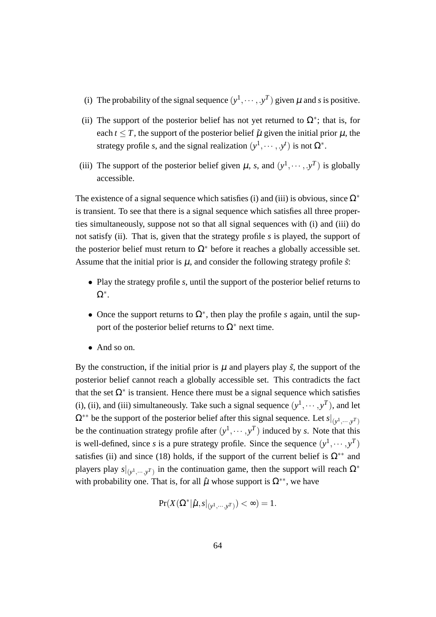- (i) The probability of the signal sequence  $(y^1, \dots, y^T)$  given  $\mu$  and *s* is positive.
- (ii) The support of the posterior belief has not yet returned to  $\Omega^*$ ; that is, for each  $t \leq T$ , the support of the posterior belief  $\tilde{\mu}$  given the initial prior  $\mu$ , the strategy profile *s*, and the signal realization  $(y^1, \dots, y^t)$  is not  $\Omega^*$ .
- (iii) The support of the posterior belief given  $\mu$ , *s*, and  $(y^1, \dots, y^T)$  is globally accessible.

The existence of a signal sequence which satisfies (i) and (iii) is obvious, since Ω*<sup>∗</sup>* is transient. To see that there is a signal sequence which satisfies all three properties simultaneously, suppose not so that all signal sequences with (i) and (iii) do not satisfy (ii). That is, given that the strategy profile *s* is played, the support of the posterior belief must return to  $\Omega^*$  before it reaches a globally accessible set. Assume that the initial prior is  $\mu$ , and consider the following strategy profile  $\tilde{s}$ .

- *•* Play the strategy profile *s*, until the support of the posterior belief returns to Ω*∗* .
- *•* Once the support returns to Ω*<sup>∗</sup>* , then play the profile *s* again, until the support of the posterior belief returns to  $\Omega^*$  next time.
- *•* And so on.

By the construction, if the initial prior is  $\mu$  and players play  $\tilde{s}$ , the support of the posterior belief cannot reach a globally accessible set. This contradicts the fact that the set  $\Omega^*$  is transient. Hence there must be a signal sequence which satisfies (i), (ii), and (iii) simultaneously. Take such a signal sequence  $(y^1, \dots, y^T)$ , and let  $\Omega^{**}$  be the support of the posterior belief after this signal sequence. Let  $s|_{(y^1, \dots, y^T)}$ be the continuation strategy profile after  $(y^1, \dots, y^T)$  induced by *s*. Note that this is well-defined, since *s* is a pure strategy profile. Since the sequence  $(y^1, \dots, y^T)$ satisfies (ii) and since (18) holds, if the support of the current belief is  $\Omega^{**}$  and players play  $s|_{(y^1, \dots, y^T)}$  in the continuation game, then the support will reach  $\Omega^*$ with probability one. That is, for all  $\hat{\mu}$  whose support is  $\Omega^{**}$ , we have

$$
\Pr(X(\Omega^*|\hat{\mu},s|_{(y^1,\cdots,y^T)})<\infty)=1.
$$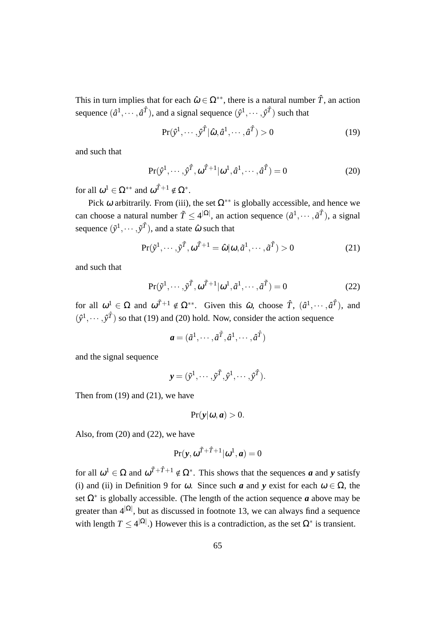This in turn implies that for each  $\hat{\omega} \in \Omega^{**}$ , there is a natural number  $\hat{T}$ , an action sequence  $(\hat{a}^1, \dots, \hat{a}^{\hat{T}})$ , and a signal sequence  $(\hat{y}^1, \dots, \hat{y}^{\hat{T}})$  such that

$$
\Pr(\hat{\mathbf{y}}^1, \cdots, \hat{\mathbf{y}}^{\hat{T}} | \hat{\omega}, \hat{a}^1, \cdots, \hat{a}^{\hat{T}}) > 0
$$
\n(19)

and such that

$$
\Pr(\hat{\mathbf{y}}^1, \cdots, \hat{\mathbf{y}}^T, \omega^{\hat{T}+1} | \omega^1, \hat{a}^1, \cdots, \hat{a}^{\hat{T}}) = 0 \tag{20}
$$

for all  $\omega^1 \in \Omega^{**}$  and  $\omega^{\hat{T}+1} \notin \Omega^*$ .

Pick  $\omega$  arbitrarily. From (iii), the set  $\Omega^{**}$  is globally accessible, and hence we can choose a natural number  $\tilde{T} \leq 4^{|\Omega|}$ , an action sequence  $(\tilde{a}^1, \dots, \tilde{a}^{\tilde{T}})$ , a signal sequence  $(\tilde{y}^1, \cdots, \tilde{y}^{\tilde{T}})$ , and a state  $\hat{\omega}$  such that

$$
\Pr(\tilde{y}^1, \cdots, \tilde{y}^{\tilde{T}}, \omega^{\tilde{T}+1} = \hat{\omega} | \omega, \tilde{a}^1, \cdots, \tilde{a}^{\tilde{T}}) > 0
$$
\n(21)

and such that

$$
\Pr(\tilde{y}^1, \cdots, \tilde{y}^{\tilde{T}}, \omega^{\tilde{T}+1} | \omega^1, \tilde{a}^1, \cdots, \tilde{a}^{\tilde{T}}) = 0
$$
\n(22)

for all  $\omega^1 \in \Omega$  and  $\omega^{T+1} \notin \Omega^{**}$ . Given this  $\hat{\omega}$ , choose  $\hat{T}$ ,  $(\hat{a}^1, \dots, \hat{a}^T)$ , and  $(\hat{y}^1, \dots, \hat{y}^T)$  so that (19) and (20) hold. Now, consider the action sequence

$$
\mathbf{a} = (\tilde{a}^1, \cdots, \tilde{a}^T, \hat{a}^1, \cdots, \hat{a}^T)
$$

and the signal sequence

$$
\mathbf{y} = (\tilde{y}^1, \cdots, \tilde{y}^{\tilde{T}}, \hat{y}^1, \cdots, \hat{y}^{\tilde{T}}).
$$

Then from (19) and (21), we have

$$
Pr(y|\omega, a) > 0.
$$

Also, from  $(20)$  and  $(22)$ , we have

$$
Pr(\mathbf{y}, \omega^{\tilde{T}+\hat{T}+1}|\omega^1, \mathbf{a}) = 0
$$

for all  $\omega^1 \in \Omega$  and  $\omega^{T+\hat{T}+1} \notin \Omega^*$ . This shows that the sequences *a* and *y* satisfy (i) and (ii) in Definition 9 for  $\omega$ . Since such *a* and *y* exist for each  $\omega \in \Omega$ , the set Ω*<sup>∗</sup>* is globally accessible. (The length of the action sequence *a* above may be greater than 4*|*Ω*<sup>|</sup>* , but as discussed in footnote 13, we can always find a sequence with length  $T \leq 4^{|\Omega|}$ .) However this is a contradiction, as the set  $\Omega^*$  is transient.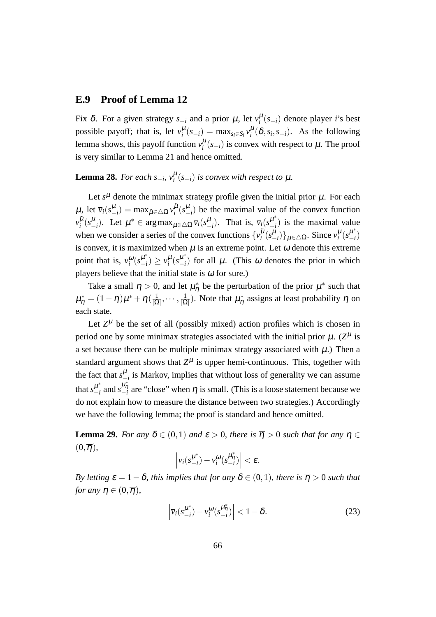## **E.9 Proof of Lemma 12**

Fix  $\delta$ . For a given strategy  $s_{-i}$  and a prior  $\mu$ , let  $v_i^{\mu}(s_{-i})$  denote player *i*'s best possible payoff; that is, let  $v_i^{\mu}(s_{-i}) = \max_{s_i \in S_i} v_i^{\mu}(\delta, s_i, s_{-i})$ . As the following lemma shows, this payoff function  $v_i^{\mu}(s_{-i})$  is convex with respect to  $\mu$ . The proof is very similar to Lemma 21 and hence omitted.

**Lemma 28.** *For each*  $s_{-i}$ ,  $v_i^{\mu}(s_{-i})$  *is convex with respect to*  $\mu$ *.* 

Let  $s^{\mu}$  denote the minimax strategy profile given the initial prior  $\mu$ . For each  $\mu$ , let  $\bar{v}_i(s_{-i}^{\mu}) = \max_{\tilde{\mu} \in \Delta \Omega} v_i^{\tilde{\mu}}$  $\int_{i}^{\mu}$  ( $s^{\mu}_{-i}$ ) be the maximal value of the convex function  $v_i^{\tilde{\mu}}$  $\overline{\mu}$ <sup>*i*</sup>(*s*<sup> $\mu$ </sup><sub>*i*</sub>). Let  $\mu^* \in \arg \max_{\mu \in \triangle \Omega} \overline{v}_i(s_{-i}^{\mu})$ . That is,  $\overline{v}_i(s_{-i}^{\mu^*})$  $\binom{\mu}{i}$  is the maximal value when we consider a series of the convex functions  $\{v_i^{\mu}$  $\left\{ \tilde{\mu}(s_{-i}^{\mu})\right\} \mu \in \triangle \Omega$ . Since  $v_i^{\mu}(s_{-i}^{\mu*})$ *−i* ) is convex, it is maximized when  $\mu$  is an extreme point. Let  $\omega$  denote this extreme point that is,  $v_i^{\omega} (s_{-i}^{\mu^*})$  $\binom{\mu^*}{-i} \geq v_i^{\mu} (s_{-i}^{\mu^*})$  $\begin{bmatrix} \mu \\ -i \end{bmatrix}$  for all  $\mu$ . (This  $\omega$  denotes the prior in which players believe that the initial state is  $\omega$  for sure.)

Take a small  $\eta > 0$ , and let  $\mu_{\eta}^*$  be the perturbation of the prior  $\mu^*$  such that  $\mu^*_\eta = (1-\eta)\mu^* + \eta \, (\frac{1}{|\Omega|})$  $\frac{1}{|\Omega|}, \cdots, \frac{1}{|\Omega|}$  $\frac{1}{|\Omega|}$ ). Note that  $\mu^*_{\eta}$  assigns at least probability  $\eta$  on each state.

Let  $Z^{\mu}$  be the set of all (possibly mixed) action profiles which is chosen in period one by some minimax strategies associated with the initial prior  $\mu$ . ( $Z^{\mu}$  is a set because there can be multiple minimax strategy associated with  $\mu$ .) Then a standard argument shows that  $Z^{\mu}$  is upper hemi-continuous. This, together with the fact that  $s_{-i}^{\mu}$  is Markov, implies that without loss of generality we can assume that  $s^{\mu^*}_{-i}$  $\n\mu^*$ <sub>−*i*</sub> and *s*<sup> $\mu^*$ <sub>7</sub><sup>*i*</sup></sup> are "close" when η is small. (This is a loose statement because we do not explain how to measure the distance between two strategies.) Accordingly we have the following lemma; the proof is standard and hence omitted.

**Lemma 29.** *For any*  $\delta \in (0,1)$  *and*  $\varepsilon > 0$ *, there is*  $\overline{\eta} > 0$  *such that for any*  $\eta \in$  $(0,\overline{\eta})$ ,

$$
\left|\overline{v}_i(s_{-i}^{\mu^*})-v_i^{\omega}(s_{-i}^{\mu^*_{\eta}})\right|<\varepsilon.
$$

*By letting*  $\varepsilon = 1 - \delta$ *, this implies that for any*  $\delta \in (0,1)$ *, there is*  $\overline{\eta} > 0$  *such that for any*  $\eta \in (0, \overline{\eta})$ ,

$$
\left|\overline{\nu}_i(s_{-i}^{\mu^*}) - \nu_i^{\omega}(s_{-i}^{\mu^*_{\eta}})\right| < 1 - \delta. \tag{23}
$$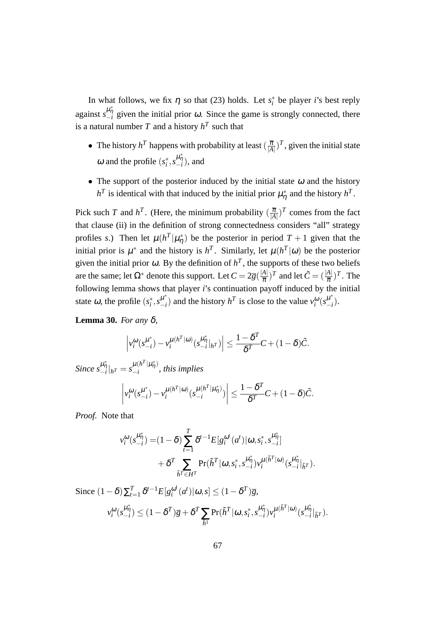In what follows, we fix  $\eta$  so that (23) holds. Let  $s_i^*$  be player *i*'s best reply against  $s_{-i}^{\mu_{\eta}^*}$  given the initial prior  $\omega$ . Since the game is strongly connected, there is a natural number *T* and a history  $h^T$  such that

- The history  $h^T$  happens with probability at least  $(\frac{\overline{\pi}}{|A|})^T$ , given the initial state ω and the profile  $(s_i^*, s_{-i}^{\mu_{\eta_i}^*})$ , and
- *•* The support of the posterior induced by the initial state <sup>ω</sup> and the history  $h^T$  is identical with that induced by the initial prior  $\mu^*_{\eta}$  and the history  $h^T$ .

Pick such *T* and  $h^T$ . (Here, the minimum probability  $(\frac{\overline{\pi}}{|A|})^T$  comes from the fact that clause (ii) in the definition of strong connectedness considers "all" strategy profiles *s*.) Then let  $\mu(h^T|\mu^*_{\eta})$  be the posterior in period  $T+1$  given that the initial prior is  $\mu^*$  and the history is  $h^T$ . Similarly, let  $\mu(h^T|\omega)$  be the posterior given the initial prior  $\omega$ . By the definition of  $h^T$ , the supports of these two beliefs are the same; let  $\Omega^*$  denote this support. Let  $C = 2\overline{g}(\frac{|A|}{\overline{T}})$  $\frac{A|}{\overline{\pi}}$ )<sup>*T*</sup> and let  $\tilde{C} = (\frac{|A|}{\overline{\pi}})^T$ . The following lemma shows that player *i*'s continuation payoff induced by the initial state  $\omega$ , the profile  $(s_i^*, s_{-i}^{\mu^*})$  $\binom{\mu^*}{-i}$  and the history *h*<sup>T</sup> is close to the value  $v_i^{\omega}(s_{-i}^{\mu^*})$ *−i* ).

**Lemma 30.** *For any* δ*,*

$$
\left|v_i^{\omega}(s_{-i}^{\mu^*})-v_i^{\mu(h^T|\omega)}(s_{-i}^{\mu^*_{\eta}}|_{h^T})\right| \leq \frac{1-\delta^T}{\delta^T}C+(1-\delta)\tilde{C}.
$$

1*−*δ *T*

 $\frac{-b}{\delta^T}C + (1-\delta)\tilde{C}$ .

*Since*  $s_{-i}^{\mu_{\eta}^{*}}|_{h} = s_{-i}^{\mu(h^{T}|\mu_{\eta}^{*})}$  $\frac{\mu}{i}$ <sup> $\frac{\mu}{i}$ </sup>, this implies  $\begin{array}{|c|c|} \hline \multicolumn{1}{|c|}{3} & \multicolumn{1}{|c|}{4} \multicolumn{1}{|c|}{5} \multicolumn{1}{|c|}{6} \multicolumn{1}{|c|}{6} \multicolumn{1}{|c|}{5} \multicolumn{1}{|c|}{6} \multicolumn{1}{|c|}{6} \multicolumn{1}{|c|}{6} \multicolumn{1}{|c|}{6} \multicolumn{1}{|c|}{6} \multicolumn{1}{|c|}{6} \multicolumn{1}{|c|}{6} \multicolumn{1}{|c|}{6} \multicolumn{1}{|c|}{6} \multicolumn{1}{|c|$  $v_i^{\omega}$ ( $s_{-i}^{\mu^*}$  $\left(\frac{\mu^*}{-i}\right) - \nu_i^{\mu(h^T|\omega)}$  $\mu(h^T|\omega)\binom{\mu(h^T|\mu^*_{\eta})}{h}$  $\begin{pmatrix} \mu(\mu & |\mu\eta) \\ -i \end{pmatrix}$  $\begin{array}{|c|c|} \hline \multicolumn{1}{|c|}{3} & \multicolumn{1}{|c|}{4} \multicolumn{1}{|c|}{5} \multicolumn{1}{|c|}{6} \multicolumn{1}{|c|}{5} \multicolumn{1}{|c|}{6} \multicolumn{1}{|c|}{6} \multicolumn{1}{|c|}{6} \multicolumn{1}{|c|}{6} \multicolumn{1}{|c|}{6} \multicolumn{1}{|c|}{6} \multicolumn{1}{|c|}{6} \multicolumn{1}{|c|}{6} \multicolumn{1}{|c|}{6} \multicolumn{1}{|c|}{6} \multicolumn{1}{|c|$ *≤*

*Proof.* Note that

$$
v_i^{\omega}(s_{-i}^{\mu_{\eta}^*}) = (1 - \delta) \sum_{t=1}^T \delta^{t-1} E[g_i^{\omega^t}(a^t) | \omega, s_i^*, s_{-i}^{\mu_{\eta}^*}] + \delta^T \sum_{\tilde{h}^T \in H^T} \Pr(\tilde{h}^T | \omega, s_i^*, s_{-i}^{\mu_{\eta}^*}) v_i^{\mu(\tilde{h}^T | \omega)}(s_{-i}^{\mu_{\eta}^*} |_{\tilde{h}^T}).
$$

Since  $(1 - \delta) \sum_{t=1}^{T} \delta^{t-1} E[g_i^{\omega^t}]$  $\int_a^{\omega^t} (a^t) | \omega, s | \le (1 - \delta^T) \overline{g},$  $v_i^{\omega}(s_{-i}^{\mu_{\eta}^*}) \le (1 - \delta^T) \overline{g} + \delta^T \sum$  $\tilde{h}^1$  $\Pr(\tilde{h}^T | \omega, s_i^*, s_{-i}^{\mu^*_{\tilde{\eta}}}) v_i^{\mu(\tilde{h}^T | \omega)}$  $\frac{\mu(\tilde{h}^T|\omega)}{i} (s_{-i}^{\mu_{\eta}^*}|_{\tilde{h}^T}).$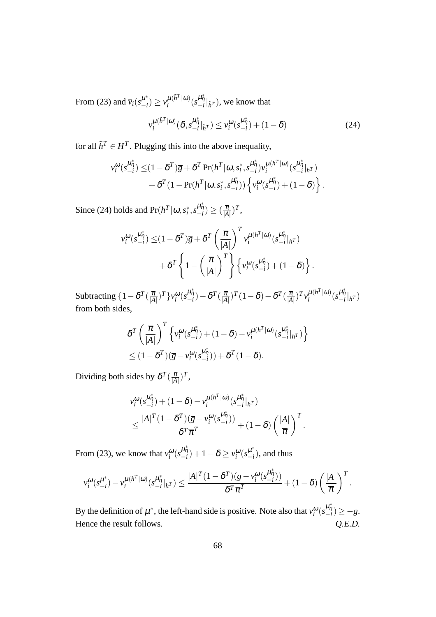From (23) and  $\bar{v}_i(s_{-i}^{\mu^*})$  $\nu_{-i}^*$ )  $\geq \nu_i^{\mu(\tilde{h}^T|\omega)}$  $\mu^{(\tilde{h}^T|\omega)}(s^{\mu}_{-i}|\tilde{h}^T)$ , we know that

$$
v_i^{\mu(\tilde{h}^T|\omega)}(\delta, s_{-i}^{\mu_{\tilde{\eta}}^*}|_{\tilde{h}^T}) \le v_i^{\omega}(s_{-i}^{\mu_{\tilde{\eta}}^*}) + (1 - \delta)
$$
 (24)

for all  $\tilde{h}^T \in H^T$ . Plugging this into the above inequality,

$$
v_i^{\omega}(s_{-i}^{\mu_{\eta}^*}) \leq (1 - \delta^T)\overline{g} + \delta^T \Pr(h^T|\omega, s_i^*, s_{-i}^{\mu_{\eta}^*}) v_i^{\mu(h^T|\omega)}(s_{-i}^{\mu_{\eta}^*}|_{h^T}) + \delta^T (1 - \Pr(h^T|\omega, s_i^*, s_{-i}^{\mu_{\eta}^*})) \left\{ v_i^{\omega}(s_{-i}^{\mu_{\eta}^*}) + (1 - \delta) \right\}.
$$

Since (24) holds and  $Pr(h^T|\omega, s_i^*, s_{-i}^{\mu^*_{\eta}}) \geq (\frac{\overline{\pi}}{|A|})^T$ ,

$$
v_i^{\omega}(s_{-i}^{\mu_{\eta}^*}) \leq (1 - \delta^T)\overline{g} + \delta^T \left(\frac{\overline{\pi}}{|A|}\right)^T v_i^{\mu(h^T|\omega)}(s_{-i}^{\mu_{\eta}^*}|_{h^T})
$$

$$
+ \delta^T \left\{1 - \left(\frac{\overline{\pi}}{|A|}\right)^T\right\} \left\{v_i^{\omega}(s_{-i}^{\mu_{\eta}^*}) + (1 - \delta)\right\}.
$$

Subtracting  $\{1-\delta^T(\frac{\overline{\pi}}{|A|})^T\}v_i^{\omega}(s_{-i}^{\mu_{\eta}^*})-\delta^T(\frac{\overline{\pi}}{|A|})^T(1-\delta)-\delta^T(\frac{\overline{\pi}}{|A|})^T v_i^{\mu(h^T|\omega)}$  $\frac{\mu(h^T|\omega)}{i}$   $(s_{-i}^{\mu^*_{\eta}}|_{h^T})$ from both sides,

$$
\delta^T \left( \frac{\overline{\pi}}{|A|} \right)^T \left\{ v_i^{\omega} (s_{-i}^{\mu_{\eta}^*}) + (1 - \delta) - v_i^{\mu(h^T|\omega)} (s_{-i}^{\mu_{\eta}^*}|_{h^T}) \right\}
$$
  

$$
\leq (1 - \delta^T) (\overline{g} - v_i^{\omega} (s_{-i}^{\mu_{\eta}^*})) + \delta^T (1 - \delta).
$$

Dividing both sides by  $\delta^T(\frac{\overline{\pi}}{|A|})^T$ ,

$$
\nu_i^{\omega}(s_{-i}^{\mu_{\eta}^*}) + (1 - \delta) - \nu_i^{\mu(h^T|\omega)}(s_{-i}^{\mu_{\eta}^*}|_{h^T})
$$
  

$$
\leq \frac{|A|^T (1 - \delta^T)(\overline{g} - \nu_i^{\omega}(s_{-i}^{\mu_{\eta}^*}))}{\delta^T \overline{\pi}^T} + (1 - \delta) \left(\frac{|A|}{\overline{\pi}}\right)^T.
$$

From (23), we know that  $v_i^{\omega}(s_{-i}^{\mu_{\eta}^*}) + 1 - \delta \ge v_i^{\omega}(s_{-i}^{\mu^*})$  $\binom{\mu}{i}$ , and thus

$$
v_i^{\omega}(s_{-i}^{\mu^*})-v_i^{\mu(h^T|\omega)}(s_{-i}^{\mu^*_{\eta}}|_{h^T})\leq \frac{|A|^T(1-\delta^T)(\overline{g}-v_i^{\omega}(s_{-i}^{\mu^*_{\eta}}))}{\delta^T\overline{\pi}^T}+(1-\delta)\left(\frac{|A|}{\overline{\pi}}\right)^T.
$$

By the definition of  $\mu^*$ , the left-hand side is positive. Note also that  $v_i^{\omega}(s_{-i}^{\mu^*_{\eta}}) \ge -\overline{g}$ . Hence the result follows.  $Q.E.D.$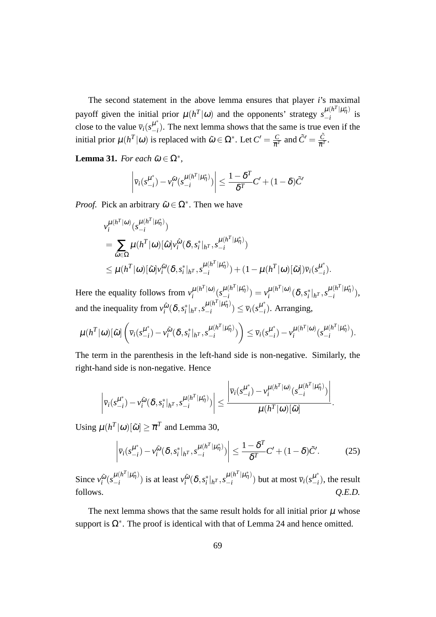The second statement in the above lemma ensures that player *i*'s maximal payoff given the initial prior  $\mu(h^T|\omega)$  and the opponents' strategy  $s_{-i}^{\mu(h^T|\mu^*_{n})}$  $\frac{\mu(n+|\mu_{\eta})}{-i}$  is close to the value  $\overline{v}_i(s^{\mu^*}_{-i})$  $\begin{bmatrix} \mu \\ -i \end{bmatrix}$ . The next lemma shows that the same is true even if the initial prior  $\mu(h^T|\omega)$  is replaced with  $\tilde{\omega} \in \Omega^*$ . Let  $C' = \frac{C}{\pi R}$  $\frac{C}{\overline{\pi}^T}$  and  $\tilde{C}' = \frac{\tilde{C}}{\overline{\pi}^T}$  $\frac{C}{\overline{\pi}^T}.$ 

**Lemma 31.** *For each*  $\tilde{\omega} \in \Omega^*$ ,

$$
\left|\overline{v}_i(s_{-i}^{\mu^*}) - v_i^{\tilde{\omega}}(s_{-i}^{\mu(h^T|\mu^*_{\eta})})\right| \le \frac{1-\delta^T}{\delta^T}C' + (1-\delta)\tilde{C}'
$$

*Proof.* Pick an arbitrary  $\tilde{\omega} \in \Omega^*$ . Then we have

$$
\nu_i^{\mu(h^T|\omega)}(s_{-i}^{\mu(h^T|\mu^*_{\eta})})
$$
\n
$$
= \sum_{\hat{\omega}\in\Omega} \mu(h^T|\omega)[\hat{\omega}] \nu_i^{\hat{\omega}}(\delta, s_i^*|_{h^T}, s_{-i}^{\mu(h^T|\mu^*_{\eta})})
$$
\n
$$
\leq \mu(h^T|\omega)[\tilde{\omega}] \nu_i^{\tilde{\omega}}(\delta, s_i^*|_{h^T}, s_{-i}^{\mu(h^T|\mu^*_{\eta})}) + (1 - \mu(h^T|\omega)[\tilde{\omega}]) \overline{\nu}_i(s_{-i}^{\mu^*}).
$$

Here the equality follows from  $v_i^{\mu(h^T|\omega)}$  $\mu(h^T|\omega)\left(S_{-i}^{\mu(h^T|\mu^*_{\eta})}\right)$  $\frac{\mu(h^T|\mu^*_{\eta})}{-i}) = v_i^{\mu(h^T|\omega)}$  $\frac{\mu(h^T|\omega)}{i}(\delta, s_i^*|_{h^T}, s_{-i}^{\mu(h^T|\mu^*_\eta)})$  $\frac{\mu(n-\mu\eta)}{-i}$ ), and the inequality from  $v_i^{\hat{\omega}}$  $\frac{\hat{\omega}}{i}(\delta,s_i^*|_{h^T},s_{-i}^{\mu(h^T|\mu_{\eta}^*)})$  $\frac{\mu(h^T|\mu^*_\eta)}{-i}) \leq \overline{v}_i(s_{-i}^{\mu^*})$  $\binom{\mu}{-i}$ . Arranging,

$$
\mu(h^T|\omega)[\tilde{\omega}]\left(\bar{\nu}_i(s_{-i}^{\mu^*}) - \nu_i^{\tilde{\omega}}(\delta, s_i^*|_{h^T}, s_{-i}^{\mu(h^T|\mu^*_{\eta})})\right) \leq \bar{\nu}_i(s_{-i}^{\mu^*}) - \nu_i^{\mu(h^T|\omega)}(s_{-i}^{\mu(h^T|\mu^*_{\eta})}).
$$

The term in the parenthesis in the left-hand side is non-negative. Similarly, the right-hand side is non-negative. Hence

$$
\left|\overline{v}_i(s_{-i}^{\mu^*}) - v_i^{\tilde{\omega}}(\delta, s_i^*|_{h^T}, s_{-i}^{\mu(h^T|\mu^*_{\eta})})\right| \leq \frac{\left|\overline{v}_i(s_{-i}^{\mu^*}) - v_i^{\mu(h^T|\omega)}(s_{-i}^{\mu(h^T|\mu^*_{\eta})})\right|}{\mu(h^T|\omega)[\tilde{\omega}]}.
$$

Using  $\mu(h^T|\omega)[\tilde{\omega}] \geq \overline{\pi}^T$  and Lemma 30,

$$
\left|\overline{v}_i(s_{-i}^{\mu^*}) - v_i^{\tilde{\omega}}(\delta, s_i^*|_{h^T}, s_{-i}^{\mu(h^T|\mu^*_{\eta})})\right| \le \frac{1 - \delta^T}{\delta^T} C' + (1 - \delta)\tilde{C}'.\tag{25}
$$

Since  $v_i^{\tilde{\omega}}$  $\tilde{\omega}$ <sub>( $s_{-i}^{\mu (h^T|\mu^*_{\eta})}$ </sub>  $\frac{\mu(n^2 | \mu_{\eta})}{i}$  is at least *v*<sub>*i*</sub><sup>∞</sup>  $\frac{\tilde{\omega}}{i}(\boldsymbol{\delta}, {s_i^*}|_{h^T}, {s_{-i}^{\mu(h^T|{\mu^*_\eta})}})$  $\frac{\mu(h^T|\mu^*_{\eta})}{-i}$ ) but at most  $\overline{v}_i(s^{\mu^*}_{-i})$  $\binom{\mu}{i}$ , the result follows.  $Q.E.D.$ 

The next lemma shows that the same result holds for all initial prior  $\mu$  whose support is  $\Omega^*$ . The proof is identical with that of Lemma 24 and hence omitted.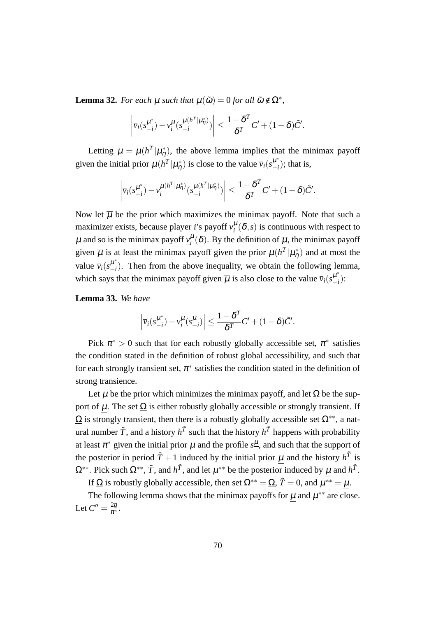**Lemma 32.** *For each*  $\mu$  *such that*  $\mu(\tilde{\omega}) = 0$  *for all*  $\tilde{\omega} \notin \Omega^*$ *,* 

$$
\left|\overline{v}_i(s_{-i}^{\mu^*}) - v_i^{\mu}(s_{-i}^{\mu(h^T|\mu^*_{\eta})})\right| \leq \frac{1-\delta^T}{\delta^T}C' + (1-\delta)\tilde{C}'.
$$

Letting  $\mu = \mu(h^T|\mu_{\eta}^*)$ , the above lemma implies that the minimax payoff given the initial prior  $\mu(h^T|\mu^*_{\eta})$  is close to the value  $\bar{v}_i(s^{\mu^*}_{-i})$  $\binom{\mu}{-i}$ ; that is,

$$
\left|\overline{v}_i(s_{-i}^{\mu^*}) - v_i^{\mu(h^T|\mu^*_{\eta})}(s_{-i}^{\mu(h^T|\mu^*_{\eta})})\right| \leq \frac{1-\delta^T}{\delta^T}C' + (1-\delta)\tilde{C}'.
$$

Now let  $\overline{\mu}$  be the prior which maximizes the minimax payoff. Note that such a maximizer exists, because player *i*'s payoff  $v_i^{\mu}(\delta, s)$  is continuous with respect to  $\mu$  and so is the minimax payoff  $v_i^{\mu}(\delta)$ . By the definition of  $\overline{\mu}$ , the minimax payoff given  $\overline{\mu}$  is at least the minimax payoff given the prior  $\mu(h^T|\mu^*_{\eta})$  and at most the value  $\bar{v}_i(s^{\mu^*}_{-i})$  $\binom{\mu}{i}$ . Then from the above inequality, we obtain the following lemma, which says that the minimax payoff given  $\overline{\mu}$  is also close to the value  $\overline{v}_i(s^{\mu^*}_{-i})$ *−i* ):

**Lemma 33.** *We have*

$$
\left|\overline{v}_i(s_{-i}^{\mu^*}) - v_i^{\overline{\mu}}(s_{-i}^{\overline{\mu}})\right| \leq \frac{1 - \delta^T}{\delta^T}C' + (1 - \delta)\tilde{C}'.
$$

Pick  $\pi^* > 0$  such that for each robustly globally accessible set,  $\pi^*$  satisfies the condition stated in the definition of robust global accessibility, and such that for each strongly transient set,  $\pi^*$  satisfies the condition stated in the definition of strong transience.

Let  $\mu$  be the prior which minimizes the minimax payoff, and let  $\Omega$  be the support of  $\mu$ . The set  $\Omega$  is either robustly globally accessible or strongly transient. If  $\Omega$  is strongly transient, then there is a robustly globally accessible set  $\Omega^{**}$ , a natural number  $\tilde{T}$ , and a history  $h^{\tilde{T}}$  such that the history  $h^{\tilde{T}}$  happens with probability at least  $\pi^*$  given the initial prior  $\mu$  and the profile  $s^{\underline{\mu}}$ , and such that the support of the posterior in period  $\tilde{T} + 1$  induced by the initial prior  $\mu$  and the history  $h^{\tilde{T}}$  is  $\Omega^{**}$ . Pick such  $\Omega^{**}$ ,  $\tilde{T}$ , and *h*<sup> $\tilde{T}$ </sup>, and let  $\mu^{**}$  be the posterior induced by  $\mu$  and  $h^{\tilde{T}}$ .

If <u> $\Omega$ </u> is robustly globally accessible, then set  $\Omega^{**} = \Omega$ ,  $\tilde{T} = 0$ , and  $\mu^{**} = \mu$ .

The following lemma shows that the minimax payoffs for  $\mu$  and  $\mu^{**}$  are close. Let  $C'' = \frac{2\overline{g}}{\pi^*}$ .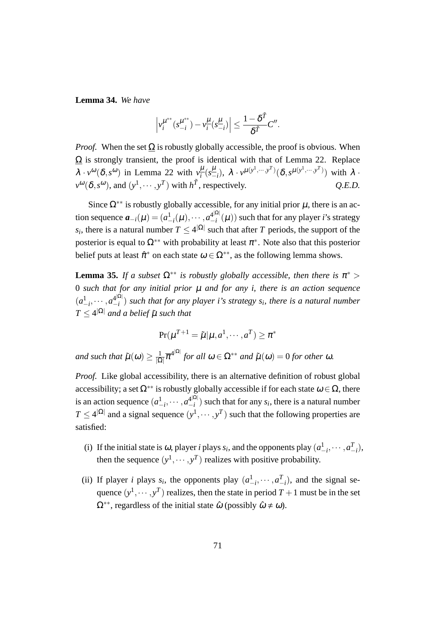**Lemma 34.** *We have*

$$
\left|\nu_i^{\mu^{**}}(s_{-i}^{\mu^{**}})-\nu_i^{\mu}(s_{-i}^{\mu})\right|\leq \frac{1-\delta^{\tilde{T}}}{\delta^{\tilde{T}}}C''.
$$

*Proof.* When the set  $\Omega$  is robustly globally accessible, the proof is obvious. When  $\Omega$  is strongly transient, the proof is identical with that of Lemma 22. Replace  $\lambda \cdot v^{\omega}(\delta, s^{\omega})$  in Lemma 22 with  $v_i^{\mu}$  $\frac{\mu}{i}$ ( $s^{\frac{\mu}{n}}$  $\frac{\mu}{\mu}(x)$ ,  $\lambda \cdot v^{\mu(y^1, \cdots, y^T)} (\delta, s^{\mu(y^1, \cdots, y^T)})$  with  $\lambda \cdot$  $v^{\omega}(\delta, s^{\omega})$ , and  $(y^1, \dots, y^T)$  with  $h^{\tilde{T}}$ , respectively.  $Q.E.D.$ 

Since  $\Omega^{**}$  is robustly globally accessible, for any initial prior  $\mu$ , there is an action sequence  $a_{-i}(\mu) = (a_{-i}^1(\mu), \cdots, a_{-i}^{4|\Omega|})$ *−i* (µ)) such that for any player *i*'s strategy *s*<sub>*i*</sub>, there is a natural number  $T \leq 4^{|\Omega|}$  such that after *T* periods, the support of the posterior is equal to  $\Omega^{**}$  with probability at least  $\pi^*$ . Note also that this posterior belief puts at least  $\hat{\pi}^*$  on each state  $\omega \in \Omega^{**}$ , as the following lemma shows.

**Lemma 35.** *If a subset*  $\Omega^{**}$  *is robustly globally accessible, then there is*  $\pi^*$  > 0 *such that for any initial prior* µ *and for any i, there is an action sequence*  $(a_{-i}^1, \cdots, a_{-i}^{4|\Omega|})$ *−i* ) *such that for any player i's strategy s<sup>i</sup> , there is a natural number*  $T \leq 4^{|{\Omega}|}$  *and a belief*  $\tilde{\mu}$  *such that* 

$$
\Pr(\mu^{T+1} = \tilde{\mu} | \mu, a^1, \cdots, a^T) \geq \pi^*
$$

*and such that*  $\tilde{\mu}(\omega) \geq \frac{1}{\log n}$  $\frac{1}{|\Omega|} \pi^{4^{|\Omega|}}$  *for all*  $\omega \in \Omega^{**}$  *and*  $\tilde{\mu}(\omega) = 0$  *for other*  $\omega$ *.* 

*Proof.* Like global accessibility, there is an alternative definition of robust global accessibility; a set  $\Omega^{**}$  is robustly globally accessible if for each state  $\omega \in \Omega$ , there is an action sequence  $(a_{-i}^1, \dots, a_{-i}^{4|\Omega|})$  $\begin{bmatrix} \mathbf{f}^{|\mathbf{r}|} \\ -i \end{bmatrix}$  such that for any *s<sub>i</sub>*, there is a natural number  $T \leq 4^{|\Omega|}$  and a signal sequence  $(y^1, \dots, y^T)$  such that the following properties are satisfied:

- (i) If the initial state is  $\omega$ , player *i* plays  $s_i$ , and the opponents play  $(a_{-i}^1, \dots, a_{-i}^T)$ , then the sequence  $(y^1, \dots, y^T)$  realizes with positive probability.
- (ii) If player *i* plays  $s_i$ , the opponents play  $(a_{-i}^1, \dots, a_{-i}^T)$ , and the signal sequence  $(y^1, \dots, y^T)$  realizes, then the state in period  $T + 1$  must be in the set  $\Omega^{**}$ , regardless of the initial state  $\hat{\omega}$  (possibly  $\hat{\omega} \neq \omega$ ).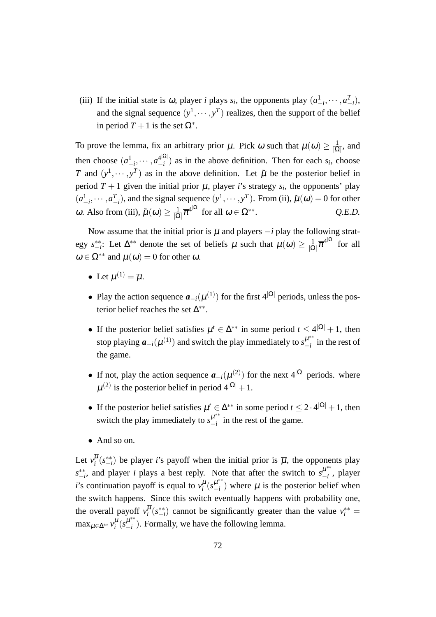(iii) If the initial state is  $\omega$ , player *i* plays  $s_i$ , the opponents play  $(a_{-i}^1, \dots, a_{-i}^T)$ , and the signal sequence  $(y^1, \dots, y^T)$  realizes, then the support of the belief in period  $T + 1$  is the set  $\Omega^*$ .

To prove the lemma, fix an arbitrary prior  $\mu$ . Pick  $\omega$  such that  $\mu(\omega) \geq \frac{1}{10}$  $\frac{1}{|\Omega|}$ , and then choose  $(a_{-i}^1, \dots, a_{-i}^{4|\Omega|})$  $\begin{bmatrix} -i \\ -i \end{bmatrix}$  as in the above definition. Then for each *s<sub>i</sub>*, choose *T* and  $(y^1, \dots, y^T)$  as in the above definition. Let  $\tilde{\mu}$  be the posterior belief in period  $T + 1$  given the initial prior  $\mu$ , player *i*'s strategy  $s_i$ , the opponents' play  $(a_{-i}^1, \dots, a_{-i}^T)$ , and the signal sequence  $(y^1, \dots, y^T)$ . From (ii),  $\tilde{\mu}(\omega) = 0$  for other  $ω$ . Also from (iii),  $\tilde{\mu}(\omega) \geq \frac{1}{10}$  $\frac{1}{|\Omega|}\overline{\pi}^{4^{|\Omega|}}$  for all  $\omega \in \Omega^{**}$ . *Q.E.D.*

Now assume that the initial prior is  $\overline{\mu}$  and players  $-i$  play the following strategy  $s_{-i}^{**}$ : Let  $\Delta^{**}$  denote the set of beliefs  $\mu$  such that  $\mu(\omega) \geq \frac{1}{|\Omega|}$  $\frac{1}{|\Omega|} \overline{\pi}^{4^{|\Omega|}}$  for all  $\omega \in \Omega^{**}$  and  $\mu(\omega) = 0$  for other  $\omega$ .

- Let  $\mu^{(1)} = \overline{\mu}$ .
- *•* Play the action sequence  $a_{-i}(\mu^{(1)})$  for the first 4<sup>|Ω|</sup> periods, unless the posterior belief reaches the set ∆ *∗∗* .
- If the posterior belief satisfies  $\mu^t \in \Delta^{**}$  in some period  $t \leq 4^{|\Omega|} + 1$ , then stop playing  $a_{-i}(\mu^{(1)})$  and switch the play immediately to  $s_{-i}^{\mu^{**}}$  $\frac{\mu}{-i}$  in the rest of the game.
- If not, play the action sequence  $a_{-i}(\mu^{(2)})$  for the next 4<sup>|Ω</sup>*|* periods. where  $\mu^{(2)}$  is the posterior belief in period  $4^{|\Omega|}+1$ .
- If the posterior belief satisfies  $\mu^t \in \Delta^{**}$  in some period  $t \leq 2 \cdot 4^{|\Omega|} + 1$ , then switch the play immediately to  $s_{-i}^{\mu^{**}}$  $\frac{\mu}{\mu}$  in the rest of the game.
- *•* And so on.

Let  $v_i^{\mu}(s_{-i}^{**})$  be player *i*'s payoff when the initial prior is  $\overline{\mu}$ , the opponents play  $s_{-i}^*$ , and player *i* plays a best reply. Note that after the switch to  $s_{-i}^{\mu^{**}}$ *−i* , player *i*'s continuation payoff is equal to  $v_i^{\mu}$  ( $s_{-i}^{\mu,*}$  $\frac{\mu}{\mu}$ ) where  $\mu$  is the posterior belief when the switch happens. Since this switch eventually happens with probability one, the overall payoff  $v_i^{\mu}(s_{-i}^{**})$  cannot be significantly greater than the value  $v_i^{**}$  = max<sub>µ∈∆\*\*</sub>  $v_i^{\mu}$  ( $s_{-i}^{\mu^{**}}$ *−i* ). Formally, we have the following lemma.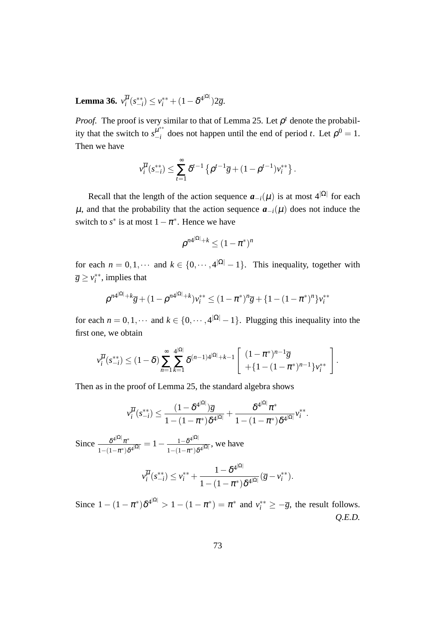**Lemma 36.**  $v_i^{\overline{\mu}}(s_{-i}^{**}) \leq v_i^{**} + (1 - \delta^{4^{|\Omega|}})2\overline{g}.$ 

*Proof.* The proof is very similar to that of Lemma 25. Let  $\rho^t$  denote the probability that the switch to  $s_{-i}^{\mu^{**}}$  $\mu^{**}$  does not happen until the end of period *t*. Let  $\rho^0 = 1$ . Then we have

$$
v_i^{\overline{\mu}}(s_{-i}^{**}) \leq \sum_{t=1}^{\infty} \delta^{t-1} \left\{ \rho^{t-1} \overline{g} + (1 - \rho^{t-1}) v_i^{**} \right\}.
$$

Recall that the length of the action sequence  $a_{-i}(\mu)$  is at most 4<sup>|Ω|</sup> for each  $\mu$ , and that the probability that the action sequence  $a_{-i}(\mu)$  does not induce the switch to  $s^*$  is at most  $1 - \pi^*$ . Hence we have

$$
\rho^{n4^{|\Omega|}+k} \le (1-\pi^*)^n
$$

for each  $n = 0, 1, \cdots$  and  $k \in \{0, \cdots, 4|\Omega| - 1\}$ . This inequality, together with  $\overline{g} \ge v_i^{**}$ , implies that

$$
\rho^{n4^{|\Omega|}+k}\overline{g}+(1-\rho^{n4^{|\Omega|}+k})v_i^{**}\leq (1-\pi^*)^n\overline{g}+\{1-(1-\pi^*)^n\}v_i^{**}
$$

for each  $n = 0, 1, \cdots$  and  $k \in \{0, \cdots, 4^{|\Omega|} - 1\}$ . Plugging this inequality into the first one, we obtain

$$
v_i^{\overline{\mu}}(s_{-i}^{**}) \le (1-\delta) \sum_{n=1}^{\infty} \sum_{k=1}^{4^{|\Omega|}} \delta^{(n-1)4^{|\Omega|}+k-1} \left[ \begin{array}{c} (1-\pi^*)^{n-1}\overline{g} \\ +\{1-(1-\pi^*)^{n-1}\}v_i^{**} \end{array} \right].
$$

Then as in the proof of Lemma 25, the standard algebra shows

$$
v_i^{\overline{\mu}}(s_{-i}^{**}) \leq \frac{(1-\delta^{4^{|\Omega|}})\overline{g}}{1-(1-\pi^*)\delta^{4^{|\Omega|}}} + \frac{\delta^{4^{|\Omega|}}\pi^*}{1-(1-\pi^*)\delta^{4^{|\Omega|}}}v_i^{**}.
$$

 $Since \frac{\delta^{4|\Omega|}\pi^*}{\sqrt{2|\Omega|}}$  $\frac{\delta^{4^{|\Omega|}}\pi^*}{1-(1-\pi^*)\delta^{4^{|\Omega|}}} = 1 - \frac{1-\delta^{4^{|\Omega|}}}{1-(1-\pi^*)\delta}$  $\frac{1-\delta^{+}}{1-(1-\pi^*)\delta^{4|\Omega|}}$ , we have

$$
v_i^{\overline{\mu}}(s_{-i}^{**}) \le v_i^{**} + \frac{1 - \delta^{4^{|\Omega|}}}{1 - (1 - \pi^*)\delta^{4^{|\Omega|}}} (\overline{g} - v_i^{**}).
$$

Since  $1 - (1 - \pi^*)\delta^{4^{|\Omega|}} > 1 - (1 - \pi^*) = \pi^*$  and  $v_i^{**} \geq -\overline{g}$ , the result follows. *Q.E.D.*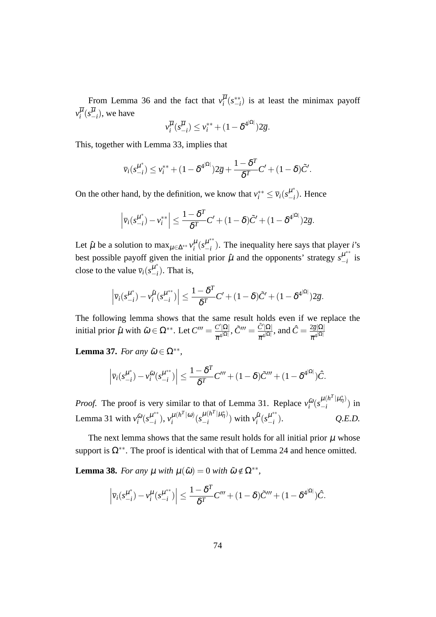From Lemma 36 and the fact that  $v_i^{\mu}(s_{-i}^{**})$  is at least the minimax payoff  $v_i^{\mu}(s_{-i}^{\mu}),$  we have

$$
v_i^{\overline{\mu}}(s_{-i}^{\overline{\mu}}) \le v_i^{**} + (1 - \delta^{4^{|\Omega|}}) 2\overline{g}.
$$

This, together with Lemma 33, implies that

$$
\overline{\nu}_i(s_{-i}^{\mu^*}) \leq \nu_i^{**} + (1 - \delta^{4|\Omega|})2\overline{g} + \frac{1 - \delta^T}{\delta^T}C' + (1 - \delta)\tilde{C}'.
$$

On the other hand, by the definition, we know that  $v_i^{**} \le \bar{v}_i(s_{-i}^{\mu^*})$  $\mu$ <sup> $\mu$ </sup><sub>−*i*</sub></sub>). Hence

$$
\left|\overline{v}_i(s_{-i}^{\mu^*}) - v_i^{**}\right| \leq \frac{1-\delta^T}{\delta^T}C' + (1-\delta)\tilde{C}' + (1-\delta^{4^{|\Omega|}})2\overline{g}.
$$

Let  $\hat{\mu}$  be a solution to  $\max_{\mu \in \Delta^{**}} v_i^{\mu} (s_{-i}^{\mu^{**}})$ *−i* ). The inequality here says that player *i*'s best possible payoff given the initial prior  $\hat{\mu}$  and the opponents' strategy  $s_{-i}^{\mu^{**}}$  $\frac{\mu}{-i}$  is close to the value  $\overline{v}_i(s^{\mu^*}_{-i})$  $\binom{\mu}{-i}$ . That is,

$$
\left|\overline{v}_i(s_{-i}^{\mu^*}) - v_i^{\hat{\mu}}(s_{-i}^{\mu^{**}})\right| \leq \frac{1-\delta^T}{\delta^T}C' + (1-\delta)\tilde{C}' + (1-\delta^{4^{|\Omega|}})2\overline{g}.
$$

The following lemma shows that the same result holds even if we replace the initial prior  $\hat{\mu}$  with  $\tilde{\omega} \in \Omega^{**}$ . Let  $C''' = \frac{C'|\Omega|}{d\Omega}$  $\frac{C'|\Omega|}{\overline{\pi}^{4^{|\Omega|}}}, \tilde{C}''' = \frac{\tilde{C}'|\Omega|}{\overline{\pi}^{4^{|\Omega|}}}$  $\frac{\tilde{C}'|\Omega|}{\pi^{4^{|\Omega|}}},$  and  $\hat{C}=\frac{2\overline{g}|\Omega|}{\overline{\pi}^{4^{|\Omega|}}}$  $\overline{\pi}^{4^{|\Omega|}}$ 

**Lemma 37.** *For any*  $\tilde{\omega} \in \Omega^{**}$ ,

$$
\left|\overline{v}_i(s_{-i}^{\mu^*}) - v_i^{\tilde{\omega}}(s_{-i}^{\mu^{**}})\right| \leq \frac{1-\delta^T}{\delta^T}C''' + (1-\delta)\tilde{C}''' + (1-\delta^{4^{|\Omega|}})\hat{C}.
$$

*Proof.* The proof is very similar to that of Lemma 31. Replace  $v_i^{\tilde{\omega}}$  $\tilde{\omega}$ <sub>( $s$ </sub><sup> $\mu$ </sup>( $h^T|\mu^*_{\eta}$ )  $\binom{\mu(\mu + \mu \eta)}{-i}$  in Lemma 31 with  $v_i^{\tilde{\omega}}$  $\tilde{\omega}$ <sub>(*s*<sup> $\mu$ \*\*</sup>)</sub>  $(\mu^{**})$ ,  $v_i^{\mu(h^T|\omega)}$  $\mu(h^T|\omega)\binom{\mu(h^T|\mu^*_{\eta})}{h}$  $\frac{\mu(h^1|\mu^*_{\eta})}{-i}$  with  $v_i^{\hat{\mu}}$  $\hat{\mu}$ <sub>*i*</sub> $(s_{-i}^{\mu^{**}})$ *−i* ). *Q.E.D.*

The next lemma shows that the same result holds for all initial prior  $\mu$  whose support is  $\Omega^{**}$ . The proof is identical with that of Lemma 24 and hence omitted.

**Lemma 38.** *For any*  $\mu$  *with*  $\mu(\tilde{\omega}) = 0$  *with*  $\tilde{\omega} \notin \Omega^{**}$ ,

$$
\left|\overline{v}_i(s_{-i}^{\mu^*}) - v_i^{\mu}(s_{-i}^{\mu^{**}})\right| \leq \frac{1 - \delta^T}{\delta^T} C''' + (1 - \delta)\tilde{C}''' + (1 - \delta^{4^{|\Omega|}})\hat{C}.
$$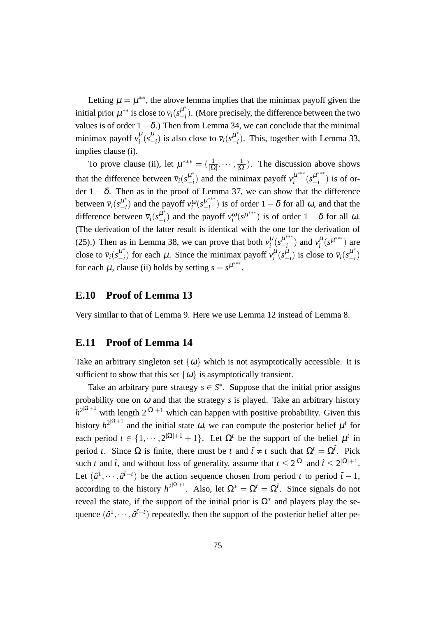Letting  $\mu = \mu^{**}$ , the above lemma implies that the minimax payoff given the initial prior  $\mu^{**}$  is close to  $\overline{v}_i(s_{-i}^{\mu^*})$ *−i* ). (More precisely, the difference between the two values is of order 1*−*δ.) Then from Lemma 34, we can conclude that the minimal minimax payoff  $v_i^{\mu}$  $\frac{\mu}{i}$ ( $s^{\frac{\mu}{n}}$  $\frac{\mu}{\mu - i}$ ) is also close to  $\overline{v}_i(s^{\mu^*}_{-i})$  $\binom{\mu}{i}$ . This, together with Lemma 33, implies clause (i).

To prove clause (ii), let  $\mu^{***} = (\frac{1}{|\Omega|}, \cdots, \frac{1}{|\Omega|})$  $\frac{1}{|\Omega|}$ ). The discussion above shows that the difference between  $\bar{v}_i(s^{\mu^*}_{-i})$  $\mu^*_{-i}$ ) and the minimax payoff  $v_i^{\mu^{***}}$  $\mu^{***}$   $(s_{-i}^{\mu^{***}})$  $\binom{\mu}{-i}$  is of order  $1 - \delta$ . Then as in the proof of Lemma 37, we can show that the difference between  $\bar{v}_i(s^{\mu^*}_{-i})$  $\binom{\mu^*}{-i}$  and the payoff  $v_i^{\omega}$  ( $s_{-i}^{\mu^{***}}$ *−i* ) is of order 1*−*δ for all <sup>ω</sup>, and that the difference between  $\overline{v}_i(s_{-i}^{\mu^*})$  $\n\begin{bmatrix} \mu^* \\ -i \end{bmatrix}$  and the payoff  $v_i^{\omega}(s^{\mu^{***}})$  is of order 1 − δ for all ω. (The derivation of the latter result is identical with the one for the derivation of (25).) Then as in Lemma 38, we can prove that both  $v_i^{\mu}$  ( $s_{-i}^{\mu^{***}}$  $\mu^{***}_{-i}$ ) and  $v_i^{\mu}(s^{\mu^{***}})$  are close to  $\bar{v}_i(s^{\mu^*}_{-i})$  $\mu^*$  for each  $\mu$ . Since the minimax payoff  $v_i^{\mu}(s_{-i}^{\mu})$  is close to  $\bar{v}_i(s_{-i}^{\mu^*})$ *−i* ) for each  $\mu$ , clause (ii) holds by setting  $s = s^{\mu^{***}}$ .

### **E.10 Proof of Lemma 13**

Very similar to that of Lemma 9. Here we use Lemma 12 instead of Lemma 8.

### **E.11 Proof of Lemma 14**

Take an arbitrary singleton set  $\{\omega\}$  which is not asymptotically accessible. It is sufficient to show that this set  $\{\omega\}$  is asymptotically transient.

Take an arbitrary pure strategy  $s \in S^*$ . Suppose that the initial prior assigns probability one on  $\omega$  and that the strategy *s* is played. Take an arbitrary history  $h^{2|\Omega|+1}$  with length  $2|\Omega|+1$  which can happen with positive probability. Given this history  $h^{2^{|\Omega|+1}}$  and the initial state  $\omega$ , we can compute the posterior belief  $\mu^t$  for each period  $t \in \{1, \dots, 2|\Omega|+1+1\}$ . Let  $\Omega^t$  be the support of the belief  $\mu^t$  in period *t*. Since  $\Omega$  is finite, there must be *t* and  $\tilde{t} \neq t$  such that  $\Omega^t = \Omega^{\tilde{t}}$ . Pick such *t* and  $\tilde{t}$ , and without loss of generality, assume that  $t \leq 2^{|\Omega|}$  and  $\tilde{t} \leq 2^{|\Omega|+1}$ . Let  $(\hat{a}^1, \dots, \hat{a}^{\tilde{t}-t})$  be the action sequence chosen from period *t* to period  $\tilde{t}-1$ , according to the history  $h^{2|\Omega|+1}$ . Also, let  $\Omega^* = \Omega^t = \Omega^{\tilde{t}}$ . Since signals do not reveal the state, if the support of the initial prior is  $\Omega^*$  and players play the sequence  $(\hat{a}^1, \dots, \hat{a}^{\tilde{t}-t})$  repeatedly, then the support of the posterior belief after pe-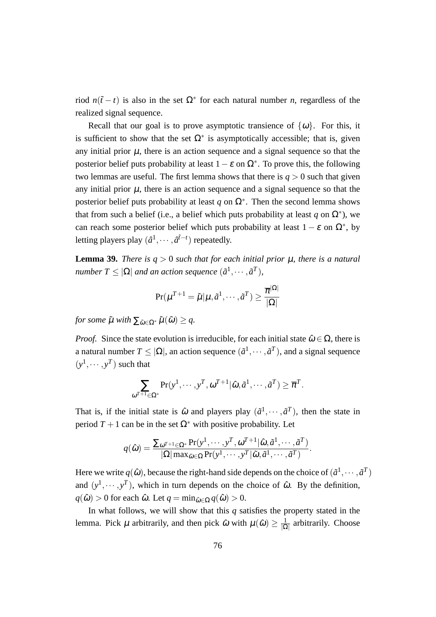riod  $n(\tilde{t} - t)$  is also in the set  $\Omega^*$  for each natural number *n*, regardless of the realized signal sequence.

Recall that our goal is to prove asymptotic transience of  $\{\omega\}$ . For this, it is sufficient to show that the set  $\Omega^*$  is asymptotically accessible; that is, given any initial prior  $\mu$ , there is an action sequence and a signal sequence so that the posterior belief puts probability at least  $1 - \varepsilon$  on  $\Omega^*$ . To prove this, the following two lemmas are useful. The first lemma shows that there is  $q > 0$  such that given any initial prior  $\mu$ , there is an action sequence and a signal sequence so that the posterior belief puts probability at least  $q$  on  $\Omega^*$ . Then the second lemma shows that from such a belief (i.e., a belief which puts probability at least *q* on  $\Omega^*$ ), we can reach some posterior belief which puts probability at least  $1 - \varepsilon$  on  $\Omega^*$ , by letting players play  $(\hat{a}^1, \dots, \hat{a}^{\tilde{t}-t})$  repeatedly.

**Lemma 39.** *There is*  $q > 0$  *such that for each initial prior*  $\mu$ *, there is a natural number*  $T \leq |\Omega|$  *and an action sequence*  $(\tilde{a}^1, \cdots, \tilde{a}^T)$ *,* 

$$
\Pr(\mu^{T+1} = \tilde{\mu} | \mu, \tilde{a}^1, \cdots, \tilde{a}^T) \ge \frac{\overline{\pi}^{|\Omega|}}{|\Omega|}
$$

*for some*  $\tilde{\mu}$  *with*  $\sum_{\tilde{\omega} \in \Omega^*} \tilde{\mu}(\tilde{\omega}) \geq q$ .

*Proof.* Since the state evolution is irreducible, for each initial state  $\hat{\omega} \in \Omega$ , there is a natural number  $T \leq |\Omega|$ , an action sequence  $(\tilde{a}^1, \dots, \tilde{a}^T)$ , and a signal sequence  $(y^1, \dots, y^T)$  such that

$$
\sum_{\omega^{T+1}\in\Omega^*} \Pr(y^1,\cdots,y^T,\omega^{T+1}|\hat{\omega},\tilde{a}^1,\cdots,\tilde{a}^T) \geq \overline{\pi}^T.
$$

That is, if the initial state is  $\hat{\omega}$  and players play  $(\tilde{a}^1, \dots, \tilde{a}^T)$ , then the state in period  $T + 1$  can be in the set  $\Omega^*$  with positive probability. Let

$$
q(\hat{\omega}) = \frac{\sum_{\omega^{T+1} \in \Omega^*} \Pr(y^1, \cdots, y^T, \omega^{T+1} | \hat{\omega}, \tilde{a}^1, \cdots, \tilde{a}^T)}{|\Omega| \max_{\tilde{\omega} \in \Omega} \Pr(y^1, \cdots, y^T | \tilde{\omega}, \tilde{a}^1, \cdots, \tilde{a}^T)}.
$$

Here we write  $q(\hat{\omega})$ , because the right-hand side depends on the choice of  $(\tilde{a}^1, \dots, \tilde{a}^T)$ and  $(y^1, \dots, y^T)$ , which in turn depends on the choice of  $\hat{\omega}$ . By the definition,  $q(\hat{\omega}) > 0$  for each  $\hat{\omega}$ . Let  $q = \min_{\hat{\omega} \in \Omega} q(\hat{\omega}) > 0$ .

In what follows, we will show that this *q* satisfies the property stated in the lemma. Pick  $\mu$  arbitrarily, and then pick  $\hat{\omega}$  with  $\mu(\hat{\omega}) \geq \frac{1}{10}$ *|*Ω*|* arbitrarily. Choose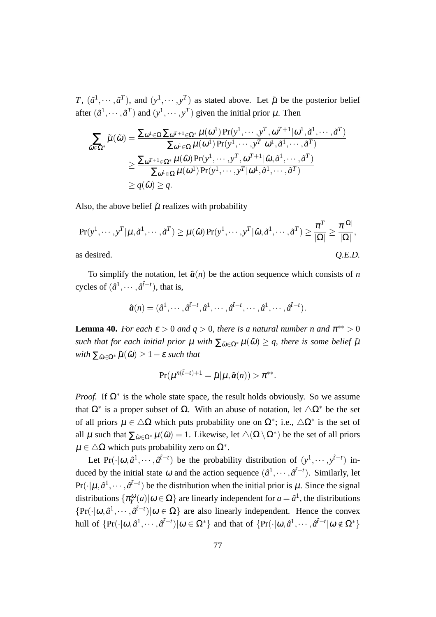*T*,  $(\tilde{a}^1, \dots, \tilde{a}^T)$ , and  $(y^1, \dots, y^T)$  as stated above. Let  $\tilde{\mu}$  be the posterior belief after  $(\tilde{a}^1, \dots, \tilde{a}^T)$  and  $(y^1, \dots, y^T)$  given the initial prior  $\mu$ . Then

$$
\sum_{\tilde{\omega}\in\Omega^*}\tilde{\mu}(\tilde{\omega}) = \frac{\sum_{\omega^1\in\Omega}\sum_{\omega^{T+1}\in\Omega^*}\mu(\omega^1)\Pr(y^1,\cdots,y^T,\omega^{T+1}|\omega^1,\tilde{a}^1,\cdots,\tilde{a}^T)}{\sum_{\omega^1\in\Omega}\mu(\omega^1)\Pr(y^1,\cdots,y^T|\omega^1,\tilde{a}^1,\cdots,\tilde{a}^T)}
$$
\n
$$
\geq \frac{\sum_{\omega^{T+1}\in\Omega^*}\mu(\hat{\omega})\Pr(y^1,\cdots,y^T,\omega^{T+1}|\hat{\omega},\tilde{a}^1,\cdots,\tilde{a}^T)}{\sum_{\omega^1\in\Omega}\mu(\omega^1)\Pr(y^1,\cdots,y^T|\omega^1,\tilde{a}^1,\cdots,\tilde{a}^T)}
$$
\n
$$
\geq q(\hat{\omega}) \geq q.
$$

Also, the above belief  $\tilde{\mu}$  realizes with probability

$$
\Pr(y^1, \dots, y^T | \mu, \tilde{a}^1, \dots, \tilde{a}^T) \ge \mu(\hat{\omega}) \Pr(y^1, \dots, y^T | \hat{\omega}, \tilde{a}^1, \dots, \tilde{a}^T) \ge \frac{\overline{\pi}^T}{|\Omega|} \ge \frac{\overline{\pi}^{|\Omega|}}{|\Omega|},
$$
as desired. *Q.E.D.*

To simplify the notation, let  $\hat{a}(n)$  be the action sequence which consists of *n* cycles of  $(\hat{a}^1, \dots, \hat{a}^{\tilde{t}-t})$ , that is,

$$
\hat{\boldsymbol{a}}(n)=(\hat{a}^1,\cdots,\hat{a}^{\tilde{t}-t},\hat{a}^1,\cdots,\hat{a}^{\tilde{t}-t},\cdots,\hat{a}^1,\cdots,\hat{a}^{\tilde{t}-t}).
$$

**Lemma 40.** *For each*  $\varepsilon > 0$  *and*  $q > 0$ *, there is a natural number n and*  $\pi^{**} > 0$ *such that for each initial prior*  $\mu$  *with*  $\sum_{\tilde{\omega} \in \Omega^*} \mu(\tilde{\omega}) \geq q$ , there is some belief  $\tilde{\mu}$  $with \sum_{\tilde{\omega} \in \Omega^*} \tilde{\mu}(\tilde{\omega}) \geq 1 - \varepsilon$  *such that* 

$$
\Pr(\mu^{n(\tilde{t}-t)+1}=\tilde{\mu}|\mu,\hat{a}(n))>\pi^{**}.
$$

*Proof.* If  $\Omega^*$  is the whole state space, the result holds obviously. So we assume that  $\Omega^*$  is a proper subset of  $\Omega$ . With an abuse of notation, let  $\Delta \Omega^*$  be the set of all priors  $\mu \in \Delta\Omega$  which puts probability one on  $\Omega^*$ ; i.e.,  $\Delta\Omega^*$  is the set of all  $\mu$  such that  $\sum_{\tilde{\omega}\in\Omega^*}\mu(\tilde{\omega})=1$ . Likewise, let  $\triangle(\Omega\setminus\Omega^*)$  be the set of all priors <sup>µ</sup> *∈ △*Ω which puts probability zero on Ω*<sup>∗</sup>* .

Let Pr( $\cdot | \omega, \hat{a}^1, \dots, \hat{a}^{\tilde{t}-t}$ ) be the probability distribution of  $(y^1, \dots, y^{\tilde{t}-t})$  induced by the initial state  $\omega$  and the action sequence  $(\hat{a}^1, \dots, \hat{a}^{\tilde{t}-t})$ . Similarly, let  $Pr(\cdot | \mu, \hat{a}^1, \dots, \hat{a}^{\tilde{t}-t})$  be the distribution when the initial prior is  $\mu$ . Since the signal distributions  $\{\pi_Y^{\omega}(a) | \omega \in \Omega\}$  are linearly independent for  $a = \hat{a}^1$ , the distributions  $\{Pr(\cdot|\omega, \hat{a}^1, \dots, \hat{a}^{\tilde{t}-t}) | \omega \in \Omega \}$  are also linearly independent. Hence the convex hull of  $\{Pr(\cdot|\omega,\hat{a}^1,\dots,\hat{a}^{\tilde{t}-t})|\omega \in \Omega^*\}$  and that of  $\{Pr(\cdot|\omega,\hat{a}^1,\dots,\hat{a}^{\tilde{t}-t}|\omega \notin \Omega^*\}$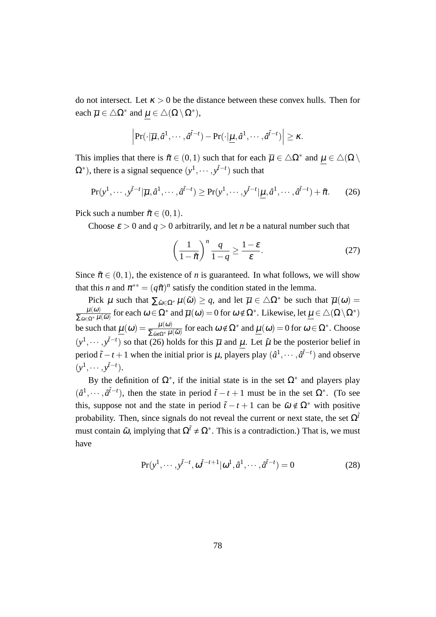do not intersect. Let  $\kappa > 0$  be the distance between these convex hulls. Then for each  $\overline{\mu} \in \triangle \Omega^*$  and  $\mu \in \triangle(\Omega \setminus \Omega^*),$ 

$$
\left|\Pr(\cdot|\overline{\mu},\hat{a}^1,\cdots,\hat{a}^{\tilde{t}-t}) - \Pr(\cdot|\underline{\mu},\hat{a}^1,\cdots,\hat{a}^{\tilde{t}-t})\right| \geq \kappa.
$$

This implies that there is  $\tilde{\pi} \in (0,1)$  such that for each  $\overline{\mu} \in \Delta \Omega^*$  and  $\mu \in \Delta(\Omega \setminus \Omega)$  $(\Omega^*)$ , there is a signal sequence  $(y^1, \dots, y^{\tilde{t}-t})$  such that

$$
\Pr(y^1, \cdots, y^{\tilde{t}-t} | \overline{\mu}, \hat{a}^1, \cdots, \hat{a}^{\tilde{t}-t}) \ge \Pr(y^1, \cdots, y^{\tilde{t}-t} | \underline{\mu}, \hat{a}^1, \cdots, \hat{a}^{\tilde{t}-t}) + \tilde{\pi}.
$$
 (26)

Pick such a number  $\tilde{\pi} \in (0,1)$ .

Choose  $\varepsilon > 0$  and  $q > 0$  arbitrarily, and let *n* be a natural number such that

$$
\left(\frac{1}{1-\tilde{\pi}}\right)^n \frac{q}{1-q} \ge \frac{1-\varepsilon}{\varepsilon}.\tag{27}
$$

Since  $\tilde{\pi} \in (0,1)$ , the existence of *n* is guaranteed. In what follows, we will show that this *n* and  $\pi^{**} = (q\tilde{\pi})^n$  satisfy the condition stated in the lemma.

Pick  $\mu$  such that  $\sum_{\tilde{\omega} \in \Omega^*} \mu(\tilde{\omega}) \geq q$ , and let  $\overline{\mu} \in \Delta \Omega^*$  be such that  $\overline{\mu}(\omega) =$  $\mu(\omega)$  $\frac{\mu(\omega)}{\sum_{\tilde{\omega}\in\Omega^*}\mu(\tilde{\omega})}$  for each  $\omega\in\Omega^*$  and  $\overline{\mu}(\omega)=0$  for  $\omega\notin\Omega^*$ . Likewise, let  $\underline{\mu}\in\triangle(\Omega\setminus\Omega^*)$ be such that  $\underline{\mu}(\omega) = \frac{\mu(\omega)}{\sum_{\tilde{\omega}\notin\Omega^*}\mu(\tilde{\omega})}$  for each  $\omega \notin \Omega^*$  and  $\underline{\mu}(\omega) = 0$  for  $\omega \in \Omega^*$ . Choose  $(y<sup>1</sup>, ···, y<sup>\tilde{t}-t</sup>)$  so that (26) holds for this  $\overline{\mu}$  and  $\mu$ . Let  $\hat{\mu}$  be the posterior belief in period  $\tilde{t}$  − *t* + 1 when the initial prior is  $\mu$ , players play  $(\hat{a}^1, \dots, \hat{a}^{\tilde{t}-t})$  and observe  $(y^1, \cdots, y^{\tilde{t}-t}).$ 

By the definition of  $\Omega^*$ , if the initial state is in the set  $\Omega^*$  and players play  $(\hat{a}^1, \dots, \hat{a}^{\tilde{t}-t})$ , then the state in period  $\tilde{t} - t + 1$  must be in the set  $\Omega^*$ . (To see this, suppose not and the state in period  $\tilde{t}$  − *t* + 1 can be  $\tilde{\omega} \notin \Omega^*$  with positive probability. Then, since signals do not reveal the current or next state, the set  $\Omega^{\tilde{t}}$ must contain  $\tilde{\omega}$ , implying that  $\Omega^{\tilde{t}} \neq \Omega^*$ . This is a contradiction.) That is, we must have

$$
Pr(y^1, \cdots, y^{\tilde{t}-t}, \omega^{\tilde{t}-t+1} | \omega^1, \hat{a}^1, \cdots, \hat{a}^{\tilde{t}-t}) = 0
$$
 (28)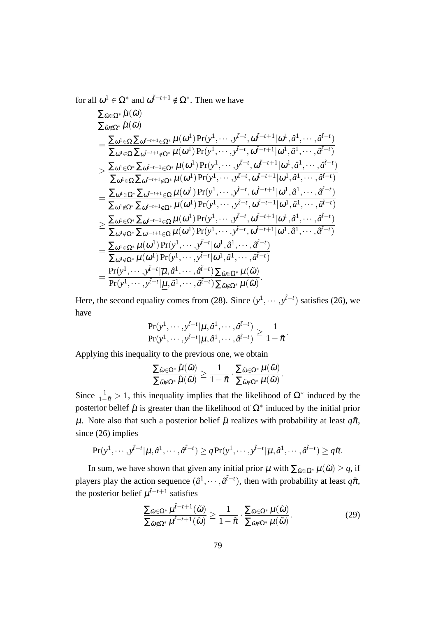for all  $\omega^1 \in \Omega^*$  and  $\omega^{\tilde{t}-t+1} \notin \Omega^*$ . Then we have

$$
\frac{\sum_{\tilde{\omega}\in\Omega^{*}}\hat{\mu}(\tilde{\omega})}{\sum_{\tilde{\omega}\notin\Omega^{*}}\hat{\mu}(\tilde{\omega})} \\
= \frac{\sum_{\omega^{1}\in\Omega}\sum_{\omega^{i-t+1}\in\Omega^{*}}\mu(\omega^{1})\Pr(\mathbf{y}^{1},\dots,\mathbf{y}^{i-t},\omega^{\tilde{i}-t+1}|\omega^{1},\hat{a}^{1},\dots,\hat{a}^{i-t})}{\sum_{\omega^{1}\in\Omega}\sum_{\omega^{i-t+1}\in\Omega^{*}}\mu(\omega^{1})\Pr(\mathbf{y}^{1},\dots,\mathbf{y}^{i-t},\omega^{\tilde{i}-t+1}|\omega^{1},\hat{a}^{1},\dots,\hat{a}^{i-t})} \\
\geq \frac{\sum_{\omega^{1}\in\Omega}\sum_{\omega^{i-t+1}\in\Omega^{*}}\mu(\omega^{1})\Pr(\mathbf{y}^{1},\dots,\mathbf{y}^{i-t},\omega^{\tilde{i}-t+1}|\omega^{1},\hat{a}^{1},\dots,\hat{a}^{i-t})}{\sum_{\omega^{1}\in\Omega}\sum_{\omega^{i-t+1}\in\Omega}\mu(\omega^{1})\Pr(\mathbf{y}^{1},\dots,\mathbf{y}^{i-t},\omega^{\tilde{i}-t+1}|\omega^{1},\hat{a}^{1},\dots,\hat{a}^{i-t})} \\
= \frac{\sum_{\omega^{1}\in\Omega^{*}}\sum_{\omega^{i-t+1}\in\Omega}\mu(\omega^{1})\Pr(\mathbf{y}^{1},\dots,\mathbf{y}^{i-t},\omega^{\tilde{i}-t+1}|\omega^{1},\hat{a}^{1},\dots,\hat{a}^{i-t})}{\sum_{\omega^{1}\notin\Omega^{*}}\sum_{\omega^{i-t+1}\in\Omega}\mu(\omega^{1})\Pr(\mathbf{y}^{1},\dots,\mathbf{y}^{i-t},\omega^{\tilde{i}-t+1}|\omega^{1},\hat{a}^{1},\dots,\hat{a}^{i-t})} \\
\geq \frac{\sum_{\omega^{1}\in\Omega^{*}}\sum_{\omega^{i-t+1}\in\Omega}\mu(\omega^{1})\Pr(\mathbf{y}^{1},\dots,\mathbf{y}^{i-t},\omega^{\tilde{i}-t+1}|\omega^{1},\hat{a}^{1},\dots,\hat{a}^{i-t})}{\sum_{\omega^{1}\notin\Omega^{*}}\sum_{\omega^{i-t
$$

Here, the second equality comes from (28). Since  $(y^1, \dots, y^{\tilde{t}-t})$  satisfies (26), we have

$$
\frac{\Pr(y^1,\cdots,y^{\tilde{t}-t}|\overline{\mu},\hat{a}^1,\cdots,\hat{a}^{\tilde{t}-t})}{\Pr(y^1,\cdots,y^{\tilde{t}-t}|\underline{\mu},\hat{a}^1,\cdots,\hat{a}^{\tilde{t}-t})} \ge \frac{1}{1-\tilde{\pi}}.
$$

Applying this inequality to the previous one, we obtain

$$
\frac{\Sigma_{\tilde{\omega}\in \Omega^*}\hat{\mu}(\tilde{\omega})}{\Sigma_{\tilde{\omega}\notin \Omega^*}\hat{\mu}(\tilde{\omega})}\geq \frac{1}{1-\tilde{\pi}}\cdot \frac{\Sigma_{\tilde{\omega}\in \Omega^*}\mu(\tilde{\omega})}{\Sigma_{\tilde{\omega}\notin \Omega^*}\mu(\tilde{\omega})}.
$$

Since  $\frac{1}{1-\tilde{\pi}} > 1$ , this inequality implies that the likelihood of  $\Omega^*$  induced by the posterior belief  $\hat{\mu}$  is greater than the likelihood of  $\Omega^*$  induced by the initial prior  $\mu$ . Note also that such a posterior belief  $\hat{\mu}$  realizes with probability at least  $q\tilde{\pi}$ , since (26) implies

$$
\Pr(y^1,\cdots,y^{\tilde{t}-t}|\mu,\hat{a}^1,\cdots,\hat{a}^{\tilde{t}-t})\geq q\Pr(y^1,\cdots,y^{\tilde{t}-t}|\overline{\mu},\hat{a}^1,\cdots,\hat{a}^{\tilde{t}-t})\geq q\tilde{\pi}.
$$

In sum, we have shown that given any initial prior  $\mu$  with  $\sum_{\tilde{\omega} \in \Omega^*} \mu(\tilde{\omega}) \geq q$ , if players play the action sequence  $(\hat{a}^1, \dots, \hat{a}^{\tilde{t}-t})$ , then with probability at least  $q\tilde{\pi}$ , the posterior belief  $\mu^{t-1}$  satisfies

$$
\frac{\sum_{\tilde{\omega}\in\Omega^*}\mu^{\tilde{t}-t+1}(\tilde{\omega})}{\sum_{\tilde{\omega}\notin\Omega^*}\mu^{\tilde{t}-t+1}(\tilde{\omega})} \ge \frac{1}{1-\tilde{\pi}} \cdot \frac{\sum_{\tilde{\omega}\in\Omega^*}\mu(\tilde{\omega})}{\sum_{\tilde{\omega}\notin\Omega^*}\mu(\tilde{\omega})}.
$$
\n(29)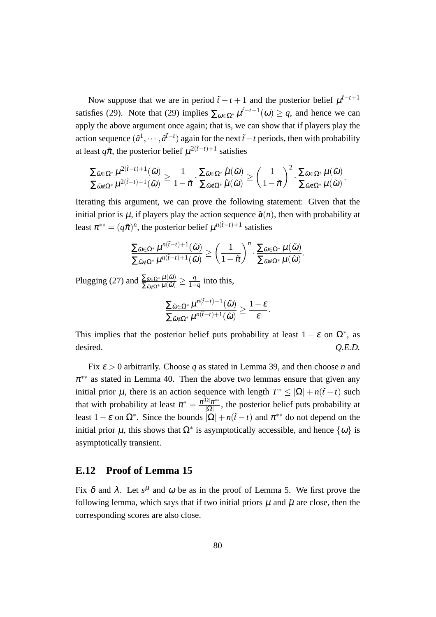Now suppose that we are in period  $\tilde{t}$  − *t* + 1 and the posterior belief  $\mu^{\tilde{t}-t+1}$ satisfies (29). Note that (29) implies  $\sum_{\omega \in \Omega^*} \mu^{i-t+1}(\omega) \geq q$ , and hence we can apply the above argument once again; that is, we can show that if players play the action sequence  $(\hat{a}^1, \dots, \hat{a}^{\tilde{t}-t})$  again for the next  $\tilde{t}-t$  periods, then with probability at least  $q\tilde{\pi}$ , the posterior belief  $\mu^{2(\tilde{t}-t)+1}$  satisfies

$$
\frac{\sum_{\widetilde{\omega} \in \Omega^*} \mu^{2(\widetilde{t}-t)+1}(\widetilde{\omega})}{\sum_{\widetilde{\omega} \notin \Omega^*} \mu^{2(\widetilde{t}-t)+1}(\widetilde{\omega})} \geq \frac{1}{1-\tilde{\pi}} \cdot \frac{\sum_{\widetilde{\omega} \in \Omega^*} \hat{\mu}(\widetilde{\omega})}{\sum_{\widetilde{\omega} \notin \Omega^*} \hat{\mu}(\widetilde{\omega})} \geq \left(\frac{1}{1-\tilde{\pi}}\right)^2 \cdot \frac{\sum_{\widetilde{\omega} \in \Omega^*} \mu(\widetilde{\omega})}{\sum_{\widetilde{\omega} \notin \Omega^*} \mu(\widetilde{\omega})}.
$$

Iterating this argument, we can prove the following statement: Given that the initial prior is  $\mu$ , if players play the action sequence  $\hat{a}(n)$ , then with probability at least  $\pi^{**} = (q\tilde{\pi})^n$ , the posterior belief  $\mu^{n(\tilde{t}-t)+1}$  satisfies

$$
\frac{\sum_{\tilde{\omega}\in\Omega^*}\mu^{n(\tilde{t}-t)+1}(\tilde{\omega})}{\sum_{\tilde{\omega}\notin\Omega^*}\mu^{n(\tilde{t}-t)+1}(\tilde{\omega})}\geq\left(\frac{1}{1-\tilde{\pi}}\right)^n\cdot\frac{\sum_{\tilde{\omega}\in\Omega^*}\mu(\tilde{\omega})}{\sum_{\tilde{\omega}\notin\Omega^*}\mu(\tilde{\omega})}.
$$

Plugging (27) and  $\frac{\sum_{\tilde{\omega}\in\Omega^*}\mu(\tilde{\omega})}{\sum_{\tilde{\omega}\notin\Omega^*}\mu(\tilde{\omega})} \ge \frac{q}{1-q}$ 1*−q* into this,

$$
\frac{\sum_{\tilde{\omega}\in \Omega^*}\mu^{n(\tilde{t}-t)+1}(\tilde{\omega})}{\sum_{\tilde{\omega}\notin \Omega^*}\mu^{n(\tilde{t}-t)+1}(\tilde{\omega})}\geq \frac{1-\varepsilon}{\varepsilon}.
$$

This implies that the posterior belief puts probability at least  $1 - \varepsilon$  on  $\Omega^*$ , as desired.  $Q.E.D.$ 

Fix <sup>ε</sup> *>* 0 arbitrarily. Choose *q* as stated in Lemma 39, and then choose *n* and  $\pi^{**}$  as stated in Lemma 40. Then the above two lemmas ensure that given any initial prior  $\mu$ , there is an action sequence with length  $T^* \leq |\Omega| + n(\tilde{t} - t)$  such that with probability at least  $\pi^* = \frac{\overline{\pi}^{|\Omega|} \pi^{**}}{|O|}$  $\frac{|\mathcal{D}|}{|\Omega|}$ , the posterior belief puts probability at least  $1 - \varepsilon$  on  $\Omega^*$ . Since the bounds  $|\Omega| + n(\tilde{t} - t)$  and  $\pi^{**}$  do not depend on the initial prior  $\mu$ , this shows that  $\Omega^*$  is asymptotically accessible, and hence  $\{\omega\}$  is asymptotically transient.

### **E.12 Proof of Lemma 15**

Fix  $\delta$  and  $\lambda$ . Let  $s^{\mu}$  and  $\omega$  be as in the proof of Lemma 5. We first prove the following lemma, which says that if two initial priors  $\mu$  and  $\tilde{\mu}$  are close, then the corresponding scores are also close.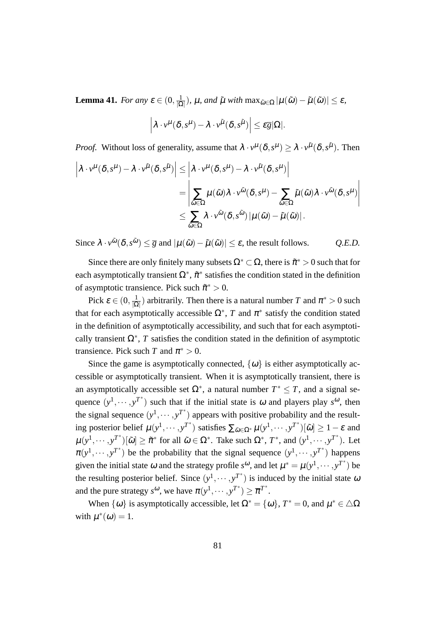**Lemma 41.** *For any*  $\varepsilon \in (0, \frac{1}{10})$  $\frac{1}{|\Omega|}$ ),  $\mu$ *, and*  $\tilde{\mu}$  *with*  $\max_{\tilde{\omega}\in\Omega}|\mu(\tilde{\omega})-\tilde{\mu}(\tilde{\omega})|\leq \varepsilon$ *,* 

$$
\left|\lambda\cdot v^\mu(\delta,s^\mu)-\lambda\cdot v^{\tilde\mu}(\delta,s^{\tilde\mu})\right|\leq \varepsilon \overline g |\Omega|.
$$

*Proof.* Without loss of generality, assume that  $\lambda \cdot v^{\mu}(\delta, s^{\mu}) \ge \lambda \cdot v^{\tilde{\mu}}(\delta, s^{\tilde{\mu}})$ . Then

$$
\left| \lambda \cdot v^{\mu}(\delta, s^{\mu}) - \lambda \cdot v^{\tilde{\mu}}(\delta, s^{\tilde{\mu}}) \right| \leq \left| \lambda \cdot v^{\mu}(\delta, s^{\mu}) - \lambda \cdot v^{\tilde{\mu}}(\delta, s^{\mu}) \right|
$$
  
= 
$$
\left| \sum_{\tilde{\omega} \in \Omega} \mu(\tilde{\omega}) \lambda \cdot v^{\tilde{\omega}}(\delta, s^{\mu}) - \sum_{\tilde{\omega} \in \Omega} \tilde{\mu}(\tilde{\omega}) \lambda \cdot v^{\tilde{\omega}}(\delta, s^{\mu}) \right|
$$
  

$$
\leq \sum_{\tilde{\omega} \in \Omega} \lambda \cdot v^{\tilde{\omega}}(\delta, s^{\tilde{\omega}}) |\mu(\tilde{\omega}) - \tilde{\mu}(\tilde{\omega})|.
$$

Since  $\lambda \cdot v^{\tilde{\omega}}(\delta, s^{\tilde{\omega}}) \leq \bar{g}$  and  $|\mu(\tilde{\omega}) - \tilde{\mu}(\tilde{\omega})| \leq \varepsilon$ , the result follows. *Q.E.D.* 

Since there are only finitely many subsets  $\Omega^* \subset \Omega$ , there is  $\tilde{\pi}^* > 0$  such that for each asymptotically transient  $\Omega^*$ ,  $\tilde{\pi}^*$  satisfies the condition stated in the definition of asymptotic transience. Pick such  $\tilde{\pi}^* > 0$ .

Pick  $\varepsilon \in (0, \frac{1}{10})$  $\frac{1}{|\Omega|}$ ) arbitrarily. Then there is a natural number *T* and  $\pi^* > 0$  such that for each asymptotically accessible  $\Omega^*$ , *T* and  $\pi^*$  satisfy the condition stated in the definition of asymptotically accessibility, and such that for each asymptotically transient  $\Omega^*$ , *T* satisfies the condition stated in the definition of asymptotic transience. Pick such *T* and  $\pi^* > 0$ .

Since the game is asymptotically connected,  $\{\omega\}$  is either asymptotically accessible or asymptotically transient. When it is asymptotically transient, there is an asymptotically accessible set  $\Omega^*$ , a natural number  $T^* \leq T$ , and a signal sequence  $(y^1, \dots, y^{T^*})$  such that if the initial state is  $\omega$  and players play  $s^{\omega}$ , then the signal sequence  $(y^1, \dots, y^{T^*})$  appears with positive probability and the result- $\lim_{\delta \to 0} \frac{\partial^{\delta} f}{\partial \delta}$  posterior belief  $\mu(y^1, \dots, y^{T^*})$  satisfies  $\sum_{\tilde{\omega} \in \Omega^*} \mu(y^1, \dots, y^{T^*})[\tilde{\omega}] \ge 1 - \varepsilon$  and  $\mu(y^1,\dots,y^{T^*})[\tilde{\omega}]\geq \tilde{\pi}^*$  for all  $\tilde{\omega}\in\Omega^*$ . Take such  $\Omega^*, T^*,$  and  $(y^1,\dots,y^{T^*})$ . Let  $\pi(y^1, \dots, y^{T^*})$  be the probability that the signal sequence  $(y^1, \dots, y^{T^*})$  happens given the initial state  $\omega$  and the strategy profile  $s^{\omega}$ , and let  $\mu^* = \mu(y^1, \dots, y^{T^*})$  be the resulting posterior belief. Since  $(y^1, \dots, y^{T^*})$  is induced by the initial state  $\omega$ and the pure strategy  $s^{\omega}$ , we have  $\pi(y^1, \dots, y^{T^*}) \geq \overline{\pi}^{T^*}$ .

When  $\{\omega\}$  is asymptotically accessible, let  $\Omega^* = \{\omega\}$ ,  $T^* = 0$ , and  $\mu^* \in \Delta\Omega$ with  $\mu^*(\omega) = 1$ .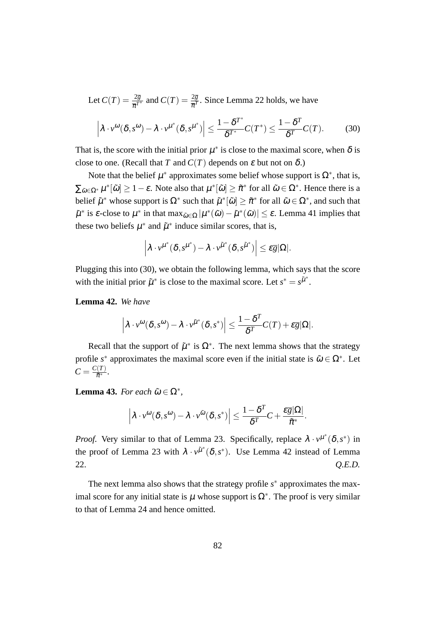Let  $C(T) = \frac{2\overline{g}}{\overline{\pi}^{T^*}}$  and  $C(T) = \frac{2\overline{g}}{\overline{\pi}^T}$ . Since Lemma 22 holds, we have

$$
\left|\lambda \cdot v^{\omega}(\delta, s^{\omega}) - \lambda \cdot v^{\mu^*}(\delta, s^{\mu^*})\right| \le \frac{1 - \delta^{T^*}}{\delta^{T^*}} C(T^*) \le \frac{1 - \delta^{T}}{\delta^{T}} C(T). \tag{30}
$$

That is, the score with the initial prior  $\mu^*$  is close to the maximal score, when  $\delta$  is close to one. (Recall that *T* and  $C(T)$  depends on  $\varepsilon$  but not on  $\delta$ .)

Note that the belief  $\mu^*$  approximates some belief whose support is  $\Omega^*$ , that is,  $\sum_{\tilde{\omega}\in\Omega^*}\mu^*[\tilde{\omega}]\geq 1-\varepsilon$ . Note also that  $\mu^*[\tilde{\omega}]\geq \tilde{\pi}^*$  for all  $\tilde{\omega}\in\Omega^*$ . Hence there is a *b*elief  $\tilde{\mu}^*$  whose support is  $\Omega^*$  such that  $\tilde{\mu}^*[\tilde{\omega}] \geq \tilde{\pi}^*$  for all  $\tilde{\omega} \in \Omega^*$ , and such that  $\tilde{\mu}^*$  is  $\varepsilon$ -close to  $\mu^*$  in that max $_{\tilde{\omega}\in\Omega}|\mu^*(\tilde{\omega})-\tilde{\mu}^*(\tilde{\omega})|\leq \varepsilon$ . Lemma 41 implies that these two beliefs  $\mu^*$  and  $\tilde{\mu}^*$  induce similar scores, that is,

$$
\left|\lambda\cdot\nu^{\mu^*}(\delta,s^{\mu^*})-\lambda\cdot\nu^{\tilde{\mu}^*}(\delta,s^{\tilde{\mu}^*})\right|\leq \varepsilon\overline{g}|\Omega|.
$$

Plugging this into (30), we obtain the following lemma, which says that the score with the initial prior  $\tilde{\mu}^*$  is close to the maximal score. Let  $s^* = s^{\tilde{\mu}^*}$ .

**Lemma 42.** *We have*

$$
\left|\lambda\cdot v^{\omega}(\delta,s^{\omega})-\lambda\cdot v^{\tilde{\mu}^*}(\delta,s^*)\right|\leq \frac{1-\delta^T}{\delta^T}C(T)+\varepsilon\overline{g}|\Omega|.
$$

Recall that the support of  $\tilde{\mu}^*$  is  $\Omega^*$ . The next lemma shows that the strategy profile  $s^*$  approximates the maximal score even if the initial state is  $\tilde{\omega} \in \Omega^*$ . Let  $C = \frac{C(T)}{\tilde{\pi}^*}$  $\frac{(I)}{\tilde{\pi}^*}$ .

**Lemma 43.** *For each*  $\tilde{\omega} \in \Omega^*$ ,

$$
\left|\lambda\cdot v^{\omega}(\delta,s^{\omega})-\lambda\cdot v^{\tilde{\omega}}(\delta,s^*)\right|\leq \frac{1-\delta^T}{\delta^T}C+\frac{\epsilon\overline{g}|\Omega|}{\tilde{\pi}^*}.
$$

*Proof.* Very similar to that of Lemma 23. Specifically, replace  $\lambda \cdot v^{\mu^*}(\delta, s^*)$  in the proof of Lemma 23 with  $\lambda \cdot v^{\tilde{\mu}^*}(\delta, s^*)$ . Use Lemma 42 instead of Lemma 22. *Q.E.D.*

The next lemma also shows that the strategy profile  $s^*$  approximates the maximal score for any initial state is  $\mu$  whose support is  $\Omega^*$ . The proof is very similar to that of Lemma 24 and hence omitted.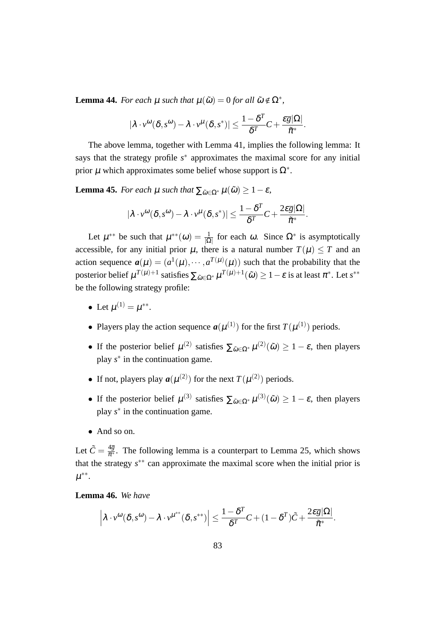**Lemma 44.** *For each*  $\mu$  *such that*  $\mu(\tilde{\omega}) = 0$  *for all*  $\tilde{\omega} \notin \Omega^*$ *,* 

$$
|\lambda \cdot v^{\omega}(\delta, s^{\omega}) - \lambda \cdot v^{\mu}(\delta, s^*)| \leq \frac{1 - \delta^T}{\delta^T} C + \frac{\varepsilon \overline{g}|\Omega|}{\tilde{\pi}^*}.
$$

The above lemma, together with Lemma 41, implies the following lemma: It says that the strategy profile  $s^*$  approximates the maximal score for any initial prior  $\mu$  which approximates some belief whose support is  $\Omega^*$ .

**Lemma 45.** *For each*  $\mu$  *such that*  $\sum_{\tilde{\omega} \in \Omega^*} \mu(\tilde{\omega}) \geq 1 - \varepsilon$ ,

$$
|\lambda \cdot v^{\omega}(\delta, s^{\omega}) - \lambda \cdot v^{\mu}(\delta, s^*)| \leq \frac{1 - \delta^T}{\delta^T} C + \frac{2 \varepsilon \overline{g} |\Omega|}{\tilde{\pi}^*}.
$$

Let  $\mu^{**}$  be such that  $\mu^{**}(\omega) = \frac{1}{|\Omega|}$  for each  $\omega$ . Since  $\Omega^*$  is asymptotically accessible, for any initial prior  $\mu$ , there is a natural number  $T(\mu) \leq T$  and an action sequence  $a(\mu) = (a^1(\mu), \dots, a^{T(\mu)}(\mu))$  such that the probability that the  $\text{posterior belief } \mu^{T(\mu)+1} \text{ satisfies } \sum_{\tilde{\omega} \in \Omega^*} \mu^{T(\mu)+1}(\tilde{\omega}) \geq 1 - \varepsilon \text{ is at least } \pi^*.$  Let  $s^{**}$ be the following strategy profile:

- Let  $\mu^{(1)} = \mu^{**}$ .
- Players play the action sequence  $a(\mu^{(1)})$  for the first  $T(\mu^{(1)})$  periods.
- If the posterior belief  $\mu^{(2)}$  satisfies  $\sum_{\tilde{\omega} \in \Omega^*} \mu^{(2)}(\tilde{\omega}) \geq 1 \varepsilon$ , then players play *s ∗* in the continuation game.
- If not, players play  $a(\mu^{(2)})$  for the next  $T(\mu^{(2)})$  periods.
- If the posterior belief  $\mu^{(3)}$  satisfies  $\sum_{\tilde{\omega} \in \Omega^*} \mu^{(3)}(\tilde{\omega}) \geq 1 \varepsilon$ , then players play *s ∗* in the continuation game.
- *•* And so on.

Let  $\tilde{C} = \frac{4\overline{g}}{\pi^*}$ . The following lemma is a counterpart to Lemma 25, which shows that the strategy *s ∗∗* can approximate the maximal score when the initial prior is µ *∗∗* .

**Lemma 46.** *We have*

$$
\left|\lambda\cdot v^{\omega}(\delta,s^{\omega})-\lambda\cdot v^{\mu^{**}}(\delta,s^{**})\right|\leq \frac{1-\delta^T}{\delta^T}C+(1-\delta^T)\tilde{C}+\frac{2\epsilon\overline{g}|\Omega|}{\tilde{\pi}^*}.
$$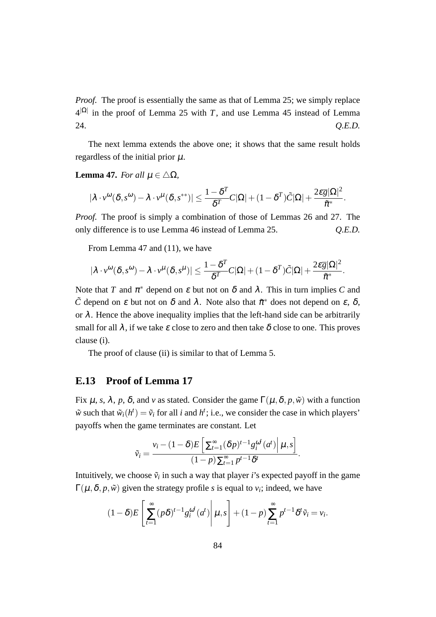*Proof.* The proof is essentially the same as that of Lemma 25; we simply replace  $4^{|\Omega|}$  in the proof of Lemma 25 with *T*, and use Lemma 45 instead of Lemma 24. *Q.E.D.*

The next lemma extends the above one; it shows that the same result holds regardless of the initial prior  $\mu$ .

#### **Lemma 47.** *For all*  $\mu \in \Delta\Omega$ *,*

$$
|\lambda \cdot v^{\omega}(\delta, s^{\omega}) - \lambda \cdot v^{\mu}(\delta, s^{**})| \leq \frac{1 - \delta^T}{\delta^T} C|\Omega| + (1 - \delta^T)\tilde{C}|\Omega| + \frac{2\epsilon \overline{g}|\Omega|^2}{\tilde{\pi}^*}.
$$

*Proof.* The proof is simply a combination of those of Lemmas 26 and 27. The only difference is to use Lemma 46 instead of Lemma 25. *Q.E.D.*

From Lemma 47 and (11), we have

$$
|\lambda \cdot v^{\omega}(\delta, s^{\omega}) - \lambda \cdot v^{\mu}(\delta, s^{\mu})| \leq \frac{1 - \delta^{T}}{\delta^{T}} C |\Omega| + (1 - \delta^{T}) \tilde{C} |\Omega| + \frac{2 \varepsilon \overline{g} |\Omega|^2}{\tilde{\pi}^{*}}
$$

*.*

Note that *T* and  $\pi^*$  depend on  $\varepsilon$  but not on  $\delta$  and  $\lambda$ . This in turn implies *C* and  $\tilde{C}$  depend on  $\varepsilon$  but not on  $\delta$  and  $\lambda$ . Note also that  $\tilde{\pi}^*$  does not depend on  $\varepsilon$ ,  $\delta$ , or  $\lambda$ . Hence the above inequality implies that the left-hand side can be arbitrarily small for all  $\lambda$ , if we take  $\varepsilon$  close to zero and then take  $\delta$  close to one. This proves clause (i).

The proof of clause (ii) is similar to that of Lemma 5.

### **E.13 Proof of Lemma 17**

Fix  $\mu$ , *s*,  $\lambda$ , *p*,  $\delta$ , and *v* as stated. Consider the game Γ( $\mu$ ,  $\delta$ , *p*,  $\tilde{w}$ ) with a function  $\tilde{w}$  such that  $\tilde{w}_i(h^t) = \tilde{v}_i$  for all *i* and  $h^t$ ; i.e., we consider the case in which players' payoffs when the game terminates are constant. Let

$$
\tilde{v}_i = \frac{v_i - (1 - \delta)E\left[\sum_{t=1}^{\infty} (\delta p)^{t-1} g_i^{\omega^t}(a^t) \middle| \mu, s\right]}{(1 - p) \sum_{t=1}^{\infty} p^{t-1} \delta^t}.
$$

Intuitively, we choose  $\tilde{v}_i$  in such a way that player *i*'s expected payoff in the game  $\Gamma(\mu,\delta,p,\tilde{w})$  given the strategy profile *s* is equal to  $v_i$ ; indeed, we have

$$
(1-\delta)E\left[\sum_{t=1}^{\infty} (p\delta)^{t-1} g_i^{\omega^t} (a^t) \middle| \mu, s\right] + (1-p)\sum_{t=1}^{\infty} p^{t-1} \delta^t \tilde{v}_i = v_i.
$$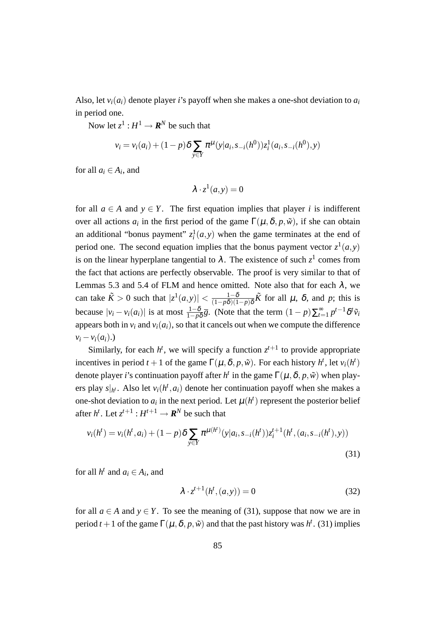Also, let  $v_i(a_i)$  denote player *i*'s payoff when she makes a one-shot deviation to  $a_i$ in period one.

Now let  $z^1: H^1 \to \mathbf{R}^N$  be such that

$$
v_i = v_i(a_i) + (1-p)\delta \sum_{y \in Y} \pi^{\mu}(y|a_i, s_{-i}(h^0))z_i^1(a_i, s_{-i}(h^0), y)
$$

for all  $a_i \in A_i$ , and

$$
\lambda \cdot z^1(a, y) = 0
$$

for all  $a \in A$  and  $y \in Y$ . The first equation implies that player *i* is indifferent over all actions  $a_i$  in the first period of the game  $\Gamma(\mu, \delta, p, \tilde{w})$ , if she can obtain an additional "bonus payment"  $z_i^1(a, y)$  when the game terminates at the end of period one. The second equation implies that the bonus payment vector  $z^1(a, y)$ is on the linear hyperplane tangential to  $\lambda$ . The existence of such  $z^1$  comes from the fact that actions are perfectly observable. The proof is very similar to that of Lemmas 5.3 and 5.4 of FLM and hence omitted. Note also that for each  $\lambda$ , we can take  $\tilde{K} > 0$  such that  $|z^1(a,y)| < \frac{1-\delta}{(1-n\delta)(1-\delta)}$  $\frac{1-\delta}{(1-p\delta)(1-p)\delta}\tilde{K}$  for all  $\mu$ ,  $\delta$ , and  $p$ ; this is because  $|v_i - v_i(a_i)|$  is at most  $\frac{1-\delta}{1-p\delta}\overline{g}$ . (Note that the term  $(1-p)\sum_{t=1}^{\infty} p^{t-1}\delta^t\tilde{v}_i$ appears both in  $v_i$  and  $v_i(a_i)$ , so that it cancels out when we compute the difference  $v_i - v_i(a_i)$ .)

Similarly, for each  $h^t$ , we will specify a function  $z^{t+1}$  to provide appropriate incentives in period  $t + 1$  of the game  $\Gamma(\mu, \delta, p, \tilde{\nu})$ . For each history  $h^t$ , let  $v_i(h^t)$ denote player *i*'s continuation payoff after *h<sup>t</sup>* in the game  $\Gamma(\mu, \delta, p, \tilde{w})$  when players play  $s|_{h^t}$ . Also let  $v_i(h^t, a_i)$  denote her continuation payoff when she makes a one-shot deviation to  $a_i$  in the next period. Let  $\mu(h^t)$  represent the posterior belief after  $h^t$ . Let  $z^{t+1}: H^{t+1} \to \mathbb{R}^N$  be such that

$$
v_i(h^t) = v_i(h^t, a_i) + (1 - p)\delta \sum_{y \in Y} \pi^{\mu(h^t)}(y|a_i, s_{-i}(h^t))z_i^{t+1}(h^t, (a_i, s_{-i}(h^t), y))
$$
\n(31)

for all  $h^t$  and  $a_i \in A_i$ , and

$$
\lambda \cdot z^{t+1}(h^t,(a,y)) = 0 \tag{32}
$$

for all  $a \in A$  and  $y \in Y$ . To see the meaning of (31), suppose that now we are in period  $t + 1$  of the game  $\Gamma(\mu, \delta, p, \tilde{\nu})$  and that the past history was  $h^t$ . (31) implies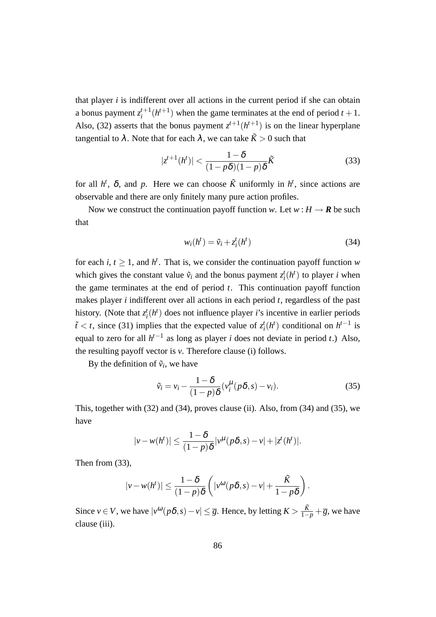that player  $i$  is indifferent over all actions in the current period if she can obtain a bonus payment  $z_i^{t+1}$  $i_t^{t+1}(h^{t+1})$  when the game terminates at the end of period  $t+1$ . Also, (32) asserts that the bonus payment  $z^{t+1}(h^{t+1})$  is on the linear hyperplane tangential to  $\lambda$ . Note that for each  $\lambda$ , we can take  $\tilde{K} > 0$  such that

$$
|z^{t+1}(h^t)| < \frac{1-\delta}{(1-p\delta)(1-p)\delta}\tilde{K} \tag{33}
$$

for all  $h^t$ ,  $\delta$ , and  $p$ . Here we can choose  $\tilde{K}$  uniformly in  $h^t$ , since actions are observable and there are only finitely many pure action profiles.

Now we construct the continuation payoff function *w*. Let  $w : H \to \mathbf{R}$  be such that

$$
w_i(h^t) = \tilde{v}_i + z_i^t(h^t)
$$
\n(34)

for each *i*,  $t \geq 1$ , and  $h^t$ . That is, we consider the continuation payoff function *w* which gives the constant value  $\tilde{v}_i$  and the bonus payment  $z_i^t(h^t)$  to player *i* when the game terminates at the end of period *t*. This continuation payoff function makes player *i* indifferent over all actions in each period *t*, regardless of the past history. (Note that  $z_i^t(h^t)$  does not influence player *i*'s incentive in earlier periods  $\tilde{t}$  < *t*, since (31) implies that the expected value of  $z_i^t(h^t)$  conditional on  $h^{t-1}$  is equal to zero for all *h t−*1 as long as player *i* does not deviate in period *t*.) Also, the resulting payoff vector is *v*. Therefore clause (i) follows.

By the definition of  $\tilde{v}_i$ , we have

$$
\tilde{v}_i = v_i - \frac{1 - \delta}{(1 - p)\delta} (v_i^{\mu} (p\delta, s) - v_i).
$$
\n(35)

This, together with (32) and (34), proves clause (ii). Also, from (34) and (35), we have

$$
|v - w(h^t)| \le \frac{1 - \delta}{(1 - p)\delta} |v^{\mu}(p\delta, s) - v| + |z^t(h^t)|.
$$

Then from (33),

$$
|v - w(h^t)| \le \frac{1-\delta}{(1-p)\delta} \left( |v^{\omega}(p\delta, s) - v| + \frac{\tilde{K}}{1-p\delta} \right).
$$

Since  $v \in V$ , we have  $|v^{(\omega)}(p\delta, s) - v| \leq \overline{g}$ . Hence, by letting  $K > \frac{\tilde{K}}{1-p} + \overline{g}$ , we have clause (iii).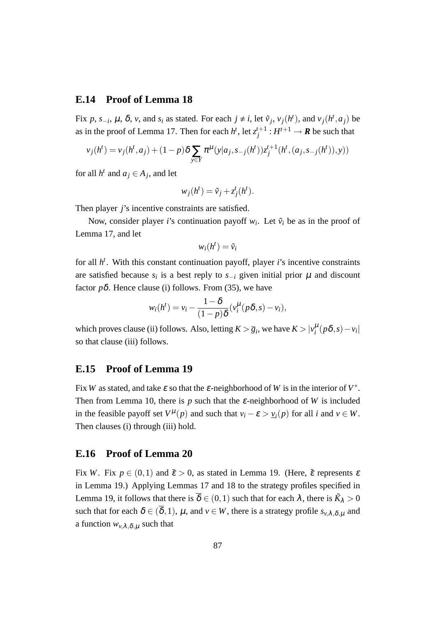#### **E.14 Proof of Lemma 18**

Fix p, s<sub>-i</sub>,  $\mu$ ,  $\delta$ , v, and s<sub>i</sub> as stated. For each  $j \neq i$ , let  $\tilde{v}_j$ ,  $v_j(h^t)$ , and  $v_j(h^t, a_j)$  be as in the proof of Lemma 17. Then for each  $h^t$ , let  $z_i^{t+1}$  $j^{t+1}$  :  $H^{t+1} \rightarrow \mathbf{R}$  be such that

$$
v_j(h^t) = v_j(h^t, a_j) + (1 - p)\delta \sum_{y \in Y} \pi^{\mu}(y|a_j, s_{-j}(h^t)) z_j^{t+1}(h^t, (a_j, s_{-j}(h^t)), y))
$$

for all  $h^t$  and  $a_j \in A_j$ , and let

$$
w_j(h^t) = \tilde{v}_j + z_j^t(h^t).
$$

Then player *j*'s incentive constraints are satisfied.

Now, consider player *i*'s continuation payoff  $w_i$ . Let  $\tilde{v}_i$  be as in the proof of Lemma 17, and let

$$
w_i(h^t) = \tilde{v}_i
$$

for all *h t* . With this constant continuation payoff, player *i*'s incentive constraints are satisfied because  $s_i$  is a best reply to  $s_{-i}$  given initial prior  $\mu$  and discount factor  $p\delta$ . Hence clause (i) follows. From (35), we have

$$
w_i(h^t) = v_i - \frac{1-\delta}{(1-p)\delta}(v_i^{\mu}(p\delta, s) - v_i),
$$

which proves clause (ii) follows. Also, letting  $K > \overline{g}_i$ , we have  $K > |v_i^{\mu}(p\delta, s) - v_i|$ so that clause (iii) follows.

## **E.15 Proof of Lemma 19**

Fix *W* as stated, and take  $\varepsilon$  so that the  $\varepsilon$ -neighborhood of *W* is in the interior of  $V^*$ . Then from Lemma 10, there is  $p$  such that the  $\varepsilon$ -neighborhood of *W* is included in the feasible payoff set  $V^{\mu}(p)$  and such that  $v_i - \varepsilon > v_i(p)$  for all *i* and  $v \in W$ . Then clauses (i) through (iii) hold.

#### **E.16 Proof of Lemma 20**

Fix *W*. Fix  $p \in (0,1)$  and  $\tilde{\varepsilon} > 0$ , as stated in Lemma 19. (Here,  $\tilde{\varepsilon}$  represents  $\varepsilon$ in Lemma 19.) Applying Lemmas 17 and 18 to the strategy profiles specified in Lemma 19, it follows that there is  $\overline{\delta} \in (0,1)$  such that for each  $\lambda$ , there is  $\tilde{K}_{\lambda} > 0$ such that for each  $\delta \in (\overline{\delta}, 1)$ ,  $\mu$ , and  $\nu \in W$ , there is a strategy profile  $s_{\nu, \lambda, \delta, \mu}$  and a function  $w_{v,\lambda,\delta,\mu}$  such that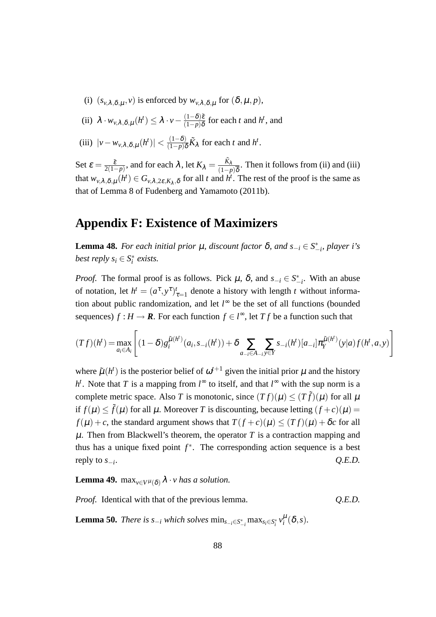- (i)  $(s_{\nu,\lambda,\delta,\mu}, v)$  is enforced by  $w_{\nu,\lambda,\delta,\mu}$  for  $(\delta,\mu,p)$ ,
- $\lambda \cdot w_{\nu,\lambda,\delta,\mu}(h^t) \leq \lambda \cdot \nu \frac{(1-\delta)\tilde{\varepsilon}}{(1-\rho)\delta}$  $\frac{(1-\delta)\tilde{\varepsilon}}{(1-p)\delta}$  for each *t* and *h<sup>t</sup>*, and
- $(|iii)$   $|v w_{\nu,\lambda,\delta,\mu}(h^t)| < \frac{(1-\delta)}{(1-p)\delta}$  $\frac{(1-\delta)}{(1-p)\delta}\tilde{K}_{\lambda}$  for each *t* and *h<sup>t</sup>*.

Set  $\varepsilon = \frac{\tilde{\varepsilon}}{2(1 - \varepsilon)}$  $\frac{\tilde{\epsilon}}{2(1-p)}$ , and for each  $\lambda$ , let  $K_{\lambda} = \frac{\tilde{K}_{\lambda}}{(1-p)}$  $\frac{\kappa_{\lambda}}{(1-p)\overline{\delta}}$ . Then it follows from (ii) and (iii) that  $w_{v,\lambda,\delta,\mu}(h^t) \in G_{v,\lambda,2\varepsilon,K_\lambda,\delta}$  for all *t* and  $h^t$ . The rest of the proof is the same as that of Lemma 8 of Fudenberg and Yamamoto (2011b).

# **Appendix F: Existence of Maximizers**

**Lemma 48.** *For each initial prior*  $\mu$ *, discount factor* δ*, and*  $s_{-i}$  ∈  $S^*_{-i}$ *, player i's best reply*  $s_i \in S_i^*$  *exists.* 

*Proof.* The formal proof is as follows. Pick  $\mu$ ,  $\delta$ , and  $s_{-i} \in S^*_{-i}$ . With an abuse of notation, let  $h^t = (a^{\tau}, y^{\tau})^t_{\tau=1}$  denote a history with length *t* without information about public randomization, and let *l* <sup>∞</sup> be the set of all functions (bounded sequences)  $f : H \to \mathbb{R}$ . For each function  $f \in l^{\infty}$ , let  $Tf$  be a function such that

$$
(Tf)(h^{t}) = \max_{a_{i} \in A_{i}} \left[ (1 - \delta) g_{i}^{\tilde{\mu}(h^{t})}(a_{i}, s_{-i}(h^{t})) + \delta \sum_{a_{-i} \in A_{-i}} \sum_{y \in Y} s_{-i}(h^{t}) [a_{-i}] \pi_{Y}^{\tilde{\mu}(h^{t})}(y|a) f(h^{t}, a, y) \right]
$$

where  $\tilde{\mu}(h^t)$  is the posterior belief of  $\omega^{t+1}$  given the initial prior  $\mu$  and the history  $h$ <sup>t</sup>. Note that *T* is a mapping from  $l^{\infty}$  to itself, and that  $l^{\infty}$  with the sup norm is a complete metric space. Also *T* is monotonic, since  $(T f)(\mu) < (T \tilde{f})(\mu)$  for all  $\mu$ if  $f(\mu) \le \tilde{f}(\mu)$  for all  $\mu$ . Moreover *T* is discounting, because letting  $(f+c)(\mu)$  = *f*( $\mu$ ) + *c*, the standard argument shows that  $T(f+c)(\mu) < (Tf)(\mu) + \delta c$  for all  $\mu$ . Then from Blackwell's theorem, the operator T is a contraction mapping and thus has a unique fixed point  $f^*$ . The corresponding action sequence is a best reply to *s−<sup>i</sup>* . *Q.E.D.*

**Lemma 49.** max $_{v \in V^{\mu}(\delta)} \lambda \cdot v$  has a solution.

*Proof.* Identical with that of the previous lemma. *Q.E.D.*

**Lemma 50.** There is  $s_{-i}$  which solves  $\min_{s_{-i} \in S_{-i}^*} \max_{s_i \in S_i^*} v_i^{\mu}(\delta, s)$ .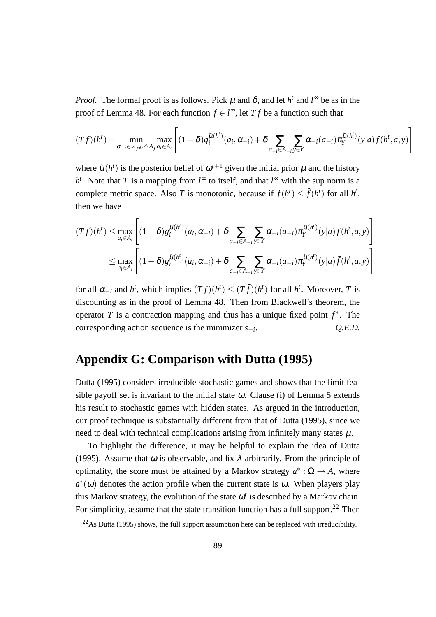*Proof.* The formal proof is as follows. Pick  $\mu$  and  $\delta$ , and let  $h^t$  and  $l^{\infty}$  be as in the proof of Lemma 48. For each function  $f \in l^{\infty}$ , let *T f* be a function such that

$$
(Tf)(h^t) = \min_{\alpha_{-i} \in \times_{j \neq i} \triangle A_j} \max_{a_i \in A_i} \left[ (1-\delta) g_i^{\tilde{\mu}(h^t)}(a_i, \alpha_{-i}) + \delta \sum_{a_{-i} \in A_{-i}} \sum_{y \in Y} \alpha_{-i}(a_{-i}) \pi_Y^{\tilde{\mu}(h^t)}(y|a) f(h^t, a, y) \right]
$$

where  $\tilde{\mu}(h^t)$  is the posterior belief of  $\omega^{t+1}$  given the initial prior  $\mu$  and the history  $h^t$ . Note that *T* is a mapping from  $l^{\infty}$  to itself, and that  $l^{\infty}$  with the sup norm is a complete metric space. Also *T* is monotonic, because if  $f(h^t) \le \tilde{f}(h^t)$  for all  $h^t$ , then we have

$$
(Tf)(h^{t}) \leq \max_{a_{i} \in A_{i}} \left[ (1-\delta)g_{i}^{\tilde{\mu}(h^{t})}(a_{i}, \alpha_{-i}) + \delta \sum_{a_{-i} \in A_{-i}} \sum_{y \in Y} \alpha_{-i}(a_{-i})\pi_{Y}^{\tilde{\mu}(h^{t})}(y|a) f(h^{t}, a, y) \right]
$$
  

$$
\leq \max_{a_{i} \in A_{i}} \left[ (1-\delta)g_{i}^{\tilde{\mu}(h^{t})}(a_{i}, \alpha_{-i}) + \delta \sum_{a_{-i} \in A_{-i}} \sum_{y \in Y} \alpha_{-i}(a_{-i})\pi_{Y}^{\tilde{\mu}(h^{t})}(y|a) \tilde{f}(h^{t}, a, y) \right]
$$

for all  $\alpha_{-i}$  and  $h^t$ , which implies  $(Tf)(h^t) \le (T\tilde{f})(h^t)$  for all  $h^t$ . Moreover, *T* is discounting as in the proof of Lemma 48. Then from Blackwell's theorem, the operator *T* is a contraction mapping and thus has a unique fixed point *f ∗* . The corresponding action sequence is the minimizer *s−<sup>i</sup>* . *Q.E.D.*

# **Appendix G: Comparison with Dutta (1995)**

Dutta (1995) considers irreducible stochastic games and shows that the limit feasible payoff set is invariant to the initial state  $\omega$ . Clause (i) of Lemma 5 extends his result to stochastic games with hidden states. As argued in the introduction, our proof technique is substantially different from that of Dutta (1995), since we need to deal with technical complications arising from infinitely many states  $\mu$ .

To highlight the difference, it may be helpful to explain the idea of Dutta (1995). Assume that  $\omega$  is observable, and fix  $\lambda$  arbitrarily. From the principle of optimality, the score must be attained by a Markov strategy  $a^* : \Omega \to A$ , where  $a^*(\omega)$  denotes the action profile when the current state is  $\omega$ . When players play this Markov strategy, the evolution of the state  $\omega^t$  is described by a Markov chain. For simplicity, assume that the state transition function has a full support.<sup>22</sup> Then

 $^{22}$ As Dutta (1995) shows, the full support assumption here can be replaced with irreducibility.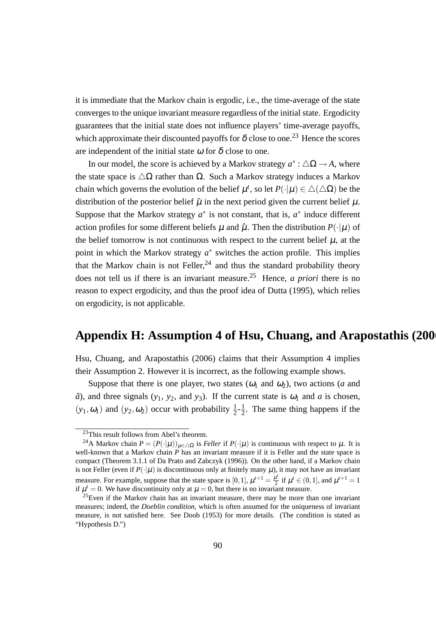it is immediate that the Markov chain is ergodic, i.e., the time-average of the state converges to the unique invariant measure regardless of the initial state. Ergodicity guarantees that the initial state does not influence players' time-average payoffs, which approximate their discounted payoffs for  $\delta$  close to one.<sup>23</sup> Hence the scores are independent of the initial state  $\omega$  for  $\delta$  close to one.

In our model, the score is achieved by a Markov strategy  $a^*$  :  $\triangle \Omega \rightarrow A$ , where the state space is  $\Delta\Omega$  rather than  $\Omega$ . Such a Markov strategy induces a Markov chain which governs the evolution of the belief  $\mu^t$ , so let  $P(\cdot|\mu) \in \Delta(\Delta\Omega)$  be the distribution of the posterior belief  $\tilde{\mu}$  in the next period given the current belief  $\mu$ . Suppose that the Markov strategy  $a^*$  is not constant, that is,  $a^*$  induce different action profiles for some different beliefs  $\mu$  and  $\hat{\mu}$ . Then the distribution  $P(\cdot|\mu)$  of the belief tomorrow is not continuous with respect to the current belief  $\mu$ , at the point in which the Markov strategy  $a^*$  switches the action profile. This implies that the Markov chain is not Feller,  $24$  and thus the standard probability theory does not tell us if there is an invariant measure.<sup>25</sup> Hence, *a priori* there is no reason to expect ergodicity, and thus the proof idea of Dutta (1995), which relies on ergodicity, is not applicable.

## **Appendix H: Assumption 4 of Hsu, Chuang, and Arapostathis (2006)**

Hsu, Chuang, and Arapostathis (2006) claims that their Assumption 4 implies their Assumption 2. However it is incorrect, as the following example shows.

Suppose that there is one player, two states  $(\omega_1$  and  $\omega_2)$ , two actions (*a* and  $\tilde{a}$ ), and three signals (*y*<sub>1</sub>, *y*<sub>2</sub>, and *y*<sub>3</sub>). If the current state is  $\omega_1$  and *a* is chosen,  $(y_1, \omega_1)$  and  $(y_2, \omega_2)$  occur with probability  $\frac{1}{2}$ - $\frac{1}{2}$  $\frac{1}{2}$ . The same thing happens if the

<sup>&</sup>lt;sup>23</sup>This result follows from Abel's theorem.

<sup>&</sup>lt;sup>24</sup>A Markov chain  $P = (P(\cdot|\mu))_{\mu \in \Delta\Omega}$  is *Feller* if  $P(\cdot|\mu)$  is continuous with respect to  $\mu$ . It is well-known that a Markov chain *P* has an invariant measure if it is Feller and the state space is compact (Theorem 3.1.1 of Da Prato and Zabczyk (1996)). On the other hand, if a Markov chain is not Feller (even if  $P(\cdot|\mu)$  is discontinuous only at finitely many  $\mu$ ), it may not have an invariant measure. For example, suppose that the state space is [0, 1],  $\mu^{t+1} = \frac{\mu^t}{2}$  $\frac{u^t}{2}$  if  $\mu^t \in (0, 1]$ , and  $\mu^{t+1} = 1$ if  $\mu^t = 0$ . We have discontinuity only at  $\mu = 0$ , but there is no invariant measure.

<sup>&</sup>lt;sup>25</sup>Even if the Markov chain has an invariant measure, there may be more than one invariant measures; indeed, the *Doeblin condition*, which is often assumed for the uniqueness of invariant measure, is not satisfied here. See Doob (1953) for more details. (The condition is stated as "Hypothesis D.")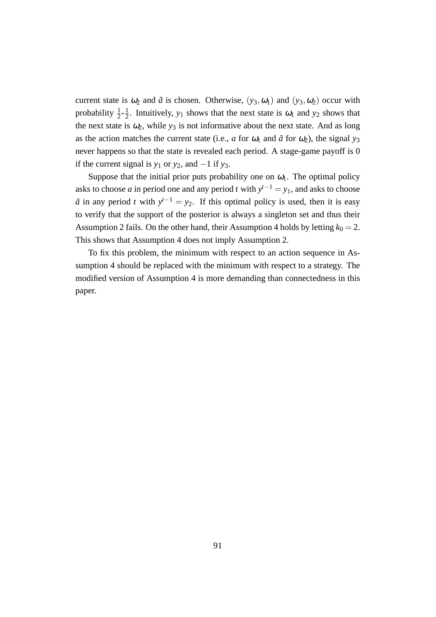current state is  $\omega_2$  and  $\tilde{a}$  is chosen. Otherwise,  $(y_3, \omega_1)$  and  $(y_3, \omega_2)$  occur with probability  $\frac{1}{2}$ - $\frac{1}{2}$  $\frac{1}{2}$ . Intuitively,  $y_1$  shows that the next state is  $\omega_1$  and  $y_2$  shows that the next state is  $\omega_2$ , while  $y_3$  is not informative about the next state. And as long as the action matches the current state (i.e., *a* for  $\omega_1$  and  $\tilde{a}$  for  $\omega_2$ ), the signal  $y_3$ never happens so that the state is revealed each period. A stage-game payoff is 0 if the current signal is  $y_1$  or  $y_2$ , and  $-1$  if  $y_3$ .

Suppose that the initial prior puts probability one on  $\omega_1$ . The optimal policy asks to choose *a* in period one and any period *t* with  $y^{t-1} = y_1$ , and asks to choose  $\tilde{a}$  in any period *t* with  $y^{t-1} = y_2$ . If this optimal policy is used, then it is easy to verify that the support of the posterior is always a singleton set and thus their Assumption 2 fails. On the other hand, their Assumption 4 holds by letting  $k_0 = 2$ . This shows that Assumption 4 does not imply Assumption 2.

To fix this problem, the minimum with respect to an action sequence in Assumption 4 should be replaced with the minimum with respect to a strategy. The modified version of Assumption 4 is more demanding than connectedness in this paper.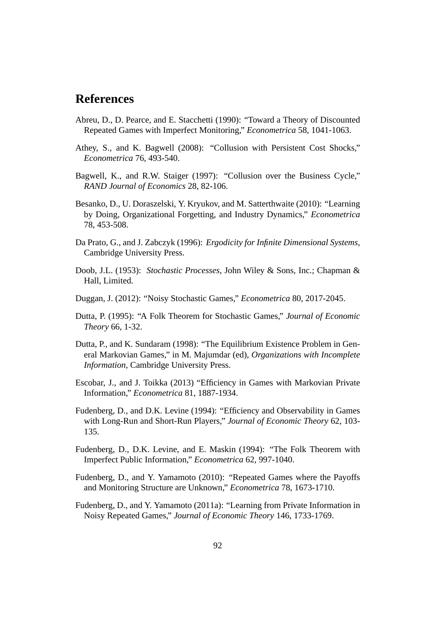# **References**

- Abreu, D., D. Pearce, and E. Stacchetti (1990): "Toward a Theory of Discounted Repeated Games with Imperfect Monitoring," *Econometrica* 58, 1041-1063.
- Athey, S., and K. Bagwell (2008): "Collusion with Persistent Cost Shocks," *Econometrica* 76, 493-540.
- Bagwell, K., and R.W. Staiger (1997): "Collusion over the Business Cycle," *RAND Journal of Economics* 28, 82-106.
- Besanko, D., U. Doraszelski, Y. Kryukov, and M. Satterthwaite (2010): "Learning by Doing, Organizational Forgetting, and Industry Dynamics," *Econometrica* 78, 453-508.
- Da Prato, G., and J. Zabczyk (1996): *Ergodicity for Infinite Dimensional Systems*, Cambridge University Press.
- Doob, J.L. (1953): *Stochastic Processes*, John Wiley & Sons, Inc.; Chapman & Hall, Limited.
- Duggan, J. (2012): "Noisy Stochastic Games," *Econometrica* 80, 2017-2045.
- Dutta, P. (1995): "A Folk Theorem for Stochastic Games," *Journal of Economic Theory* 66, 1-32.
- Dutta, P., and K. Sundaram (1998): "The Equilibrium Existence Problem in General Markovian Games," in M. Majumdar (ed), *Organizations with Incomplete Information*, Cambridge University Press.
- Escobar, J., and J. Toikka (2013) "Efficiency in Games with Markovian Private Information," *Econometrica* 81, 1887-1934.
- Fudenberg, D., and D.K. Levine (1994): "Efficiency and Observability in Games with Long-Run and Short-Run Players," *Journal of Economic Theory* 62, 103- 135.
- Fudenberg, D., D.K. Levine, and E. Maskin (1994): "The Folk Theorem with Imperfect Public Information," *Econometrica* 62, 997-1040.
- Fudenberg, D., and Y. Yamamoto (2010): "Repeated Games where the Payoffs and Monitoring Structure are Unknown," *Econometrica* 78, 1673-1710.
- Fudenberg, D., and Y. Yamamoto (2011a): "Learning from Private Information in Noisy Repeated Games," *Journal of Economic Theory* 146, 1733-1769.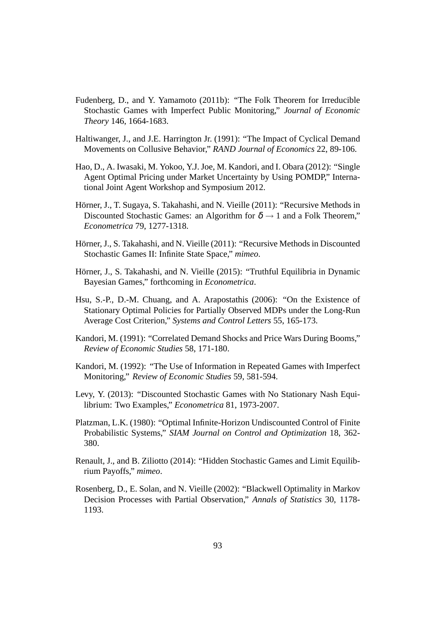- Fudenberg, D., and Y. Yamamoto (2011b): "The Folk Theorem for Irreducible Stochastic Games with Imperfect Public Monitoring," *Journal of Economic Theory* 146, 1664-1683.
- Haltiwanger, J., and J.E. Harrington Jr. (1991): "The Impact of Cyclical Demand Movements on Collusive Behavior," *RAND Journal of Economics* 22, 89-106.
- Hao, D., A. Iwasaki, M. Yokoo, Y.J. Joe, M. Kandori, and I. Obara (2012): "Single Agent Optimal Pricing under Market Uncertainty by Using POMDP," International Joint Agent Workshop and Symposium 2012.
- Hörner, J., T. Sugaya, S. Takahashi, and N. Vieille (2011): "Recursive Methods in Discounted Stochastic Games: an Algorithm for  $\delta \rightarrow 1$  and a Folk Theorem," *Econometrica* 79, 1277-1318.
- Hörner, J., S. Takahashi, and N. Vieille (2011): "Recursive Methods in Discounted Stochastic Games II: Infinite State Space," *mimeo*.
- Hörner, J., S. Takahashi, and N. Vieille (2015): "Truthful Equilibria in Dynamic Bayesian Games," forthcoming in *Econometrica*.
- Hsu, S.-P., D.-M. Chuang, and A. Arapostathis (2006): "On the Existence of Stationary Optimal Policies for Partially Observed MDPs under the Long-Run Average Cost Criterion," *Systems and Control Letters* 55, 165-173.
- Kandori, M. (1991): "Correlated Demand Shocks and Price Wars During Booms," *Review of Economic Studies* 58, 171-180.
- Kandori, M. (1992): "The Use of Information in Repeated Games with Imperfect Monitoring," *Review of Economic Studies* 59, 581-594.
- Levy, Y. (2013): "Discounted Stochastic Games with No Stationary Nash Equilibrium: Two Examples," *Econometrica* 81, 1973-2007.
- Platzman, L.K. (1980): "Optimal Infinite-Horizon Undiscounted Control of Finite Probabilistic Systems," *SIAM Journal on Control and Optimization* 18, 362- 380.
- Renault, J., and B. Ziliotto (2014): "Hidden Stochastic Games and Limit Equilibrium Payoffs," *mimeo*.
- Rosenberg, D., E. Solan, and N. Vieille (2002): "Blackwell Optimality in Markov Decision Processes with Partial Observation," *Annals of Statistics* 30, 1178- 1193.